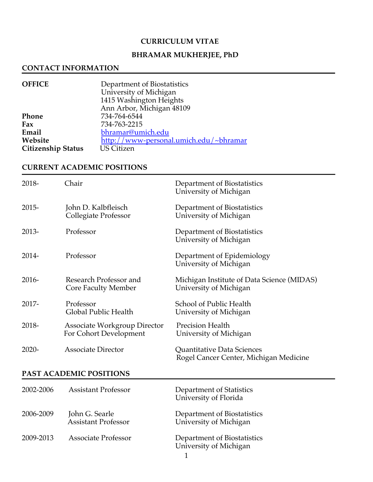#### **CURRICULUM VITAE**

# **BHRAMAR MUKHERJEE, PhD**

#### **CONTACT INFORMATION**

| <b>OFFICE</b>             | Department of Biostatistics            |
|---------------------------|----------------------------------------|
|                           | University of Michigan                 |
|                           | 1415 Washington Heights                |
|                           | Ann Arbor, Michigan 48109              |
| Phone                     | 734-764-6544                           |
| Fax                       | 734-763-2215                           |
| Email                     | bhramar@umich.edu                      |
| Website                   | http://www-personal.umich.edu/~bhramar |
| <b>Citizenship Status</b> | <b>US Citizen</b>                      |

### **CURRENT ACADEMIC POSITIONS**

| 2018-    | Chair                                                  | Department of Biostatistics<br>University of Michigan                |
|----------|--------------------------------------------------------|----------------------------------------------------------------------|
| $2015 -$ | John D. Kalbfleisch<br>Collegiate Professor            | Department of Biostatistics<br>University of Michigan                |
| 2013-    | Professor                                              | Department of Biostatistics<br>University of Michigan                |
| 2014-    | Professor                                              | Department of Epidemiology<br>University of Michigan                 |
| $2016 -$ | Research Professor and<br><b>Core Faculty Member</b>   | Michigan Institute of Data Science (MIDAS)<br>University of Michigan |
| 2017-    | Professor<br>Global Public Health                      | School of Public Health<br>University of Michigan                    |
| 2018-    | Associate Workgroup Director<br>For Cohort Development | <b>Precision Health</b><br>University of Michigan                    |
| $2020 -$ | <b>Associate Director</b>                              | Quantitative Data Sciences<br>Rogel Cancer Center, Michigan Medicine |

### **PAST ACADEMIC POSITIONS**

| 2002-2006 | <b>Assistant Professor</b>                   | Department of Statistics<br>University of Florida     |
|-----------|----------------------------------------------|-------------------------------------------------------|
| 2006-2009 | John G. Searle<br><b>Assistant Professor</b> | Department of Biostatistics<br>University of Michigan |
| 2009-2013 | Associate Professor                          | Department of Biostatistics<br>University of Michigan |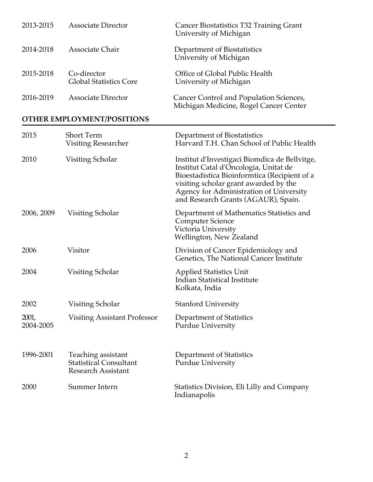| 2013-2015 | <b>Associate Director</b>                    | Cancer Biostatistics T32 Training Grant<br>University of Michigan                 |
|-----------|----------------------------------------------|-----------------------------------------------------------------------------------|
| 2014-2018 | Associate Chair                              | Department of Biostatistics<br>University of Michigan                             |
| 2015-2018 | Co-director<br><b>Global Statistics Core</b> | Office of Global Public Health<br>University of Michigan                          |
| 2016-2019 | <b>Associate Director</b>                    | Cancer Control and Population Sciences,<br>Michigan Medicine, Rogel Cancer Center |
|           | OTHER EMPLOYMENT/POSITIONS                   |                                                                                   |
| 2015      | <b>Short Term</b><br>Visitino Researcher     | Department of Biostatistics<br>Harvard T H Chan School of Public Health           |

|                    | Visiting Researcher                                                              | Harvard T.H. Chan School of Public Health                                                                                                                                                                                                                         |
|--------------------|----------------------------------------------------------------------------------|-------------------------------------------------------------------------------------------------------------------------------------------------------------------------------------------------------------------------------------------------------------------|
| 2010               | Visiting Scholar                                                                 | Institut d'Investigaci Biomdica de Bellvitge,<br>Institut Catal d'Oncologia, Unitat de<br>Bioestadistica Bioinformtica (Recipient of a<br>visiting scholar grant awarded by the<br>Agency for Administration of University<br>and Research Grants (AGAUR), Spain. |
| 2006, 2009         | Visiting Scholar                                                                 | Department of Mathematics Statistics and<br><b>Computer Science</b><br>Victoria University<br>Wellington, New Zealand                                                                                                                                             |
| 2006               | Visitor                                                                          | Division of Cancer Epidemiology and<br>Genetics, The National Cancer Institute                                                                                                                                                                                    |
| 2004               | Visiting Scholar                                                                 | <b>Applied Statistics Unit</b><br><b>Indian Statistical Institute</b><br>Kolkata, India                                                                                                                                                                           |
| 2002               | Visiting Scholar                                                                 | <b>Stanford University</b>                                                                                                                                                                                                                                        |
| 2001,<br>2004-2005 | <b>Visiting Assistant Professor</b>                                              | Department of Statistics<br><b>Purdue University</b>                                                                                                                                                                                                              |
| 1996-2001          | Teaching assistant<br><b>Statistical Consultant</b><br><b>Research Assistant</b> | Department of Statistics<br><b>Purdue University</b>                                                                                                                                                                                                              |
| 2000               | Summer Intern                                                                    | Statistics Division, Eli Lilly and Company<br>Indianapolis                                                                                                                                                                                                        |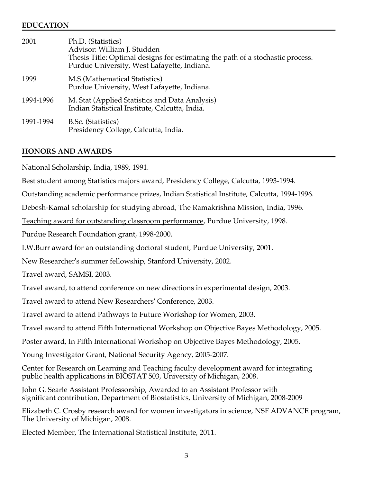#### **EDUCATION**

| 2001      | Ph.D. (Statistics)<br>Advisor: William J. Studden<br>Thesis Title: Optimal designs for estimating the path of a stochastic process.<br>Purdue University, West Lafayette, Indiana. |
|-----------|------------------------------------------------------------------------------------------------------------------------------------------------------------------------------------|
| 1999      | M.S (Mathematical Statistics)<br>Purdue University, West Lafayette, Indiana.                                                                                                       |
| 1994-1996 | M. Stat (Applied Statistics and Data Analysis)<br>Indian Statistical Institute, Calcutta, India.                                                                                   |
| 1991-1994 | B.Sc. (Statistics)<br>Presidency College, Calcutta, India.                                                                                                                         |

#### **HONORS AND AWARDS**

National Scholarship, India, 1989, 1991.

Best student among Statistics majors award, Presidency College, Calcutta, 1993-1994.

Outstanding academic performance prizes, Indian Statistical Institute, Calcutta, 1994-1996.

Debesh-Kamal scholarship for studying abroad, The Ramakrishna Mission, India, 1996.

Teaching award for outstanding classroom performance, Purdue University, 1998.

Purdue Research Foundation grant, 1998-2000.

I.W.Burr award for an outstanding doctoral student, Purdue University, 2001.

New Researcher's summer fellowship, Stanford University, 2002.

Travel award, SAMSI, 2003.

Travel award, to attend conference on new directions in experimental design, 2003.

Travel award to attend New Researchers' Conference, 2003.

Travel award to attend Pathways to Future Workshop for Women, 2003.

Travel award to attend Fifth International Workshop on Objective Bayes Methodology, 2005.

Poster award, In Fifth International Workshop on Objective Bayes Methodology, 2005.

Young Investigator Grant, National Security Agency, 2005-2007.

Center for Research on Learning and Teaching faculty development award for integrating public health applications in BIOSTAT 503, University of Michigan, 2008.

John G. Searle Assistant Professorship, Awarded to an Assistant Professor with significant contribution, Department of Biostatistics, University of Michigan, 2008-2009

Elizabeth C. Crosby research award for women investigators in science, NSF ADVANCE program, The University of Michigan, 2008.

Elected Member, The International Statistical Institute, 2011.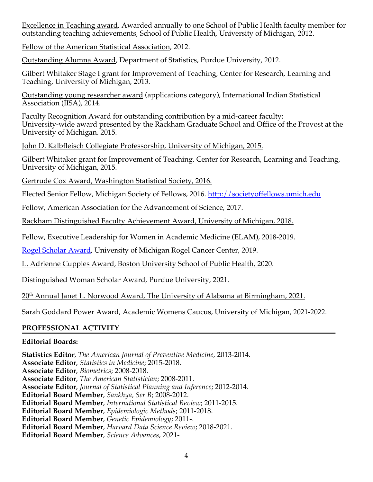Excellence in Teaching award, Awarded annually to one School of Public Health faculty member for outstanding teaching achievements, School of Public Health, University of Michigan, 2012.

Fellow of the American Statistical Association, 2012.

Outstanding Alumna Award, Department of Statistics, Purdue University, 2012.

Gilbert Whitaker Stage I grant for Improvement of Teaching, Center for Research, Learning and Teaching, University of Michigan, 2013.

Outstanding young researcher award (applications category), International Indian Statistical Association (IISA), 2014.

Faculty Recognition Award for outstanding contribution by a mid-career faculty: University-wide award presented by the Rackham Graduate School and Office of the Provost at the University of Michigan. 2015.

John D. Kalbfleisch Collegiate Professorship, University of Michigan, 2015.

Gilbert Whitaker grant for Improvement of Teaching. Center for Research, Learning and Teaching, University of Michigan, 2015.

Gertrude Cox Award, Washington Statistical Society, 2016.

Elected Senior Fellow, Michigan Society of Fellows, 2016. http://societyoffellows.umich.edu

Fellow, American Association for the Advancement of Science, 2017.

Rackham Distinguished Faculty Achievement Award, University of Michigan, 2018.

Fellow, Executive Leadership for Women in Academic Medicine (ELAM), 2018-2019.

Rogel Scholar Award, University of Michigan Rogel Cancer Center, 2019.

L. Adrienne Cupples Award, Boston University School of Public Health, 2020.

Distinguished Woman Scholar Award, Purdue University, 2021.

20<sup>th</sup> Annual Janet L. Norwood Award, The University of Alabama at Birmingham, 2021.

Sarah Goddard Power Award, Academic Womens Caucus, University of Michigan, 2021-2022.

# **PROFESSIONAL ACTIVITY**

# **Editorial Boards:**

**Statistics Editor**, *The American Journal of Preventive Medicine*, 2013-2014. **Associate Editor**, *Statistics in Medicine*; 2015-2018. **Associate Editor**, *Biometrics*; 2008-2018. **Associate Editor**, *The American Statistician*; 2008-2011. **Associate Editor**, *Journal of Statistical Planning and Inference*; 2012-2014. **Editorial Board Member**, *Sankhya, Ser B*; 2008-2012. **Editorial Board Member**, *International Statistical Review*; 2011-2015. **Editorial Board Member**, *Epidemiologic Methods*; 2011-2018. **Editorial Board Member**, *Genetic Epidemiology*; 2011-. **Editorial Board Member**, *Harvard Data Science Review*; 2018-2021. **Editorial Board Member**, *Science Advances*, 2021-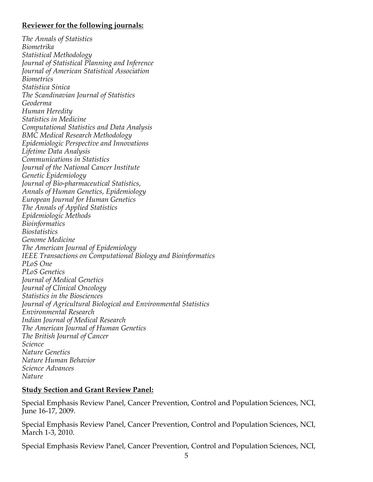#### **Reviewer for the following journals:**

*The Annals of Statistics Biometrika Statistical Methodology Journal of Statistical Planning and Inference Journal of American Statistical Association Biometrics Statistica Sinica The Scandinavian Journal of Statistics Geoderma Human Heredity Statistics in Medicine Computational Statistics and Data Analysis BMC Medical Research Methodology Epidemiologic Perspective and Innovations Lifetime Data Analysis Communications in Statistics Journal of the National Cancer Institute Genetic Epidemiology Journal of Bio-pharmaceutical Statistics, Annals of Human Genetics, Epidemiology European Journal for Human Genetics The Annals of Applied Statistics Epidemiologic Methods Bioinformatics Biostatistics Genome Medicine The American Journal of Epidemiology IEEE Transactions on Computational Biology and Bioinformatics PLoS One PLoS Genetics Journal of Medical Genetics Journal of Clinical Oncology Statistics in the Biosciences Journal of Agricultural Biological and Environmental Statistics Environmental Research Indian Journal of Medical Research The American Journal of Human Genetics The British Journal of Cancer Science Nature Genetics Nature Human Behavior Science Advances Nature*

### **Study Section and Grant Review Panel:**

Special Emphasis Review Panel, Cancer Prevention, Control and Population Sciences, NCI, June 16-17, 2009.

Special Emphasis Review Panel, Cancer Prevention, Control and Population Sciences, NCI, March 1-3, 2010.

Special Emphasis Review Panel, Cancer Prevention, Control and Population Sciences, NCI,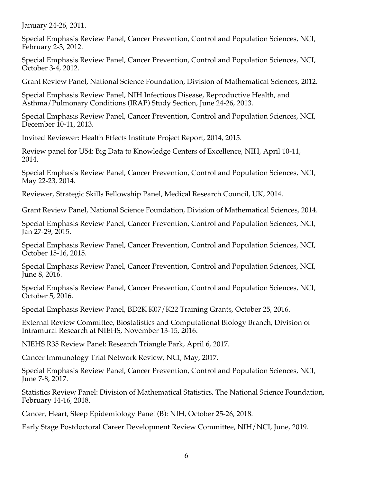January 24-26, 2011.

Special Emphasis Review Panel, Cancer Prevention, Control and Population Sciences, NCI, February 2-3, 2012.

Special Emphasis Review Panel, Cancer Prevention, Control and Population Sciences, NCI, October 3-4, 2012.

Grant Review Panel, National Science Foundation, Division of Mathematical Sciences, 2012.

Special Emphasis Review Panel, NIH Infectious Disease, Reproductive Health, and Asthma/Pulmonary Conditions (IRAP) Study Section, June 24-26, 2013.

Special Emphasis Review Panel, Cancer Prevention, Control and Population Sciences, NCI, December 10-11, 2013.

Invited Reviewer: Health Effects Institute Project Report, 2014, 2015.

Review panel for U54: Big Data to Knowledge Centers of Excellence, NIH, April 10-11, 2014.

Special Emphasis Review Panel, Cancer Prevention, Control and Population Sciences, NCI, May 22-23, 2014.

Reviewer, Strategic Skills Fellowship Panel, Medical Research Council, UK, 2014.

Grant Review Panel, National Science Foundation, Division of Mathematical Sciences, 2014.

Special Emphasis Review Panel, Cancer Prevention, Control and Population Sciences, NCI, Jan 27-29, 2015.

Special Emphasis Review Panel, Cancer Prevention, Control and Population Sciences, NCI, October 15-16, 2015.

Special Emphasis Review Panel, Cancer Prevention, Control and Population Sciences, NCI, June 8, 2016.

Special Emphasis Review Panel, Cancer Prevention, Control and Population Sciences, NCI, October 5, 2016.

Special Emphasis Review Panel, BD2K K07/K22 Training Grants, October 25, 2016.

External Review Committee, Biostatistics and Computational Biology Branch, Division of Intramural Research at NIEHS, November 13-15, 2016.

NIEHS R35 Review Panel: Research Triangle Park, April 6, 2017.

Cancer Immunology Trial Network Review, NCI, May, 2017.

Special Emphasis Review Panel, Cancer Prevention, Control and Population Sciences, NCI, June 7-8, 2017.

Statistics Review Panel: Division of Mathematical Statistics, The National Science Foundation, February 14-16, 2018.

Cancer, Heart, Sleep Epidemiology Panel (B): NIH, October 25-26, 2018.

Early Stage Postdoctoral Career Development Review Committee, NIH/NCI, June, 2019.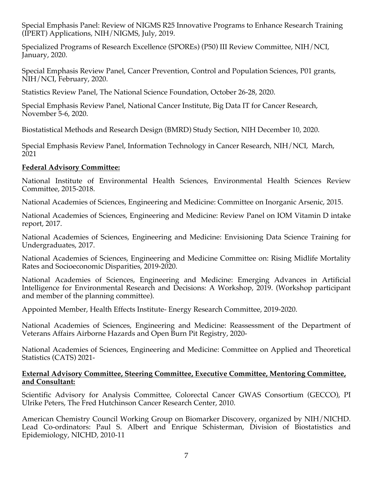Special Emphasis Panel: Review of NIGMS R25 Innovative Programs to Enhance Research Training (IPERT) Applications, NIH/NIGMS, July, 2019.

Specialized Programs of Research Excellence (SPOREs) (P50) III Review Committee, NIH/NCI, January, 2020.

Special Emphasis Review Panel, Cancer Prevention, Control and Population Sciences, P01 grants, NIH/NCI, February, 2020.

Statistics Review Panel, The National Science Foundation, October 26-28, 2020.

Special Emphasis Review Panel, National Cancer Institute, Big Data IT for Cancer Research, November 5-6, 2020.

Biostatistical Methods and Research Design (BMRD) Study Section, NIH December 10, 2020.

Special Emphasis Review Panel, Information Technology in Cancer Research, NIH/NCI, March, 2021

#### **Federal Advisory Committee:**

National Institute of Environmental Health Sciences, Environmental Health Sciences Review Committee, 2015-2018.

National Academies of Sciences, Engineering and Medicine: Committee on Inorganic Arsenic, 2015.

National Academies of Sciences, Engineering and Medicine: Review Panel on IOM Vitamin D intake report, 2017.

National Academies of Sciences, Engineering and Medicine: Envisioning Data Science Training for Undergraduates, 2017.

National Academies of Sciences, Engineering and Medicine Committee on: Rising Midlife Mortality Rates and Socioeconomic Disparities, 2019-2020.

National Academies of Sciences, Engineering and Medicine: Emerging Advances in Artificial Intelligence for Environmental Research and Decisions: A Workshop, 2019. (Workshop participant and member of the planning committee).

Appointed Member, Health Effects Institute- Energy Research Committee, 2019-2020.

National Academies of Sciences, Engineering and Medicine: Reassessment of the Department of Veterans Affairs Airborne Hazards and Open Burn Pit Registry, 2020-

National Academies of Sciences, Engineering and Medicine: Committee on Applied and Theoretical Statistics (CATS) 2021-

#### **External Advisory Committee, Steering Committee, Executive Committee, Mentoring Committee, and Consultant:**

Scientific Advisory for Analysis Committee, Colorectal Cancer GWAS Consortium (GECCO), PI Ulrike Peters, The Fred Hutchinson Cancer Research Center, 2010.

American Chemistry Council Working Group on Biomarker Discovery, organized by NIH/NICHD. Lead Co-ordinators: Paul S. Albert and Enrique Schisterman, Division of Biostatistics and Epidemiology, NICHD, 2010-11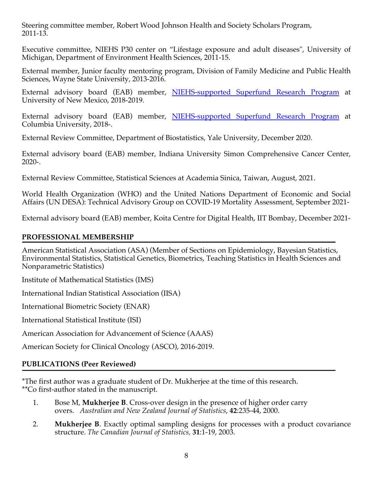Steering committee member, Robert Wood Johnson Health and Society Scholars Program, 2011-13.

Executive committee, NIEHS P30 center on "Lifestage exposure and adult diseases", University of Michigan, Department of Environment Health Sciences, 2011-15.

External member, Junior faculty mentoring program, Division of Family Medicine and Public Health Sciences, Wayne State University, 2013-2016.

External advisory board (EAB) member, NIEHS-supported Superfund Research Program at University of New Mexico, 2018-2019.

External advisory board (EAB) member, NIEHS-supported Superfund Research Program at Columbia University, 2018-.

External Review Committee, Department of Biostatistics, Yale University, December 2020.

External advisory board (EAB) member, Indiana University Simon Comprehensive Cancer Center, 2020-.

External Review Committee, Statistical Sciences at Academia Sinica, Taiwan, August, 2021.

World Health Organization (WHO) and the United Nations Department of Economic and Social Affairs (UN DESA): Technical Advisory Group on COVID-19 Mortality Assessment, September 2021-

External advisory board (EAB) member, Koita Centre for Digital Health, IIT Bombay, December 2021-

## **PROFESSIONAL MEMBERSHIP**

American Statistical Association (ASA) (Member of Sections on Epidemiology, Bayesian Statistics, Environmental Statistics, Statistical Genetics, Biometrics, Teaching Statistics in Health Sciences and Nonparametric Statistics)

Institute of Mathematical Statistics (IMS)

International Indian Statistical Association (IISA)

International Biometric Society (ENAR)

International Statistical Institute (ISI)

American Association for Advancement of Science (AAAS)

American Society for Clinical Oncology (ASCO), 2016-2019.

# **PUBLICATIONS (Peer Reviewed)**

\*The first author was a graduate student of Dr. Mukherjee at the time of this research. \*\*Co first-author stated in the manuscript.

- 1. Bose M, **Mukherjee B**. Cross-over design in the presence of higher order carry overs. *Australian and New Zealand Journal of Statistics*, **42**:235-44, 2000.
- 2. **Mukherjee B**. Exactly optimal sampling designs for processes with a product covariance structure. *The Canadian Journal of Statistics,* **31**:1-19, 2003.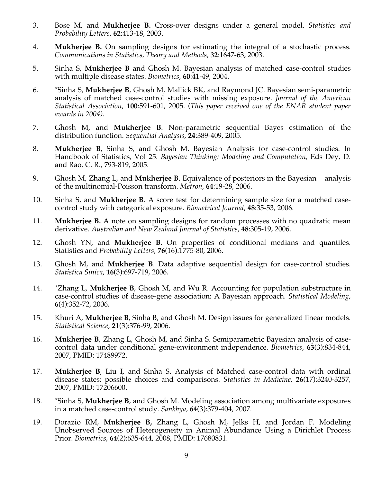- 3. Bose M, and **Mukherjee B.** Cross-over designs under a general model. *Statistics and Probability Letters*, **62**:413-18, 2003.
- 4. **Mukherjee B.** On sampling designs for estimating the integral of a stochastic process. *Communications in Statistics, Theory and Methods*, **32**:1647-63, 2003.
- 5. Sinha S, **Mukherjee B** and Ghosh M. Bayesian analysis of matched case-control studies with multiple disease states. *Biometrics*, **60**:41-49, 2004.
- 6. \*Sinha S, **Mukherjee B**, Ghosh M, Mallick BK, and Raymond JC. Bayesian semi-parametric analysis of matched case-control studies with missing exposure. *Journal of the American Statistical Association*, **100**:591-601, 2005. (*This paper received one of the ENAR student paper awards in 2004).*
- 7. Ghosh M, and **Mukherjee B**. Non-parametric sequential Bayes estimation of the distribution function. *Sequential Analysis*, **24**:389-409, 2005.
- 8. **Mukherjee B**, Sinha S, and Ghosh M. Bayesian Analysis for case-control studies. In Handbook of Statistics, Vol 25. *Bayesian Thinking: Modeling and Computation*, Eds Dey, D. and Rao, C. R., 793-819, 2005.
- 9. Ghosh M, Zhang L, and **Mukherjee B**. Equivalence of posteriors in the Bayesian analysis of the multinomial-Poisson transform. *Metron*, **64**:19-28, 2006.
- 10. Sinha S, and **Mukherjee B**. A score test for determining sample size for a matched casecontrol study with categorical exposure. *Biometrical Journal*, **48**:35-53, 2006.
- 11. **Mukherjee B.** A note on sampling designs for random processes with no quadratic mean derivative. *Australian and New Zealand Journal of Statistics*, **48**:305-19, 2006.
- 12. Ghosh YN, and **Mukherjee B.** On properties of conditional medians and quantiles. Statistics and *Probability Letters*, **76**(16):1775-80, 2006.
- 13. Ghosh M, and **Mukherjee B**. Data adaptive sequential design for case-control studies. *Statistica Sinica*, **16**(3):697-719, 2006.
- 14. \*Zhang L, **Mukherjee B**, Ghosh M, and Wu R. Accounting for population substructure in case-control studies of disease-gene association: A Bayesian approach. *Statistical Modeling*, **6**(4):352-72, 2006.
- 15. Khuri A, **Mukherjee B**, Sinha B, and Ghosh M. Design issues for generalized linear models. *Statistical Science*, **21**(3):376-99, 2006.
- 16. **Mukherjee B**, Zhang L, Ghosh M, and Sinha S. Semiparametric Bayesian analysis of casecontrol data under conditional gene-environment independence. *Biometrics*, **63**(3):834-844, 2007, PMID: 17489972.
- 17. **Mukherjee B**, Liu I, and Sinha S. Analysis of Matched case-control data with ordinal disease states: possible choices and comparisons. *Statistics in Medicine*, **26**(17):3240-3257, 2007, PMID: 17206600.
- 18. \*Sinha S, **Mukherjee B**, and Ghosh M. Modeling association among multivariate exposures in a matched case-control study. *Sankhya*, **64**(3):379-404, 2007.
- 19. Dorazio RM, **Mukherjee B,** Zhang L, Ghosh M, Jelks H, and Jordan F. Modeling Unobserved Sources of Heterogeneity in Animal Abundance Using a Dirichlet Process Prior. *Biometrics*, **64**(2):635-644, 2008, PMID: 17680831.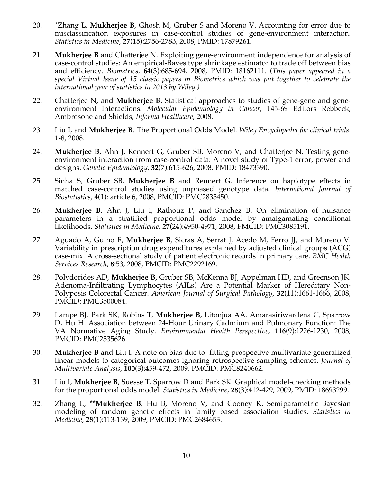- 20. \*Zhang L, **Mukherjee B**, Ghosh M, Gruber S and Moreno V. Accounting for error due to misclassification exposures in case-control studies of gene-environment interaction. *Statistics in Medicine*, **27**(15):2756-2783, 2008, PMID: 17879261.
- 21. **Mukherjee B** and Chatterjee N. Exploiting gene-environment independence for analysis of case-control studies: An empirical-Bayes type shrinkage estimator to trade off between bias and efficiency. *Biometrics,* **64**(3):685-694, 2008, PMID: 18162111. (*This paper appeared in a special Virtual Issue of 15 classic papers in Biometrics which was put together to celebrate the international year of statistics in 2013 by Wiley.)*
- 22. Chatterjee N, and **Mukherjee B**. Statistical approaches to studies of gene-gene and geneenvironment Interactions. *Molecular Epidemiology in Cancer*, 145-69 Editors Rebbeck, Ambrosone and Shields, *Informa Healthcare*, 2008.
- 23. Liu I, and **Mukherjee B**. The Proportional Odds Model. *Wiley Encyclopedia for clinical trials*. 1-8, 2008.
- 24. **Mukherjee B**, Ahn J, Rennert G, Gruber SB, Moreno V, and Chatterjee N. Testing geneenvironment interaction from case-control data: A novel study of Type-1 error, power and designs. *Genetic Epidemiology*, **32**(7):615-626, 2008, PMID: 18473390.
- 25. Sinha S, Gruber SB, **Mukherjee B** and Rennert G. Inference on haplotype effects in matched case-control studies using unphased genotype data. *International Journal of Biostatistics*, **4**(1): article 6, 2008, PMCID: PMC2835450.
- 26. **Mukherjee B**, Ahn J, Liu I, Rathouz P, and Sanchez B. On elimination of nuisance parameters in a stratified proportional odds model by amalgamating conditional likelihoods. *Statistics in Medicine*, **27**(24):4950-4971, 2008, PMCID: PMC3085191.
- 27. Aguado A, Guino E, **Mukherjee B**, Sicras A, Serrat J, Acedo M, Ferro JJ, and Moreno V. Variability in prescription drug expenditures explained by adjusted clinical groups (ACG) case-mix. A cross-sectional study of patient electronic records in primary care. *BMC Health Services Research*, **8**:53, 2008, PMCID: PMC2292169.
- 28. Polydorides AD, **Mukherjee B,** Gruber SB, McKenna BJ, Appelman HD, and Greenson JK. Adenoma-Infiltrating Lymphocytes (AILs) Are a Potential Marker of Hereditary Non-Polyposis Colorectal Cancer. *American Journal of Surgical Pathology*, **32**(11):1661-1666, 2008, PMCID: PMC3500084.
- 29. Lampe BJ, Park SK, Robins T, **Mukherjee B**, Litonjua AA, Amarasiriwardena C, Sparrow D, Hu H. Association between 24-Hour Urinary Cadmium and Pulmonary Function: The VA Normative Aging Study. *Environmental Health Perspective*, **116**(9):1226-1230, 2008, PMCID: PMC2535626.
- 30. **Mukherjee B** and Liu I. A note on bias due to fitting prospective multivariate generalized linear models to categorical outcomes ignoring retrospective sampling schemes. *Journal of Multivariate Analysis*, **100**(3):459-472, 2009. PMCID: PMC8240662.
- 31. Liu I, **Mukherjee B**, Suesse T, Sparrow D and Park SK. Graphical model-checking methods for the proportional odds model. *Statistics in Medicine*, **28**(3):412-429, 2009, PMID: 18693299.
- 32. Zhang L, \*\***Mukherjee B**, Hu B, Moreno V, and Cooney K. Semiparametric Bayesian modeling of random genetic effects in family based association studies. *Statistics in Medicine*, **28**(1):113-139, 2009, PMCID: PMC2684653.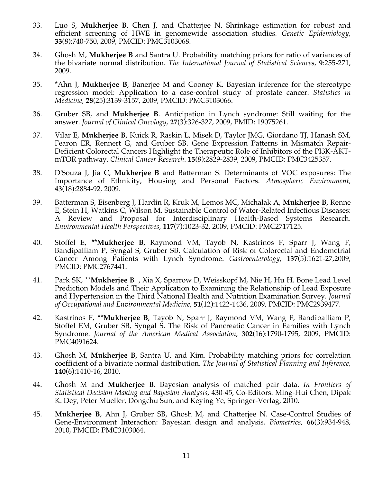- 33. Luo S, **Mukherjee B**, Chen J, and Chatterjee N. Shrinkage estimation for robust and efficient screening of HWE in genomewide association studies*. Genetic Epidemiology*, **33**(8):740-750, 2009, PMCID: PMC3103068.
- 34. Ghosh M, **Mukherjee B** and Santra U. Probability matching priors for ratio of variances of the bivariate normal distribution. *The International Journal of Statistical Sciences*, **9**:255-271, 2009.
- 35. \*Ahn J, **Mukherjee B**, Banerjee M and Cooney K. Bayesian inference for the stereotype regression model: Application to a case-control study of prostate cancer. *Statistics in Medicine*, **28**(25):3139-3157, 2009, PMCID: PMC3103066.
- 36. Gruber SB, and **Mukherjee B**. Anticipation in Lynch syndrome: Still waiting for the answer. *Journal of Clinical Oncology*, **27**(3):326-327, 2009, PMID: 19075261.
- 37. Vilar E, **Mukherjee B**, Kuick R, Raskin L, Misek D, Taylor JMG, Giordano TJ, Hanash SM, Fearon ER, Rennert G, and Gruber SB. Gene Expression Patterns in Mismatch Repair-Deficient Colorectal Cancers Highlight the Therapeutic Role of Inhibitors of the PI3K-AKTmTOR pathway. *Clinical Cancer Research*. **15**(8):2829-2839, 2009, PMCID: PMC3425357.
- 38. D'Souza J, Jia C, **Mukherjee B** and Batterman S. Determinants of VOC exposures: The Importance of Ethnicity, Housing and Personal Factors. *Atmospheric Environment,* **43**(18):2884-92, 2009.
- 39. Batterman S, Eisenberg J, Hardin R, Kruk M, Lemos MC, Michalak A, **Mukherjee B**, Renne E, Stein H, Watkins C, Wilson M. Sustainable Control of Water-Related Infectious Diseases: A Review and Proposal for Interdisciplinary Health-Based Systems Research. *Environmental Health Perspectives*, **117**(7):1023-32, 2009, PMCID: PMC2717125.
- 40. Stoffel E, \*\***Mukherjee B**, Raymond VM, Tayob N, Kastrinos F, Sparr J, Wang F, Bandipalliam P, Syngal S, Gruber SB. Calculation of Risk of Colorectal and Endometrial Cancer Among Patients with Lynch Syndrome. *Gastroenterology*, **137**(5):1621-27,2009, PMCID: PMC2767441.
- 41. Park SK, \*\***Mukherjee B** , Xia X, Sparrow D, Weisskopf M, Nie H, Hu H. Bone Lead Level Prediction Models and Their Application to Examining the Relationship of Lead Exposure and Hypertension in the Third National Health and Nutrition Examination Survey. *Journal of Occupational and Environmental Medicine*, **51**(12):1422-1436, 2009, PMCID: PMC2939477.
- 42. Kastrinos F, \*\***Mukherjee B**, Tayob N, Sparr J, Raymond VM, Wang F, Bandipalliam P, Stoffel EM, Gruber SB, Syngal S. The Risk of Pancreatic Cancer in Families with Lynch Syndrome. *Journal of the American Medical Association*, **302**(16):1790-1795, 2009, PMCID: PMC4091624.
- 43. Ghosh M, **Mukherjee B**, Santra U, and Kim. Probability matching priors for correlation coefficient of a bivariate normal distribution. *The Journal of Statistical Planning and Inference,* **140**(6):1410-16, 2010.
- 44. Ghosh M and **Mukherjee B**. Bayesian analysis of matched pair data. *In Frontiers of Statistical Decision Making and Bayesian Analysis*, 430-45, Co-Editors: Ming-Hui Chen, Dipak K. Dey, Peter Mueller, Dongchu Sun, and Keying Ye, Springer-Verlag, 2010.
- 45. **Mukherjee B**, Ahn J, Gruber SB, Ghosh M, and Chatterjee N. Case-Control Studies of Gene-Environment Interaction: Bayesian design and analysis. *Biometrics*, **66**(3):934-948, 2010, PMCID: PMC3103064.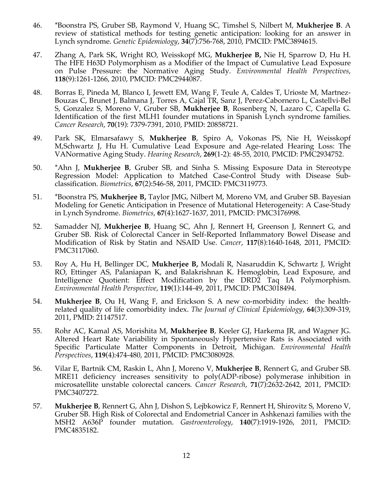- 46. \*Boonstra PS, Gruber SB, Raymond V, Huang SC, Timshel S, Nilbert M, **Mukherjee B**. A review of statistical methods for testing genetic anticipation: looking for an answer in Lynch syndrome. *Genetic Epidemiology*, **34**(7):756-768, 2010, PMCID: PMC3894615.
- 47. Zhang A, Park SK, Wright RO, Weisskopf MG, **Mukherjee B,** Nie H, Sparrow D, Hu H. The HFE H63D Polymorphism as a Modifier of the Impact of Cumulative Lead Exposure on Pulse Pressure: the Normative Aging Study. *Environmental Health Perspectives*, **118**(9):1261-1266, 2010, PMCID: PMC2944087.
- 48. Borras E, Pineda M, Blanco I, Jewett EM, Wang F, Teule A, Caldes T, Urioste M, Martnez-Bouzas C, Brunet J, Balmana J, Torres A, Cajal TR, Sanz J, Perez-Cabornero L, Castellvi-Bel S, Gonzalez S, Moreno V, Gruber SB, **Mukherjee B**, Rosenberg N, Lazaro C, Capella G. Identification of the first MLH1 founder mutations in Spanish Lynch syndrome families. *Cancer Research*, **70**(19): 7379-7391, 2010, PMID: 20858721.
- 49. Park SK, Elmarsafawy S, **Mukherjee B**, Spiro A, Vokonas PS, Nie H, Weisskopf M,Schwartz J, Hu H. Cumulative Lead Exposure and Age-related Hearing Loss: The VANormative Aging Study. *Hearing Research*, **269**(1-2): 48-55, 2010, PMCID: PMC2934752.
- 50. \*Ahn J, **Mukherjee B**, Gruber SB, and Sinha S. Missing Exposure Data in Stereotype Regression Model: Application to Matched Case-Control Study with Disease Subclassification. *Biometrics*, **67**(2):546-58, 2011, PMCID: PMC3119773.
- 51. \*Boonstra PS, **Mukherjee B,** Taylor JMG, Nilbert M, Moreno VM, and Gruber SB. Bayesian Modeling for Genetic Anticipation in Presence of Mutational Heterogeneity: A Case-Study in Lynch Syndrome. *Biometrics*, **67**(4):1627-1637, 2011, PMCID: PMC3176998.
- 52. Samadder NJ, **Mukherjee B**, Huang SC, Ahn J, Rennert H, Greenson J, Rennert G, and Gruber SB. Risk of Colorectal Cancer in Self-Reported Inflammatory Bowel Disease and Modification of Risk by Statin and NSAID Use. *Cancer*, **117**(8):1640-1648, 2011, PMCID: PMC3117060.
- 53. Roy A, Hu H, Bellinger DC, **Mukherjee B,** Modali R, Nasaruddin K, Schwartz J, Wright RO, Ettinger AS, Palaniapan K, and Balakrishnan K. Hemoglobin, Lead Exposure, and Intelligence Quotient: Effect Modification by the DRD2 Taq IA Polymorphism. *Environmental Health Perspective*, **119**(1):144-49, 2011, PMCID: PMC3018494.
- 54. **Mukherjee B**, Ou H, Wang F, and Erickson S. A new co-morbidity index: the healthrelated quality of life comorbidity index. *The Journal of Clinical Epidemiology*, **64**(3):309-319, 2011, PMID: 21147517.
- 55. Rohr AC, Kamal AS, Morishita M, **Mukherjee B**, Keeler GJ, Harkema JR, and Wagner JG. Altered Heart Rate Variability in Spontaneously Hypertensive Rats is Associated with Specific Particulate Matter Components in Detroit, Michigan. *Environmental Health Perspectives*, **119**(4):474-480, 2011, PMCID: PMC3080928.
- 56. Vilar E, Bartnik CM, Raskin L, Ahn J, Moreno V, **Mukherjee B**, Rennert G, and Gruber SB. MRE11 deficiency increases sensitivity to poly(ADP-ribose) polymerase inhibition in microsatellite unstable colorectal cancers*. Cancer Research*, **71**(7):2632-2642, 2011, PMCID: PMC3407272.
- 57. **Mukherjee B**, Rennert G, Ahn J, Dishon S, Lejbkowicz F, Rennert H, Shirovitz S, Moreno V, Gruber SB. High Risk of Colorectal and Endometrial Cancer in Ashkenazi families with the MSH2 A636P founder mutation. *Gastroenterology*, **140**(7):1919-1926, 2011, PMCID: PMC4835182.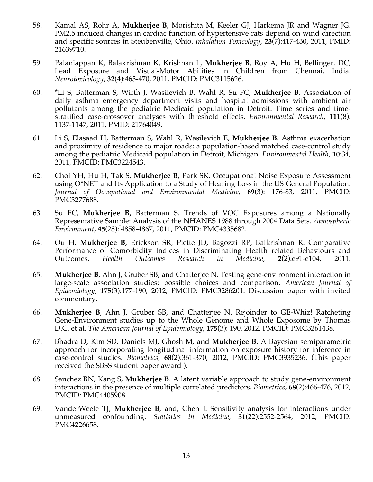- 58. Kamal AS, Rohr A, **Mukherjee B**, Morishita M, Keeler GJ, Harkema JR and Wagner JG. PM2.5 induced changes in cardiac function of hypertensive rats depend on wind direction and specific sources in Steubenville, Ohio. *Inhalation Toxicology*, **23**(7):417-430, 2011, PMID: 21639710.
- 59. Palaniappan K, Balakrishnan K, Krishnan L, **Mukherjee B**, Roy A, Hu H, Bellinger. DC, Lead Exposure and Visual-Motor Abilities in Children from Chennai, India. *Neurotoxicology*, **32**(4):465-470, 2011, PMCID: PMC3115626.
- 60. \*Li S, Batterman S, Wirth J, Wasilevich B, Wahl R, Su FC, **Mukherjee B**. Association of daily asthma emergency department visits and hospital admissions with ambient air pollutants among the pediatric Medicaid population in Detroit: Time series and timestratified case-crossover analyses with threshold effects. *Environmental Research*, **111**(8): 1137-1147, 2011, PMID: 21764049.
- 61. Li S, Elasaad H, Batterman S, Wahl R, Wasilevich E, **Mukherjee B**. Asthma exacerbation and proximity of residence to major roads: a population-based matched case-control study among the pediatric Medicaid population in Detroit, Michigan*. Environmental Health*, **10**:34, 2011, PMCID: PMC3224543.
- 62. Choi YH, Hu H, Tak S, **Mukherjee B**, Park SK. Occupational Noise Exposure Assessment using O\*NET and Its Application to a Study of Hearing Loss in the US General Population. *Journal of Occupational and Environmental Medicine*, **69**(3): 176-83, 2011, PMCID: PMC3277688.
- 63. Su FC, **Mukherjee B,** Batterman S. Trends of VOC Exposures among a Nationally Representative Sample: Analysis of the NHANES 1988 through 2004 Data Sets. *Atmospheric Environment*, **45**(28): 4858-4867, 2011, PMCID: PMC4335682.
- 64. Ou H, **Mukherjee B**, Erickson SR, Piette JD, Bagozzi RP, Balkrishnan R. Comparative Performance of Comorbidity Indices in Discriminating Health related Behaviours and Outcomes. *Health Outcomes Research in Medicine*, **2**(2):e91-e104, 2011.
- 65. **Mukherjee B**, Ahn J, Gruber SB, and Chatterjee N. Testing gene-environment interaction in large-scale association studies: possible choices and comparison. *American Journal of Epidemiology*, **175**(3):177-190, 2012, PMCID: PMC3286201. Discussion paper with invited commentary.
- 66. **Mukherjee B**, Ahn J, Gruber SB, and Chatterjee N. Rejoinder to GE-Whiz! Ratcheting Gene-Environment studies up to the Whole Genome and Whole Exposome by Thomas D.C. et al. *The American Journal of Epidemiology*, **175**(3): 190, 2012, PMCID: PMC3261438.
- 67. Bhadra D, Kim SD, Daniels MJ, Ghosh M, and **Mukherjee B**. A Bayesian semiparametric approach for incorporating longitudinal information on exposure history for inference in case-control studies. *Biometrics*, **68**(2):361-370, 2012, PMCID: PMC3935236. (This paper received the SBSS student paper award ).
- 68. Sanchez BN, Kang S, **Mukherjee B**. A latent variable approach to study gene-environment interactions in the presence of multiple correlated predictors. *Biometrics*, **68**(2):466-476, 2012, PMCID: PMC4405908.
- 69. VanderWeele TJ, **Mukherjee B**, and, Chen J. Sensitivity analysis for interactions under unmeasured confounding. *Statistics in Medicine*, **31**(22):2552-2564, 2012, PMCID: PMC4226658.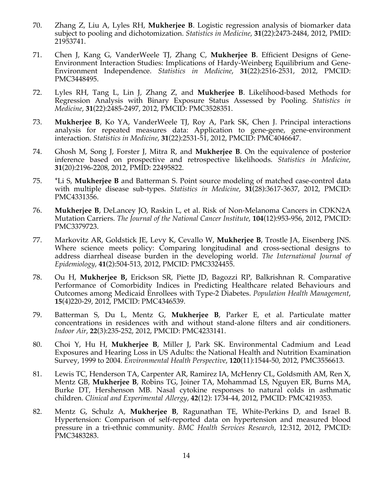- 70. Zhang Z, Liu A, Lyles RH, **Mukherjee B**. Logistic regression analysis of biomarker data subject to pooling and dichotomization. *Statistics in Medicine*, **31**(22):2473-2484, 2012, PMID: 21953741.
- 71. Chen J, Kang G, VanderWeele TJ, Zhang C, **Mukherjee B**. Efficient Designs of Gene-Environment Interaction Studies: Implications of Hardy-Weinberg Equilibrium and Gene-Environment Independence. *Statistics in Medicine*, **31**(22):2516-2531, 2012, PMCID: PMC3448495.
- 72. Lyles RH, Tang L, Lin J, Zhang Z, and **Mukherjee B**. Likelihood-based Methods for Regression Analysis with Binary Exposure Status Assessed by Pooling. *Statistics in Medicine*, **31**(22):2485-2497, 2012, PMCID: PMC3528351.
- 73. **Mukherjee B**, Ko YA, VanderWeele TJ, Roy A, Park SK, Chen J. Principal interactions analysis for repeated measures data: Application to gene-gene, gene-environment interaction. *Statistics in Medicine*, **31**(22):2531-51, 2012, PMCID: PMC4046647.
- 74. Ghosh M, Song J, Forster J, Mitra R, and **Mukherjee B**. On the equivalence of posterior inference based on prospective and retrospective likelihoods. *Statistics in Medicine*, **31**(20):2196-2208, 2012, PMID: 22495822.
- 75. \*Li S, **Mukherjee B** and Batterman S. Point source modeling of matched case-control data with multiple disease sub-types. *Statistics in Medicine*, **31**(28):3617-3637, 2012, PMCID: PMC4331356.
- 76. **Mukherjee B**, DeLancey JO, Raskin L, et al. Risk of Non-Melanoma Cancers in CDKN2A Mutation Carriers. *The Journal of the National Cancer Institute*, **104**(12):953-956, 2012, PMCID: PMC3379723.
- 77. Markovitz AR, Goldstick JE, Levy K, Cevallo W, **Mukherjee B**, Trostle JA, Eisenberg JNS. Where science meets policy: Comparing longitudinal and cross-sectional designs to address diarrheal disease burden in the developing world. *The International Journal of Epidemiology*, **41**(2):504-513, 2012, PMCID: PMC3324455.
- 78. Ou H, **Mukherjee B,** Erickson SR, Piette JD, Bagozzi RP, Balkrishnan R. Comparative Performance of Comorbidity Indices in Predicting Healthcare related Behaviours and Outcomes among Medicaid Enrollees with Type-2 Diabetes. *Population Health Management*, **15**(4)220-29, 2012, PMCID: PMC4346539.
- 79. Batterman S, Du L, Mentz G, **Mukherjee B**, Parker E, et al. Particulate matter concentrations in residences with and without stand-alone filters and air conditioners. *Indoor Air*, **22**(3):235-252, 2012, PMCID: PMC4233141.
- 80. Choi Y, Hu H, **Mukherjee B**, Miller J, Park SK. Environmental Cadmium and Lead Exposures and Hearing Loss in US Adults: the National Health and Nutrition Examination Survey, 1999 to 2004. *Environmental Health Perspective*, **120**(11):1544-50, 2012, PMC3556613.
- 81. Lewis TC, Henderson TA, Carpenter AR, Ramirez IA, McHenry CL, Goldsmith AM, Ren X, Mentz GB, **Mukherjee B**, Robins TG, Joiner TA, Mohammad LS, Nguyen ER, Burns MA, Burke DT, Hershenson MB. Nasal cytokine responses to natural colds in asthmatic children. *Clinical and Experimental Allergy*, **42**(12): 1734-44, 2012, PMCID: PMC4219353.
- 82. Mentz G, Schulz A, **Mukherjee B**, Ragunathan TE, White-Perkins D, and Israel B. Hypertension: Comparison of self-reported data on hypertension and measured blood pressure in a tri-ethnic community. *BMC Health Services Research*, 12:312, 2012, PMCID: PMC3483283.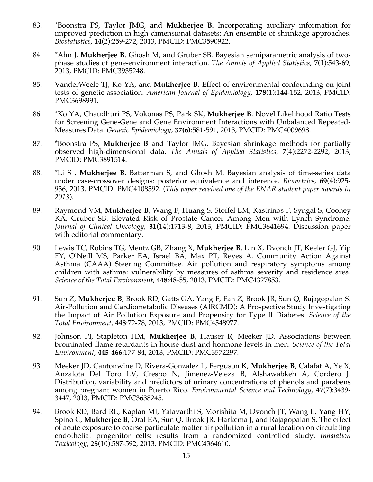- 83. \*Boonstra PS, Taylor JMG, and **Mukherjee B.** Incorporating auxiliary information for improved prediction in high dimensional datasets: An ensemble of shrinkage approaches. *Biostatistics*, **14**(2):259-272, 2013, PMCID: PMC3590922.
- 84. \*Ahn J, **Mukherjee B**, Ghosh M, and Gruber SB. Bayesian semiparametric analysis of twophase studies of gene-environment interaction. *The Annals of Applied Statistics*, **7**(1):543-69, 2013, PMCID: PMC3935248.
- 85. VanderWeele TJ, Ko YA, and **Mukherjee B**. Effect of environmental confounding on joint tests of genetic association. *American Journal of Epidemiology*, **178**(1):144-152, 2013, PMCID: PMC3698991.
- 86. \*Ko YA, Chaudhuri PS, Vokonas PS, Park SK, **Mukherjee B**. Novel Likelihood Ratio Tests for Screening Gene-Gene and Gene Environment Interactions with Unbalanced Repeated-Measures Data. *Genetic Epidemiology*, **37(6)**:581-591, 2013, PMCID: PMC4009698.
- 87. \*Boonstra PS, **Mukherjee B** and Taylor JMG. Bayesian shrinkage methods for partially observed high-dimensional data. *The Annals of Applied Statistics*, **7**(4):2272-2292, 2013, PMCID: PMC3891514.
- 88. \*Li S , **Mukherjee B**, Batterman S, and Ghosh M. Bayesian analysis of time-series data under case-crossover designs: posterior equivalence and inference. *Biometrics*, **69**(4):925- 936, 2013, PMCID: PMC4108592. (*This paper received one of the ENAR student paper awards in 2013*).
- 89. Raymond VM, **Mukherjee B**, Wang F, Huang S, Stoffel EM, Kastrinos F, Syngal S, Cooney KA, Gruber SB. Elevated Risk of Prostate Cancer Among Men with Lynch Syndrome. *Journal of Clinical Oncology*, **31**(14):1713-8, 2013, PMCID: PMC3641694. Discussion paper with editorial commentary.
- 90. Lewis TC, Robins TG, Mentz GB, Zhang X, **Mukherjee B**, Lin X, Dvonch JT, Keeler GJ, Yip FY, O'Neill MS, Parker EA, Israel BA, Max PT, Reyes A. Community Action Against Asthma (CAAA) Steering Committee. Air pollution and respiratory symptoms among children with asthma: vulnerability by measures of asthma severity and residence area. *Science of the Total Environment*, **448**:48-55, 2013, PMCID: PMC4327853.
- 91. Sun Z, **Mukherjee B**, Brook RD, Gatts GA, Yang F, Fan Z, Brook JR, Sun Q, Rajagopalan S. Air-Pollution and Cardiometabolic Diseases (AIRCMD): A Prospective Study Investigating the Impact of Air Pollution Exposure and Propensity for Type II Diabetes. *Science of the Total Environment*, **448**:72-78, 2013, PMCID: PMC4548977.
- 92. Johnson PI, Stapleton HM, **Mukherjee B**, Hauser R, Meeker JD. Associations between brominated flame retardants in house dust and hormone levels in men. *Science of the Total Environment*, **445-466:**177-84**,** 2013, PMCID: PMC3572297.
- 93. Meeker JD, Cantonwine D, Rivera-Gonzalez L, Ferguson K, **Mukherjee B**, Calafat A, Ye X, Anzalota Del Toro LV, Crespo N, Jimenez-Veleza B, Alshawabkeh A, Cordero J. Distribution, variability and predictors of urinary concentrations of phenols and parabens among pregnant women in Puerto Rico. *Environmental Science and Technology*, **47**(7):3439- 3447, 2013, PMCID: PMC3638245.
- 94. Brook RD, Bard RL, Kaplan MJ, Yalavarthi S, Morishita M, Dvonch JT, Wang L, Yang HY, Spino C, **Mukherjee B**, Oral EA, Sun Q, Brook JR, Harkema J, and Rajagopalan S. The effect of acute exposure to coarse particulate matter air pollution in a rural location on circulating endothelial progenitor cells: results from a randomized controlled study. *Inhalation Toxicology*, **25**(10):587-592, 2013, PMCID: PMC4364610.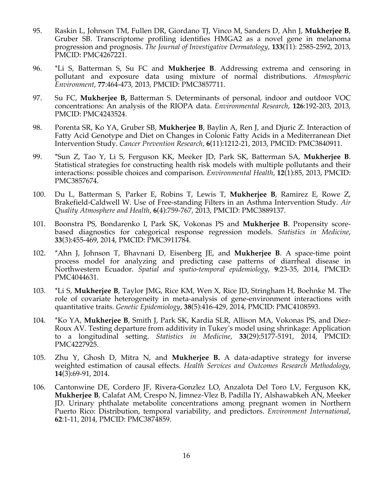- 95. Raskin L, Johnson TM, Fullen DR, Giordano TJ, Vinco M, Sanders D, Ahn J, **Mukherjee B**, Gruber SB. Transcriptome profiling identifies HMGA2 as a novel gene in melanoma progression and prognosis. *The Journal of Investigative Dermatology*, **133**(11): 2585-2592, 2013, PMCID: PMC4267221.
- 96. \*Li S, Batterman S, Su FC and **Mukherjee B**. Addressing extrema and censoring in pollutant and exposure data using mixture of normal distributions. *Atmospheric Environment*, **77**:464-473, 2013, PMCID: PMC3857711.
- 97. Su FC, **Mukherjee B,** Batterman S. Determinants of personal, indoor and outdoor VOC concentrations: An analysis of the RIOPA data. *Environmental Research*, **126**:192-203, 2013, PMCID: PMC4243524.
- 98. Porenta SR, Ko YA, Gruber SB, **Mukherjee B**, Baylin A, Ren J, and Djuric Z. Interaction of Fatty Acid Genotype and Diet on Changes in Colonic Fatty Acids in a Mediterranean Diet Intervention Study. *Cancer Prevention Research*, **6**(11):1212-21, 2013, PMCID: PMC3840911.
- 99. \*Sun Z, Tao Y, Li S, Ferguson KK, Meeker JD, Park SK, Batterman SA, **Mukherjee B**. Statistical strategies for constructing health risk models with multiple pollutants and their interactions: possible choices and comparison. *Environmental Health*, **12**(1):85, 2013, PMCID: PMC3857674.
- 100. Du L, Batterman S, Parker E, Robins T, Lewis T, **Mukherjee B**, Ramirez E, Rowe Z, Brakefield-Caldwell W. Use of Free-standing Filters in an Asthma Intervention Study. *Air Quality Atmosphere and Health*, **6**(4):759-767, 2013, PMCID: PMC3889137.
- 101. Boonstra PS, Bondarenko I, Park SK, Vokonas PS and **Mukherjee B**. Propensity scorebased diagnostics for categorical response regression models. *Statistics in Medicine*, **33**(3):455-469, 2014, PMCID: PMC3911784.
- 102. \*Ahn J, Johnson T, Bhavnani D, Eisenberg JE, and **Mukherjee B**. A space-time point process model for analyzing and predicting case patterns of diarrheal disease in Northwestern Ecuador. *Spatial and spatio-temporal epidemiology*, **9**:23-35, 2014, PMCID: PMC4044631.
- 103. \*Li S, **Mukherjee B**, Taylor JMG, Rice KM, Wen X, Rice JD, Stringham H, Boehnke M. The role of covariate heterogeneity in meta-analysis of gene-environment interactions with quantitative traits. *Genetic Epidemiology*, **38**(5):416-429, 2014, PMCID: PMC4108593.
- 104. \*Ko YA, **Mukherjee B**, Smith J, Park SK, Kardia SLR, Allison MA, Vokonas PS, and Diez-Roux AV. Testing departure from additivity in Tukey's model using shrinkage: Application to a longitudinal setting. *Statistics in Medicine*, **33**(29):5177-5191, 2014, PMCID: PMC4227925.
- 105. Zhu Y, Ghosh D, Mitra N, and **Mukherjee B.** A data-adaptive strategy for inverse weighted estimation of causal effects. *Health Services and Outcomes Research Methodology*, **14**(3):69-91, 2014.
- 106. Cantonwine DE, Cordero JF, Rivera-Gonzlez LO, Anzalota Del Toro LV, Ferguson KK, **Mukherjee B**, Calafat AM, Crespo N, Jimnez-Vlez B, Padilla IY, Alshawabkeh AN, Meeker JD. Urinary phthalate metabolite concentrations among pregnant women in Northern Puerto Rico: Distribution, temporal variability, and predictors. *Environment International*, **62**:1-11, 2014, PMCID: PMC3874859.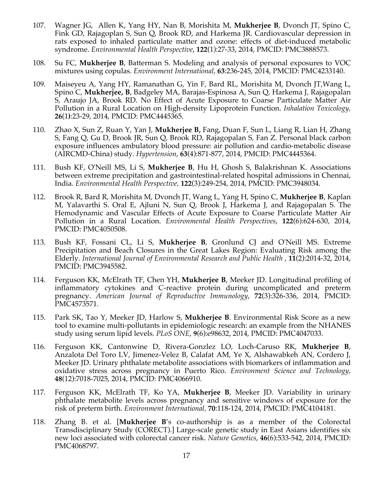- 107. Wagner JG, Allen K, Yang HY, Nan B, Morishita M, **Mukherjee B**, Dvonch JT, Spino C, Fink GD, Rajagoplan S, Sun Q, Brook RD, and Harkema JR. Cardiovascular depression in rats exposed to inhaled particulate matter and ozone: effects of diet-induced metabolic syndrome. *Environmental Health Perspective*, **122**(1):27-33, 2014, PMCID: PMC3888573.
- 108. Su FC, **Mukherjee B**, Batterman S. Modeling and analysis of personal exposures to VOC mixtures using copulas. *Environment International*, **63**:236-245, 2014, PMCID: PMC4233140.
- 109. Maiseyeu A, Yang HY, Ramanathan G, Yin F, Bard RL, Morishita M, Dvonch JT,Wang L, Spino C, **Mukherjee, B**, Badgeley MA, Barajas-Espinosa A, Sun Q, Harkema J, Rajagopalan S, Araujo JA, Brook RD. No Effect of Acute Exposure to Coarse Particulate Matter Air Pollution in a Rural Location on High-density Lipoprotein Function. *Inhalation Toxicology,* **26**(1**)**:23-29, 2014, PMCID: PMC4445365.
- 110. Zhao X, Sun Z, Ruan Y, Yan J, **Mukherjee B,** Fang, Duan F, Sun L, Liang R, Lian H, Zhang S, Fang Q, Gu D, Brook JR, Sun Q, Brook RD, Rajagopalan S, Fan Z. Personal black carbon exposure influences ambulatory blood pressure: air pollution and cardio-metabolic disease (AIRCMD-China) study. *Hypertension*, **63**(4):871-877, 2014, PMCID: PMC4445364.
- 111. Bush KF, O'Neill MS, Li S, **Mukherjee B**, Hu H, Ghosh S, Balakrishnan K. Associations between extreme precipitation and gastrointestinal-related hospital admissions in Chennai, India. *Environmental Health Perspective,* **122**(3):249-254, 2014, PMCID: PMC3948034.
- 112. Brook R, Bard R, Morishita M, Dvonch JT, Wang L, Yang H, Spino C, **Mukherjee B**, Kaplan M, Yalavarthi S. Oral E, Ajluni N, Sun Q, Brook J, Harkema J, and Rajagopalan S. The Hemodynamic and Vascular Effects of Acute Exposure to Coarse Particulate Matter Air Pollution in a Rural Location. *Environmental Health Perspectives*, **122**(6):624-630, 2014, PMCID: PMC4050508.
- 113. Bush KF, Fossani CL, Li S, **Mukherjee B**, Gronlund CJ and O'Neill MS. Extreme Precipitation and Beach Closures in the Great Lakes Region: Evaluating Risk among the Elderly. *International Journal of Environmental Research and Public Health* , **11**(2):2014-32, 2014, PMCID: PMC3945582.
- 114. Ferguson KK, McElrath TF, Chen YH, **Mukherjee B**, Meeker JD. Longitudinal profiling of inflammatory cytokines and C-reactive protein during uncomplicated and preterm pregnancy. *American Journal of Reproductive Immunology*, **72**(3):326-336, 2014, PMCID: PMC4573571.
- 115. Park SK, Tao Y, Meeker JD, Harlow S, **Mukherjee B**. Environmental Risk Score as a new tool to examine multi-pollutants in epidemiologic research: an example from the NHANES study using serum lipid levels. *PLoS ONE*, **9**(6):e98632, 2014, PMCID: PMC4047033.
- 116. Ferguson KK, Cantonwine D, Rivera-Gonzlez LO, Loch-Caruso RK, **Mukherjee B**, Anzalota Del Toro LV, Jimenez-Velez B, Calafat AM, Ye X, Alshawabkeh AN, Cordero J, Meeker JD. Urinary phthalate metabolite associations with biomarkers of inflammation and oxidative stress across pregnancy in Puerto Rico. *Environment Science and Technology,* **48**(12):7018-7025, 2014, PMCID: PMC4066910.
- 117. Ferguson KK, McElrath TF, Ko YA, **Mukherjee B**, Meeker JD. Variability in urinary phthalate metabolite levels across pregnancy and sensitive windows of exposure for the risk of preterm birth. *Environment International,* **70**:118-124, 2014, PMCID: PMC4104181.
- 118. Zhang B. et al. [**Mukherjee B**'s co-authorship is as a member of the Colorectal Transdisciplinary Study (CORECT).] Large-scale genetic study in East Asians identifies six new loci associated with colorectal cancer risk. *Nature Genetics*, **46**(6):533-542, 2014, PMCID: PMC4068797.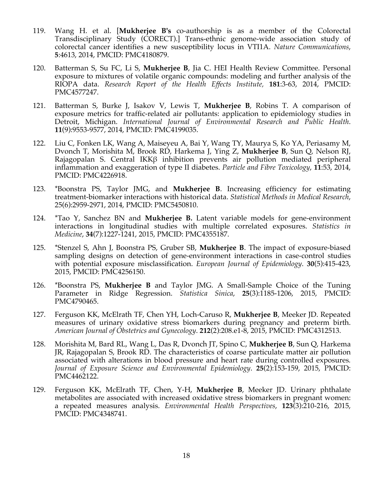- 119. Wang H. et al. [**Mukherjee B's** co-authorship is as a member of the Colorectal Transdisciplinary Study (CORECT).] Trans-ethnic genome-wide association study of colorectal cancer identifies a new susceptibility locus in VTI1A. *Nature Communications*, **5**:4613, 2014, PMCID: PMC4180879.
- 120. Batterman S, Su FC, Li S, **Mukherjee B**, Jia C. HEI Health Review Committee. Personal exposure to mixtures of volatile organic compounds: modeling and further analysis of the RIOPA data. *Research Report of the Health Effects Institute,* **181**:3-63, 2014, PMCID: PMC4577247.
- 121. Batterman S, Burke J, Isakov V, Lewis T, **Mukherjee B**, Robins T. A comparison of exposure metrics for traffic-related air pollutants: application to epidemiology studies in Detroit, Michigan. *International Journal of Environmental Research and Public Health*. **11**(9):9553-9577, 2014, PMCID: PMC4199035.
- 122. Liu C, Fonken LK, Wang A, Maiseyeu A, Bai Y, Wang TY, Maurya S, Ko YA, Periasamy M, Dvonch T, Morishita M, Brook RD, Harkema J, Ying Z, **Mukherjee B**, Sun Q, Nelson RJ, Rajagopalan S. Central IKKβ inhibition prevents air pollution mediated peripheral inflammation and exaggeration of type II diabetes. *Particle and Fibre Toxicology*, **11**:53, 2014, PMCID: PMC4226918.
- 123. \*Boonstra PS, Taylor JMG, and **Mukherjee B**. Increasing efficiency for estimating treatment-biomarker interactions with historical data. *Statistical Methods in Medical Research*, 25(6):2959-2971, 2014, PMCID: PMC5450810.
- 124. \*Tao Y, Sanchez BN and **Mukherjee B.** Latent variable models for gene-environment interactions in longitudinal studies with multiple correlated exposures. *Statistics in Medicine*, **34**(7):1227-1241, 2015, PMCID: PMC4355187.
- 125. \*Stenzel S, Ahn J, Boonstra PS, Gruber SB, **Mukherjee B**. The impact of exposure-biased sampling designs on detection of gene-environment interactions in case-control studies with potential exposure misclassification. *European Journal of Epidemiology*. **30**(5):415-423, 2015, PMCID: PMC4256150.
- 126. \*Boonstra PS, **Mukherjee B** and Taylor JMG. A Small-Sample Choice of the Tuning Parameter in Ridge Regression. *Statistica Sinica*, **25**(3):1185-1206, 2015, PMCID: PMC4790465.
- 127. Ferguson KK, McElrath TF, Chen YH, Loch-Caruso R, **Mukherjee B**, Meeker JD. Repeated measures of urinary oxidative stress biomarkers during pregnancy and preterm birth. *American Journal of Obstetrics and Gynecology*. **212**(2):208.e1-8, 2015, PMCID: PMC4312513.
- 128. Morishita M, Bard RL, Wang L, Das R, Dvonch JT, Spino C, **Mukherjee B**, Sun Q, Harkema JR, Rajagopalan S, Brook RD. The characteristics of coarse particulate matter air pollution associated with alterations in blood pressure and heart rate during controlled exposures*. Journal of Exposure Science and Environmental Epidemiology*. **25**(2):153-159, 2015, PMCID: PMC4462122.
- 129. Ferguson KK, McElrath TF, Chen, Y-H, **Mukherjee B**, Meeker JD. Urinary phthalate metabolites are associated with increased oxidative stress biomarkers in pregnant women: a repeated measures analysis. *Environmental Health Perspectives*, **123**(3):210-216, 2015, PMCID: PMC4348741.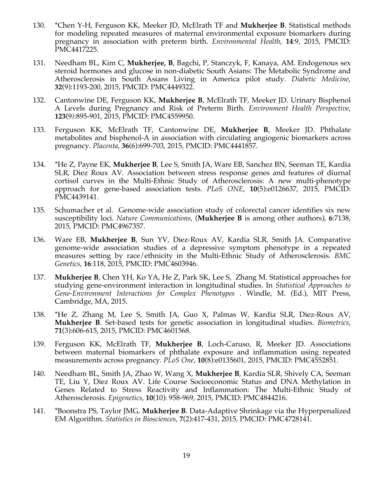- 130. \*Chen Y-H, Ferguson KK, Meeker JD, McElrath TF and **Mukherjee B**. Statistical methods for modeling repeated measures of maternal environmental exposure biomarkers during pregnancy in association with preterm birth. *Environmental Health*, **14**:9, 2015, PMCID: PMC4417225.
- 131. Needham BL, Kim C, **Mukherjee, B**, Bagchi, P, Stanczyk, F, Kanaya, AM. Endogenous sex steroid hormones and glucose in non-diabetic South Asians: The Metabolic Syndrome and Atherosclerosis in South Asians Living in America pilot study. *Diabetic Medicine*, **32**(9):1193-200, 2015, PMCID: PMC4449322.
- 132. Cantonwine DE, Ferguson KK, **Mukherjee B**, McElrath TF, Meeker JD. Urinary Bisphenol A Levels during Pregnancy and Risk of Preterm Birth. *Environment Health Perspective*, **123**(9*)*:895-901, 2015, PMCID: PMC4559950.
- 133. Ferguson KK, McElrath TF, Cantonwine DE, **Mukherjee B**, Meeker JD. Phthalate metabolites and bisphenol-A in association with circulating angiogenic biomarkers across pregnancy. *Placenta*, **36**(6):699-703, 2015, PMCID: PMC4441857.
- 134. \*He Z, Payne EK, **Mukherjee B**, Lee S, Smith JA, Ware EB, Sanchez BN, Seeman TE, Kardia SLR, Diez Roux AV. Association between stress response genes and features of diurnal cortisol curves in the Multi-Ethnic Study of Atherosclerosis: A new multi-phenotype approach for gene-based association tests. *PLoS ONE*, **10**(5):e0126637, 2015, PMCID: PMC4439141.
- 135. Schumacher et al. Genome-wide association study of colorectal cancer identifies six new susceptibility loci. *Nature Communications*, (**Mukherjee B** is among other authors), **6**:7138, 2015, PMCID: PMC4967357.
- 136. Ware EB, **Mukherjee B**, Sun YV, Diez-Roux AV, Kardia SLR, Smith JA. Comparative genome-wide association studies of a depressive symptom phenotype in a repeated measures setting by race/ethnicity in the Multi-Ethnic Study of Atherosclerosis. *BMC Genetics*, **16**:118, 2015, PMCID: PMC4603946.
- 137. **Mukherjee B**, Chen YH, Ko YA, He Z, Park SK, Lee S, Zhang M. Statistical approaches for studying gene-environment interaction in longitudinal studies. In *Statistical Approaches to Gene-Environment Interactions for Complex Phenotypes* . Windle, M. (Ed.), MIT Press, Cambridge, MA, 2015.
- 138. \*He Z, Zhang M, Lee S, Smith JA, Guo X, Palmas W, Kardia SLR, Diez-Roux AV, **Mukherjee B**. Set-based tests for genetic association in longitudinal studies. *Biometrics*, **71**(3):606-615, 2015, PMCID: PMC4601568.
- 139. Ferguson KK, McElrath TF, **Mukherjee B**, Loch-Caruso, R, Meeker JD. Associations between maternal biomarkers of phthalate exposure and inflammation using repeated measurements across pregnancy. *PLoS One*, **10**(8):e0135601, 2015, PMCID: PMC4552851.
- 140. Needham BL, Smith JA, Zhao W, Wang X, **Mukherjee B**, Kardia SLR, Shively CA, Seeman TE, Liu Y, Diez Roux AV. Life Course Socioeconomic Status and DNA Methylation in Genes Related to Stress Reactivity and Inflammation: The Multi-Ethnic Study of Atherosclerosis. *Epigenetics*, **10**(10): 958-969, 2015, PMCID: PMC4844216.
- 141. \*Boonstra PS, Taylor JMG, **Mukherjee B**. Data-Adaptive Shrinkage via the Hyperpenalized EM Algorithm. *Statistics in Biosciences*, **7**(2):417-431, 2015, PMCID: PMC4728141.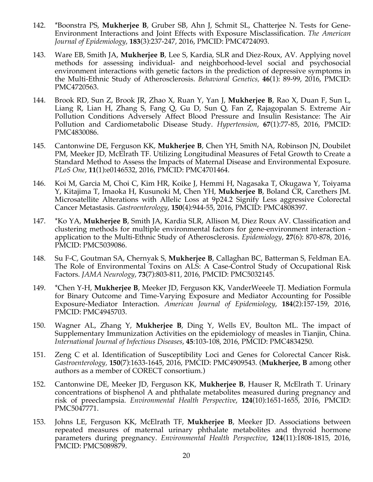- 142. \*Boonstra PS, **Mukherjee B**, Gruber SB, Ahn J, Schmit SL, Chatterjee N. Tests for Gene-Environment Interactions and Joint Effects with Exposure Misclassification. *The American Journal of Epidemiology*, **183**(3):237-247, 2016, PMCID: PMC4724093.
- 143. Ware EB, Smith JA, **Mukherjee B**, Lee S, Kardia, SLR and Diez-Roux, AV. Applying novel methods for assessing individual- and neighborhood-level social and psychosocial environment interactions with genetic factors in the prediction of depressive symptoms in the Multi-Ethnic Study of Atherosclerosis. *Behavioral Genetics,* **46**(1): 89-99, 2016, PMCID: PMC4720563.
- 144. Brook RD, Sun Z, Brook JR, Zhao X, Ruan Y, Yan J, **Mukherjee B**, Rao X, Duan F, Sun L, Liang R, Lian H, Zhang S, Fang Q, Gu D, Sun Q, Fan Z, Rajagopalan S. Extreme Air Pollution Conditions Adversely Affect Blood Pressure and Insulin Resistance: The Air Pollution and Cardiometabolic Disease Study. *Hypertension*, **67**(1):77-85, 2016, PMCID: PMC4830086.
- 145. Cantonwine DE, Ferguson KK, **Mukherjee B**, Chen YH, Smith NA, Robinson JN, Doubilet PM, Meeker JD, McElrath TF. Utilizing Longitudinal Measures of Fetal Growth to Create a Standard Method to Assess the Impacts of Maternal Disease and Environmental Exposure. *PLoS One*, **11**(1):e0146532, 2016, PMCID: PMC4701464.
- 146. Koi M, Garcia M, Choi C, Kim HR, Koike J, Hemmi H, Nagasaka T, Okugawa Y, Toiyama Y, Kitajima T, Imaoka H, Kusunoki M, Chen YH, **Mukherjee B**, Boland CR, Carethers JM. Microsatellite Alterations with Allelic Loss at 9p24.2 Signify Less aggressive Colorectal Cancer Metastasis. *Gastroenterology*, **150**(4):944-55, 2016, PMCID: PMC4808397.
- 147. \*Ko YA, **Mukherjee B**, Smith JA, Kardia SLR, Allison M, Diez Roux AV. Classification and clustering methods for multiple environmental factors for gene-environment interaction application to the Multi-Ethnic Study of Atherosclerosis. *Epidemiology*, **27**(6): 870-878, 2016, PMCID: PMC5039086.
- 148. Su F-C, Goutman SA, Chernyak S, **Mukherjee B**, Callaghan BC, Batterman S, Feldman EA. The Role of Environmental Toxins on ALS: A Case-Control Study of Occupational Risk Factors. *JAMA Neurology*, **73**(7):803-811, 2016, PMCID: PMC5032145.
- 149. \*Chen Y-H, **Mukherjee B**, Meeker JD, Ferguson KK, VanderWeeele TJ. Mediation Formula for Binary Outcome and Time-Varying Exposure and Mediator Accounting for Possible Exposure-Mediator Interaction. *American Journal of Epidemiology*, **184**(2):157-159, 2016, PMCID: PMC4945703.
- 150. Wagner AL, Zhang Y, **Mukherjee B**, Ding Y, Wells EV, Boulton ML. The impact of Supplementary Immunization Activities on the epidemiology of measles in Tianjin, China. *International Journal of Infectious Diseases*, **45**:103-108, 2016, PMCID: PMC4834250.
- 151. Zeng C et al. Identification of Susceptibility Loci and Genes for Colorectal Cancer Risk. *Gastroenterology,* **150**(7):1633-1645, 2016, PMCID: PMC4909543. (**Mukherjee, B** among other authors as a member of CORECT consortium.)
- 152. Cantonwine DE, Meeker JD, Ferguson KK, **Mukherjee B**, Hauser R, McElrath T. Urinary concentrations of bisphenol A and phthalate metabolites measured during pregnancy and risk of preeclampsia. *Environmental Health Perspective*, **124**(10):1651-1655, 2016, PMCID: PMC5047771.
- 153. Johns LE, Ferguson KK, McElrath TF, **Mukherjee B**, Meeker JD. Associations between repeated measures of maternal urinary phthalate metabolites and thyroid hormone parameters during pregnancy. *Environmental Health Perspective*, **124**(11):1808-1815, 2016, PMCID: PMC5089879.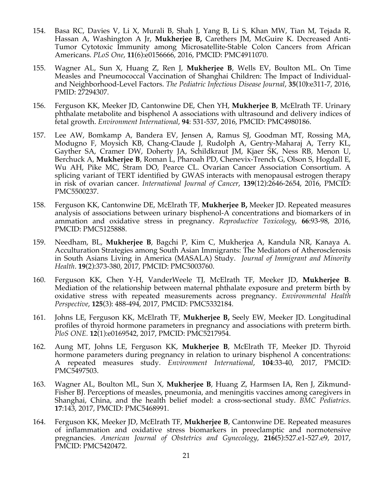- 154. Basa RC, Davies V, Li X, Murali B, Shah J, Yang B, Li S, Khan MW, Tian M, Tejada R, Hassan A, Washington A Jr, **Mukherjee B,** Carethers JM, McGuire K. Decreased Anti-Tumor Cytotoxic Immunity among Microsatellite-Stable Colon Cancers from African Americans. *PLoS One*, **11**(6):e0156666, 2016, PMCID: PMC4911070.
- 155. Wagner AL, Sun X, Huang Z, Ren J, **Mukherjee B**, Wells EV, Boulton ML. On Time Measles and Pneumococcal Vaccination of Shanghai Children: The Impact of Individualand Neighborhood-Level Factors. *The Pediatric Infectious Disease Journal*, **35**(10**)**:e311-7, 2016, PMID: 27294307.
- 156. Ferguson KK, Meeker JD, Cantonwine DE, Chen YH, **Mukherjee B**, McElrath TF. Urinary phthalate metabolite and bisphenol A associations with ultrasound and delivery indices of fetal growth. *Environment International*, **94**: 531-537, 2016, PMCID: PMC4980186.
- 157. Lee AW, Bomkamp A, Bandera EV, Jensen A, Ramus SJ, Goodman MT, Rossing MA, Modugno F, Moysich KB, Chang-Claude J, Rudolph A, Gentry-Maharaj A, Terry KL, Gayther SA, Cramer DW, Doherty JA, Schildkraut JM, Kjaer SK, Ness RB, Menon U, Berchuck A, **Mukherjee B**, Roman L, Pharoah PD, Chenevix-Trench G, Olson S, Hogdall E, Wu AH, Pike MC, Stram DO, Pearce CL. Ovarian Cancer Association Consortium. A splicing variant of TERT identified by GWAS interacts with menopausal estrogen therapy in risk of ovarian cancer. *International Journal of Cancer*, **139**(12):2646-2654, 2016, PMCID: PMC5500237.
- 158. Ferguson KK, Cantonwine DE, McElrath TF, **Mukherjee B,** Meeker JD. Repeated measures analysis of associations between urinary bisphenol-A concentrations and biomarkers of in ammation and oxidative stress in pregnancy. *Reproductive Toxicology*, **66**:93-98, 2016, PMCID: PMC5125888.
- 159. Needham, BL, **Mukherjee B**, Bagchi P, Kim C, Mukherjea A, Kandula NR, Kanaya A. Acculturation Strategies among South Asian Immigrants: The Mediators of Atherosclerosis in South Asians Living in America (MASALA) Study. *Journal of Immigrant and Minority Health*. **19**(2):373-380, 2017, PMCID: PMC5003760.
- 160. Ferguson KK, Chen Y-H, VanderWeele TJ, McElrath TF, Meeker JD, **Mukherjee B**. Mediation of the relationship between maternal phthalate exposure and preterm birth by oxidative stress with repeated measurements across pregnancy. *Environmental Health Perspective*, **125**(3): 488-494, 2017, PMCID: PMC5332184.
- 161. Johns LE, Ferguson KK, McElrath TF, **Mukherjee B,** Seely EW, Meeker JD. Longitudinal profiles of thyroid hormone parameters in pregnancy and associations with preterm birth. *PloS ONE.* **12**(1):e0169542, 2017, PMCID: PMC5217954.
- 162. Aung MT, Johns LE, Ferguson KK, **Mukherjee B**, McElrath TF, Meeker JD. Thyroid hormone parameters during pregnancy in relation to urinary bisphenol A concentrations: A repeated measures study. *Environment International*, **104**:33-40, 2017, PMCID: PMC5497503.
- 163. Wagner AL, Boulton ML, Sun X, **Mukherjee B**, Huang Z, Harmsen IA, Ren J, Zikmund-Fisher BJ. Perceptions of measles, pneumonia, and meningitis vaccines among caregivers in Shanghai, China, and the health belief model: a cross-sectional study. *BMC Pediatrics*. **17**:143, 2017, PMCID: PMC5468991.
- 164. Ferguson KK, Meeker JD, McElrath TF, **Mukherjee B**, Cantonwine DE. Repeated measures of inflammation and oxidative stress biomarkers in preeclamptic and normotensive pregnancies. *American Journal of Obstetrics and Gynecology*, **216(**5):527.e1-527.e9, 2017, PMCID: PMC5420472.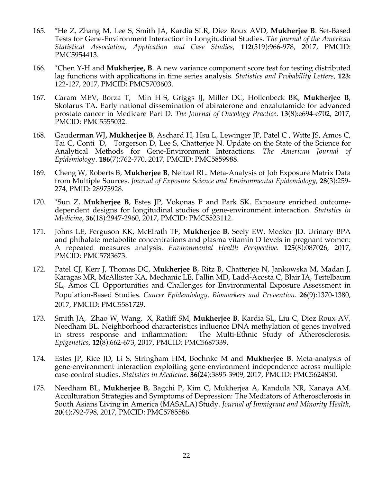- 165. \*He Z, Zhang M, Lee S, Smith JA, Kardia SLR, Diez Roux AVD, **Mukherjee B**. Set-Based Tests for Gene-Environment Interaction in Longitudinal Studies. *The Journal of the American Statistical Association*, *Application and Case Studies*, **112**(519):966-978, 2017, PMCID: PMC5954413.
- 166. \*Chen Y-H and **Mukherjee, B**. A new variance component score test for testing distributed lag functions with applications in time series analysis. *Statistics and Probability Letters,* **123:**  122-127, 2017, PMCID: PMC5703603.
- 167. Caram MEV, Borza T, Min H-S, Griggs JJ, Miller DC, Hollenbeck BK, **Mukherjee B**, Skolarus TA. Early national dissemination of abiraterone and enzalutamide for advanced prostate cancer in Medicare Part D. *The Journal of Oncology Practice*. **13**(8):e694-e702, 2017, PMCID: PMC5555032.
- 168. Gauderman WJ**, Mukherjee B**, Aschard H, Hsu L, Lewinger JP, Patel C , Witte JS, Amos C, Tai C, Conti D, Torgerson D, Lee S, Chatterjee N. Update on the State of the Science for Analytical Methods for Gene-Environment Interactions. *The American Journal of Epidemiolog*y. **186**(7):762-770, 2017, PMCID: PMC5859988.
- 169. Cheng W, Roberts B, **Mukherjee B**, Neitzel RL. Meta-Analysis of Job Exposure Matrix Data from Multiple Sources. *Journal of Exposure Science and Environmental Epidemiology*, **28**(3):259- 274, PMID: 28975928.
- 170. \*Sun Z, **Mukherjee B**, Estes JP, Vokonas P and Park SK. Exposure enriched outcomedependent designs for longitudinal studies of gene-environment interaction. *Statistics in Medicine*, **36**(18):2947-2960, 2017, PMCID: PMC5523112.
- 171. Johns LE, Ferguson KK, McElrath TF, **Mukherjee B**, Seely EW, Meeker JD. Urinary BPA and phthalate metabolite concentrations and plasma vitamin D levels in pregnant women: A repeated measures analysis. *Environmental Health Perspective*. **125**(8):087026, 2017, PMCID: PMC5783673.
- 172. Patel CJ, Kerr J, Thomas DC, **Mukherjee B**, Ritz B, Chatterjee N, Jankowska M, Madan J, Karagas MR, McAllister KA, Mechanic LE, Fallin MD, Ladd-Acosta C, Blair IA, Teitelbaum SL, Amos CI. Opportunities and Challenges for Environmental Exposure Assessment in Population-Based Studies. *Cancer Epidemiology, Biomarkers and Prevention.* **26**(9):1370-1380, 2017, PMCID: PMC5581729.
- 173. Smith JA, Zhao W, Wang, X, Ratliff SM, **Mukherjee B**, Kardia SL, Liu C, Diez Roux AV, Needham BL. Neighborhood characteristics influence DNA methylation of genes involved in stress response and inflammation: The Multi-Ethnic Study of Atherosclerosis. *Epigenetics*, **12**(8):662-673, 2017, PMCID: PMC5687339.
- 174. Estes JP, Rice JD, Li S, Stringham HM, Boehnke M and **Mukherjee B**. Meta-analysis of gene-environment interaction exploiting gene-environment independence across multiple case-control studies. *Statistics in Medicine*. **36**(24):3895-3909, 2017, PMCID: PMC5624850.
- 175. Needham BL, **Mukherjee B**, Bagchi P, Kim C, Mukherjea A, Kandula NR, Kanaya AM. Acculturation Strategies and Symptoms of Depression: The Mediators of Atherosclerosis in South Asians Living in America (MASALA) Study. *Journal of Immigrant and Minority Health*, **20**(4):792-798, 2017, PMCID: PMC5785586.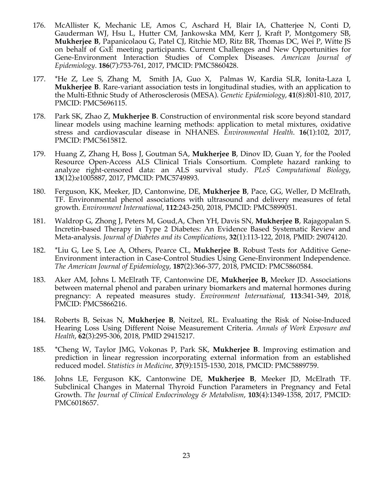- 176. McAllister K, Mechanic LE, Amos C, Aschard H, Blair IA, Chatterjee N, Conti D, Gauderman WJ, Hsu L, Hutter CM, Jankowska MM, Kerr J, Kraft P, Montgomery SB, **Mukherjee B**, Papanicolaou G, Patel CJ, Ritchie MD, Ritz BR, Thomas DC, Wei P, Witte JS on behalf of GxE meeting participants. Current Challenges and New Opportunities for Gene-Environment Interaction Studies of Complex Diseases. *American Journal of Epidemiology*. **186**(7):753-761, 2017, PMCID: PMC5860428.
- 177. \*He Z, Lee S, Zhang M, Smith JA, Guo X, Palmas W, Kardia SLR, Ionita-Laza I, **Mukherjee B**. Rare-variant association tests in longitudinal studies, with an application to the Multi-Ethnic Study of Atherosclerosis (MESA). *Genetic Epidemiology*, **41**(8):801-810, 2017, PMCID: PMC5696115.
- 178. Park SK, Zhao Z, **Mukherjee B**. Construction of environmental risk score beyond standard linear models using machine learning methods: application to metal mixtures, oxidative stress and cardiovascular disease in NHANES. *Environmental Health*. **16**(1):102, 2017, PMCID: PMC5615812.
- 179. Huang Z, Zhang H, Boss J, Goutman SA, **Mukherjee B**, Dinov ID, Guan Y, for the Pooled Resource Open-Access ALS Clinical Trials Consortium. Complete hazard ranking to analyze right-censored data: an ALS survival study. *PLoS Computational Biology*, **13**(12):e1005887, 2017, PMCID: PMC5749893.
- 180. Ferguson, KK, Meeker, JD, Cantonwine, DE, **Mukherjee B**, Pace, GG, Weller, D McElrath, TF. Environmental phenol associations with ultrasound and delivery measures of fetal growth. *Environment International*, **112**:243-250, 2018, PMCID: PMC5899051.
- 181. Waldrop G, Zhong J, Peters M, Goud,A, Chen YH, Davis SN, **Mukherjee B**, Rajagopalan S. Incretin-based Therapy in Type 2 Diabetes: An Evidence Based Systematic Review and Meta-analysis. *Journal of Diabetes and its Complications*, **32**(1):113-122, 2018, PMID: 29074120.
- 182. \*Liu G, Lee S, Lee A, Others, Pearce CL, **Mukherjee B**. Robust Tests for Additive Gene-Environment interaction in Case-Control Studies Using Gene-Environment Independence. *The American Journal of Epidemiology*, **187**(2):366-377, 2018, PMCID: PMC5860584.
- 183. Aker AM, Johns L McElrath TF, Cantonwine DE, **Mukherjee B,** Meeker JD. Associations between maternal phenol and paraben urinary biomarkers and maternal hormones during pregnancy: A repeated measures study. *Environment International*, **113**:341-349, 2018, PMCID: PMC5866216.
- 184. Roberts B, Seixas N, **Mukherjee B**, Neitzel, RL. Evaluating the Risk of Noise-Induced Hearing Loss Using Different Noise Measurement Criteria. *Annals of Work Exposure and Health*, **62**(3):295-306, 2018, PMID 29415217.
- 185. \*Cheng W, Taylor JMG, Vokonas P, Park SK, **Mukherjee B**. Improving estimation and prediction in linear regression incorporating external information from an established reduced model. *Statistics in Medicine,* **37**(9):1515-1530, 2018, PMCID: PMC5889759.
- 186. Johns LE, Ferguson KK, Cantonwine DE, **Mukherjee B**, Meeker JD, McElrath TF. Subclinical Changes in Maternal Thyroid Function Parameters in Pregnancy and Fetal Growth. *The Journal of Clinical Endocrinology & Metabolism*, **103**(4):1349-1358, 2017, PMCID: PMC6018657.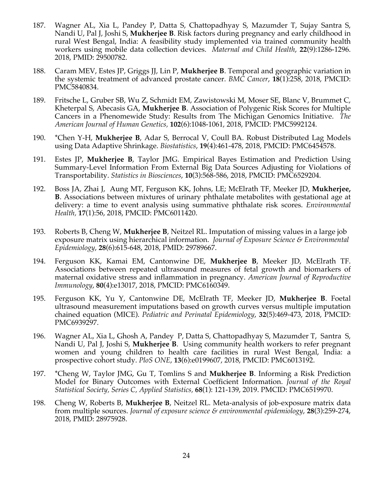- 187. Wagner AL, Xia L, Pandey P, Datta S, Chattopadhyay S, Mazumder T, Sujay Santra S, Nandi U, Pal J, Joshi S, **Mukherjee B**. Risk factors during pregnancy and early childhood in rural West Bengal, India: A feasibility study implemented via trained community health workers using mobile data collection devices. *Maternal and Child Health*, **22**(9):1286-1296. 2018, PMID: 29500782.
- 188. Caram MEV, Estes JP, Griggs JJ, Lin P, **Mukherjee B**. Temporal and geographic variation in the systemic treatment of advanced prostate cancer. *BMC Cancer*, **18**(1):258, 2018, PMCID: PMC5840834.
- 189. Fritsche L, Gruber SB, Wu Z, Schmidt EM, Zawistowski M, Moser SE, Blanc V, Brummet C, Kheterpal S, Abecasis GA, **Mukherjee B**. Association of Polygenic Risk Scores for Multiple Cancers in a Phenomewide Study: Results from The Michigan Genomics Initiative. *The American Journal of Human Genetics,* **102**(6):1048-1061, 2018, PMCID: PMC5992124.
- 190. \*Chen Y-H, **Mukherjee B**, Adar S, Berrocal V, Coull BA. Robust Distributed Lag Models using Data Adaptive Shrinkage. *Biostatistics*, **19**(4):461-478, 2018, PMCID: PMC6454578.
- 191. Estes JP, **Mukherjee B**, Taylor JMG. Empirical Bayes Estimation and Prediction Using Summary-Level Information From External Big Data Sources Adjusting for Violations of Transportability. *Statistics in Biosciences*, **10**(3):568-586, 2018, PMCID: PMC6529204.
- 192. Boss JA, Zhai J, Aung MT, Ferguson KK, Johns, LE; McElrath TF, Meeker JD, **Mukherjee, B**. Associations between mixtures of urinary phthalate metabolites with gestational age at delivery: a time to event analysis using summative phthalate risk scores. *Environmental Health,* **17**(1):56, 2018, PMCID: PMC6011420.
- 193. Roberts B, Cheng W, **Mukherjee B**, Neitzel RL. Imputation of missing values in a large job exposure matrix using hierarchical information. *Journal of Exposure Science & Environmental Epidemiology*, **28**(6):615-648, 2018, PMID: 29789667.
- 194. Ferguson KK, Kamai EM, Cantonwine DE, **Mukherjee B**, Meeker JD, McElrath TF. Associations between repeated ultrasound measures of fetal growth and biomarkers of maternal oxidative stress and inflammation in pregnancy. *American Journal of Reproductive Immunology*, **80**(4):e13017, 2018, PMCID: PMC6160349.
- 195. Ferguson KK, Yu Y, Cantonwine DE, McElrath TF, Meeker JD, **Mukherjee B**. Foetal ultrasound measurement imputations based on growth curves versus multiple imputation chained equation (MICE). *Pediatric and Perinatal Epidemiology*, **32**(5):469-473, 2018, PMCID: PMC6939297.
- 196. Wagner AL, Xia L, Ghosh A, Pandey P, Datta S, Chattopadhyay S, Mazumder T, Santra S, Nandi U, Pal J, Joshi S, **Mukherjee B**. Using community health workers to refer pregnant women and young children to health care facilities in rural West Bengal, India: a prospective cohort study. *PloS ONE*, **13**(6):e0199607, 2018, PMCID: PMC6013192.
- 197. \*Cheng W, Taylor JMG, Gu T, Tomlins S and **Mukherjee B**. Informing a Risk Prediction Model for Binary Outcomes with External Coefficient Information. *Journal of the Royal Statistical Society, Series C, Applied Statistics,* **68**(1): 121-139, 2019. PMCID: PMC6519970.
- 198. Cheng W, Roberts B, **Mukherjee B**, Neitzel RL. Meta-analysis of job-exposure matrix data from multiple sources. *Journal of exposure science & environmental epidemiology*, **28**(3):259-274, 2018, PMID: 28975928.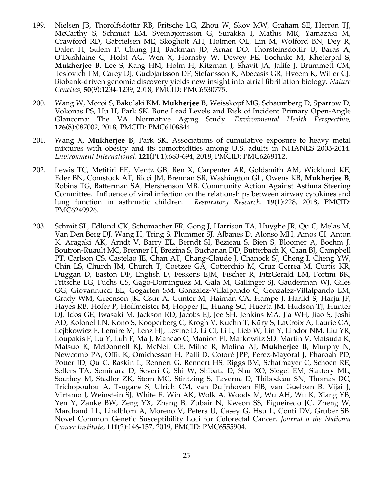- 199. Nielsen JB, Thorolfsdottir RB, Fritsche LG, Zhou W, Skov MW, Graham SE, Herron TJ, McCarthy S, Schmidt EM, Sveinbjornsson G, Surakka I, Mathis MR, Yamazaki M, Crawford RD, Gabrielsen ME, Skogholt AH, Holmen OL, Lin M, Wolford BN, Dey R, Dalen H, Sulem P, Chung JH, Backman JD, Arnar DO, Thorsteinsdottir U, Baras A, O'Dushlaine C, Holst AG, Wen X, Hornsby W, Dewey FE, Boehnke M, Kheterpal S, **Mukherjee B**, Lee S, Kang HM, Holm H, Kitzman J, Shavit JA, Jalife J, Brummett CM, Teslovich TM, Carey DJ, Gudbjartsson DF, Stefansson K, Abecasis GR, Hveem K, Willer CJ. Biobank-driven genomic discovery yields new insight into atrial fibrillation biology. *Nature Genetics,* **50**(9):1234-1239, 2018, PMCID: PMC6530775.
- 200. Wang W, Moroi S, Bakulski KM, **Mukherjee B**, Weisskopf MG, Schaumberg D, Sparrow D, Vokonas PS, Hu H, Park SK. Bone Lead Levels and Risk of Incident Primary Open-Angle Glaucoma: The VA Normative Aging Study*. Environmental Health Perspect*ive, **126**(8):087002, 2018, PMCID: PMC6108844.
- 201. Wang X, **Mukherjee B**, Park SK. Associations of cumulative exposure to heavy metal mixtures with obesity and its comorbidities among U.S. adults in NHANES 2003-2014. *Environment International*. **121**(Pt 1):683-694, 2018, PMCID: PMC6268112.
- 202. Lewis TC, Metitiri EE, Mentz GB, Ren X, Carpenter AR, Goldsmith AM, Wicklund KE, Eder BN, Comstock AT, Ricci JM, Brennan SR, Washington GL, Owens KB, **Mukherjee B**, Robins TG, Batterman SA, Hershenson MB. Community Action Against Asthma Steering Committee. Influence of viral infection on the relationships between airway cytokines and lung function in asthmatic children. *Respiratory Research*. **19**(1):228, 2018, PMCID: PMC6249926.
- 203. Schmit SL, Edlund CK, Schumacher FR, Gong J, Harrison TA, Huyghe JR, Qu C, Melas M, Van Den Berg DJ, Wang H, Tring S, Plummer SJ, Albanes D, Alonso MH, Amos CI, Anton K, Aragaki AK, Arndt V, Barry EL, Berndt SI, Bezieau S, Bien S, Bloomer A, Boehm J, Boutron-Ruault MC, Brenner H, Brezina S, Buchanan DD, Butterbach K, Caan BJ, Campbell PT, Carlson CS, Castelao JE, Chan AT, Chang-Claude J, Chanock SJ, Cheng I, Cheng YW, Chin LS, Church JM, Church T, Coetzee GA, Cotterchio M, Cruz Correa M, Curtis KR, Duggan D, Easton DF, English D, Feskens EJM, Fischer R, FitzGerald LM, Fortini BK, Fritsche LG, Fuchs CS, Gago-Dominguez M, Gala M, Gallinger SJ, Gauderman WJ, Giles GG, Giovannucci EL, Gogarten SM, Gonzalez-Villalpando C, Gonzalez-Villalpando EM, Grady WM, Greenson JK, Gsur A, Gunter M, Haiman CA, Hampe J, Harlid S, Harju JF, Hayes RB, Hofer P, Hoffmeister M, Hopper JL, Huang SC, Huerta JM, Hudson TJ, Hunter DJ, Idos GE, Iwasaki M, Jackson RD, Jacobs EJ, Jee SH, Jenkins MA, Jia WH, Jiao S, Joshi AD, Kolonel LN, Kono S, Kooperberg C, Krogh V, Kuehn T, Küry S, LaCroix A, Laurie CA, Lejbkowicz F, Lemire M, Lenz HJ, Levine D, Li CI, Li L, Lieb W, Lin Y, Lindor NM, Liu YR, Loupakis F, Lu Y, Luh F, Ma J, Mancao C, Manion FJ, Markowitz SD, Martin V, Matsuda K, Matsuo K, McDonnell KJ, McNeil CE, Milne R, Molina AJ, **Mukherjee B**, Murphy N, Newcomb PA, Offit K, Omichessan H, Palli D, Cotoré JPP, Pérez-Mayoral J, Pharoah PD, Potter JD, Qu C, Raskin L, Rennert G, Rennert HS, Riggs BM, Schafmayer C, Schoen RE, Sellers TA, Seminara D, Severi G, Shi W, Shibata D, Shu XO, Siegel EM, Slattery ML, Southey M, Stadler ZK, Stern MC, Stintzing S, Taverna D, Thibodeau SN, Thomas DC, Trichopoulou A, Tsugane S, Ulrich CM, van Duijnhoven FJB, van Guelpan B, Vijai J, Virtamo J, Weinstein SJ, White E, Win AK, Wolk A, Woods M, Wu AH, Wu K, Xiang YB, Yen Y, Zanke BW, Zeng YX, Zhang B, Zubair N, Kweon SS, Figueiredo JC, Zheng W, Marchand LL, Lindblom A, Moreno V, Peters U, Casey G, Hsu L, Conti DV, Gruber SB. Novel Common Genetic Susceptibility Loci for Colorectal Cancer*. Journal o the National Cancer Institute,* **111**(2):146-157*,* 2019, PMCID: PMC6555904.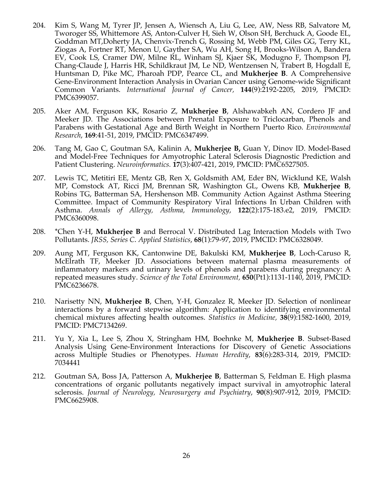- 204. Kim S, Wang M, Tyrer JP, Jensen A, Wiensch A, Liu G, Lee, AW, Ness RB, Salvatore M, Tworoger SS, Whittemore AS, Anton-Culver H, Sieh W, Olson SH, Berchuck A, Goode EL, Goddman MT,Doherty JA, Chenvix-Trench G, Rossing M, Webb PM, Giles GG, Terry KL, Ziogas A, Fortner RT, Menon U, Gayther SA, Wu AH, Song H, Brooks-Wilson A, Bandera EV, Cook LS, Cramer DW, Milne RL, Winham SJ, Kjaer SK, Modugno F, Thompson PJ, Chang-Claude J, Harris HR, Schildkraut JM, Le ND, Wentzensen N, Trabert B, Hogdall E, Huntsman D, Pike MC, Pharoah PDP, Pearce CL, and **Mukherjee B**. A Comprehensive Gene-Environment Interaction Analysis in Ovarian Cancer using Genome-wide Significant Common Variants. *International Journal of Cancer,* **144**(9):2192-2205, 2019, PMCID: PMC6399057.
- 205. Aker AM, Ferguson KK, Rosario Z, **Mukherjee B**, Alshawabkeh AN, Cordero JF and Meeker JD. The Associations between Prenatal Exposure to Triclocarban, Phenols and Parabens with Gestational Age and Birth Weight in Northern Puerto Rico. *Environmental Research*, **169**:41-51, 2019, PMCID: PMC6347499.
- 206. Tang M, Gao C, Goutman SA, Kalinin A, **Mukherjee B,** Guan Y, Dinov ID. Model-Based and Model-Free Techniques for Amyotrophic Lateral Sclerosis Diagnostic Prediction and Patient Clustering. *Neuroinformatics.* **17**(3):407-421, 2019, PMCID: PMC6527505.
- 207. Lewis TC, Metitiri EE, Mentz GB, Ren X, Goldsmith AM, Eder BN, Wicklund KE, Walsh MP, Comstock AT, Ricci JM, Brennan SR, Washington GL, Owens KB, **Mukherjee B**, Robins TG, Batterman SA, Hershenson MB. Community Action Against Asthma Steering Committee. Impact of Community Respiratory Viral Infections In Urban Children with Asthma. *Annals of Allergy, Asthma, Immunology*, **122**(2):175-183.e2, 2019, PMCID: PMC6360098.
- 208. \*Chen Y-H, **Mukherjee B** and Berrocal V. Distributed Lag Interaction Models with Two Pollutants. *JRSS, Series C*. *Applied Statistics*, **68**(1):79-97, 2019, PMCID: PMC6328049.
- 209. Aung MT, Ferguson KK, Cantonwine DE, Bakulski KM, **Mukherjee B**, Loch-Caruso R, McElrath TF, Meeker JD. Associations between maternal plasma measurements of inflammatory markers and urinary levels of phenols and parabens during pregnancy: A repeated measures study. *Science of the Total Environment,* **650**(Pt1):1131-1140, 2019, PMCID: PMC6236678.
- 210. Narisetty NN, **Mukherjee B**, Chen, Y-H, Gonzalez R, Meeker JD. Selection of nonlinear interactions by a forward stepwise algorithm: Application to identifying environmental chemical mixtures affecting health outcomes. *Statistics in Medicine,* **38**(9):1582-1600, 2019, PMCID: PMC7134269.
- 211. Yu Y, Xia L, Lee S, Zhou X, Stringham HM, Boehnke M, **Mukherjee B**. Subset-Based Analysis Using Gene-Environment Interactions for Discovery of Genetic Associations across Multiple Studies or Phenotypes. *Human Heredity*, **83**(6):283-314, 2019, PMCID: 7034441
- 212. Goutman SA, Boss JA, Patterson A, **Mukherjee B**, Batterman S, Feldman E. High plasma concentrations of organic pollutants negatively impact survival in amyotrophic lateral sclerosis. *Journal of Neurology, Neurosurgery and Psychiatry*, **90**(8):907-912, 2019, PMCID: PMC6625908.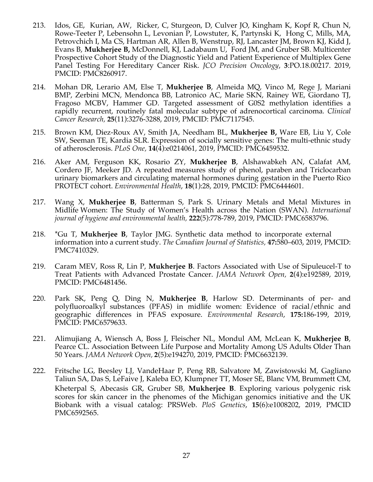- 213. Idos, GE, Kurian, AW, Ricker, C, Sturgeon, D, Culver JO, Kingham K, Kopf R, Chun N, Rowe-Teeter P, Lebensohn L, Levonian P, Lowstuter, K, Partynski K, Hong C, Mills, MA, Petrovchich I, Ma CS, Hartman AR, Allen B, Wenstrup, RJ, Lancaster JM, Brown KJ, Kidd J, Evans B, **Mukherjee B,** McDonnell, KJ, Ladabaum U, Ford JM, and Gruber SB. Multicenter Prospective Cohort Study of the Diagnostic Yield and Patient Experience of Multiplex Gene Panel Testing For Hereditary Cancer Risk. *JCO Precision Oncology*, **3**:PO.18.00217. 2019, PMCID: PMC8260917.
- 214. Mohan DR, Lerario AM, Else T, **Mukherjee B**, Almeida MQ, Vinco M, Rege J, Mariani BMP, Zerbini MCN, Mendonca BB, Latronico AC, Marie SKN, Rainey WE, Giordano TJ, Fragoso MCBV, Hammer GD. Targeted assessment of G0S2 methylation identifies a rapidly recurrent, routinely fatal molecular subtype of adrenocortical carcinoma*. Clinical Cancer Research,* **25**(11):3276-3288, 2019, PMCID: PMC7117545.
- 215. Brown KM, Diez-Roux AV, Smith JA, Needham BL, **Mukherjee B,** Ware EB, Liu Y, Cole SW, Seeman TE, Kardia SLR. Expression of socially sensitive genes: The multi-ethnic study of atherosclerosis. *PLoS One,* **14**(4):e0214061, 2019, PMCID: PMC6459532.
- 216. Aker AM, Ferguson KK, Rosario ZY, **Mukherjee B**, Alshawabkeh AN, Calafat AM, Cordero JF, Meeker JD. A repeated measures study of phenol, paraben and Triclocarban urinary biomarkers and circulating maternal hormones during gestation in the Puerto Rico PROTECT cohort. *Environmental Health*, **18**(1):28, 2019, PMCID: PMC6444601.
- 217. Wang X, **Mukherjee B**, Batterman S, Park S. Urinary Metals and Metal Mixtures in Midlife Women: The Study of Women's Health across the Nation (SWAN). *International journal of hygiene and environmental health,* **222**(5):778-789, 2019, PMCID: PMC6583796.
- 218. \*Gu T, **Mukherjee B**, Taylor JMG. Synthetic data method to incorporate external information into a current study. *The Canadian Journal of Statistics,* **47:**580–603, 2019, PMCID: PMC7410329.
- 219. Caram MEV, Ross R, Lin P, **Mukherjee B**. Factors Associated with Use of Sipuleucel-T to Treat Patients with Advanced Prostate Cancer. *JAMA Network Open,* **2**(4):e192589, 2019, PMCID: PMC6481456.
- 220. Park SK, Peng Q, Ding N, **Mukherjee B**, Harlow SD. Determinants of per- and polyfluoroalkyl substances (PFAS) in midlife women: Evidence of racial/ethnic and geographic differences in PFAS exposure. *Environmental Research*, **175:**186-199, 2019, PMCID: PMC6579633.
- 221. Alimujiang A, Wiensch A, Boss J, Fleischer NL, Mondul AM, McLean K, **Mukherjee B**, Pearce CL. Association Between Life Purpose and Mortality Among US Adults Older Than 50 Years. *JAMA Network Open,* **2**(5):e194270, 2019, PMCID: PMC6632139.
- 222. Fritsche LG, Beesley LJ, VandeHaar P, Peng RB, Salvatore M, Zawistowski M, Gagliano Taliun SA, Das S, LeFaive J, Kaleba EO, Klumpner TT, Moser SE, Blanc VM, Brummett CM, Kheterpal S, Abecasis GR, Gruber SB, **Mukherjee B**. Exploring various polygenic risk scores for skin cancer in the phenomes of the Michigan genomics initiative and the UK Biobank with a visual catalog: PRSWeb. *PloS Genetics*, **15**(6):e1008202, 2019, PMCID PMC6592565.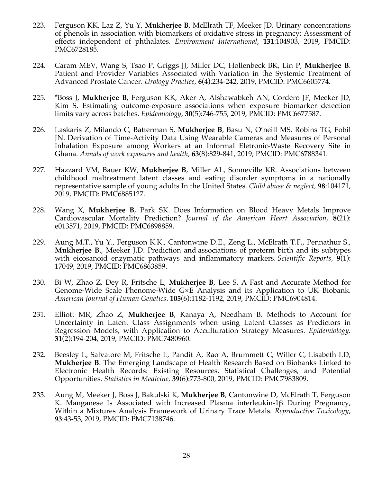- 223. Ferguson KK, Laz Z, Yu Y, **Mukherjee B**, McElrath TF, Meeker JD. Urinary concentrations of phenols in association with biomarkers of oxidative stress in pregnancy: Assessment of effects independent of phthalates. *Environment International*, **131**:104903, 2019, PMCID: PMC6728185.
- 224. Caram MEV, Wang S, Tsao P, Griggs JJ, Miller DC, Hollenbeck BK, Lin P, **Mukherjee B**. Patient and Provider Variables Associated with Variation in the Systemic Treatment of Advanced Prostate Cancer. *Urology Practice,* **6**(4):234-242, 2019, PMCID: PMC6605774.
- 225. \*Boss J, **Mukherjee B**, Ferguson KK, Aker A, Alshawabkeh AN, Cordero JF, Meeker JD, Kim S. Estimating outcome-exposure associations when exposure biomarker detection limits vary across batches. *Epidemiology*, **30**(5):746-755, 2019, PMCID: PMC6677587.
- 226. Laskaris Z, Milando C, Batterman S, **Mukherjee B**, Basu N, O'neill MS, Robins TG, Fobil JN. Derivation of Time-Activity Data Using Wearable Cameras and Measures of Personal Inhalation Exposure among Workers at an Informal Eletronic-Waste Recovery Site in Ghana. *Annals of work exposures and health*, **63**(8):829-841, 2019, PMCID: PMC6788341.
- 227. Hazzard VM, Bauer KW, **Mukherjee B**, Miller AL, Sonneville KR. Associations between childhood maltreatment latent classes and eating disorder symptoms in a nationally representative sample of young adults In the United States. *Child abuse & neglect,* **98**:104171, 2019, PMCID: PMC6885127.
- 228. Wang X, **Mukherjee B**, Park SK. Does Information on Blood Heavy Metals Improve Cardiovascular Mortality Prediction? *Journal of the American Heart Association*, **8(**21): e013571, 2019, PMCID: PMC6898859.
- 229. Aung M.T., Yu Y., Ferguson K.K., Cantonwine D.E., Zeng L., McElrath T.F., Pennathur S., **Mukherjee B**., Meeker J.D. Prediction and associations of preterm birth and its subtypes with eicosanoid enzymatic pathways and inflammatory markers. *Scientific Reports,* **9**(1): 17049, 2019, PMCID: PMC6863859.
- 230. Bi W, Zhao Z, Dey R, Fritsche L, **Mukherjee B**, Lee S. A Fast and Accurate Method for Genome-Wide Scale Phenome-Wide G×E Analysis and its Application to UK Biobank. *American Journal of Human Genetics*. **105**(6):1182-1192, 2019, PMCID: PMC6904814.
- 231. Elliott MR, Zhao Z, **Mukherjee B**, Kanaya A, Needham B. Methods to Account for Uncertainty in Latent Class Assignments when using Latent Classes as Predictors in Regression Models, with Application to Acculturation Strategy Measures. *Epidemiology.* **31**(2):194-204, 2019, PMCID: PMC7480960.
- 232. Beesley L, Salvatore M, Fritsche L, Pandit A, Rao A, Brummett C, Willer C, Lisabeth LD, **Mukherjee B**. The Emerging Landscape of Health Research Based on Biobanks Linked to Electronic Health Records: Existing Resources, Statistical Challenges, and Potential Opportunities. *Statistics in Medicine,* **39**(6):773-800*,* 2019, PMCID: PMC7983809.
- 233. Aung M, Meeker J, Boss J, Bakulski K, **Mukherjee B**, Cantonwine D, McElrath T, Ferguson K. Manganese Is Associated with Increased Plasma interleukin-1β During Pregnancy, Within a Mixtures Analysis Framework of Urinary Trace Metals. *Reproductive Toxicology*, **93**:43-53, 2019, PMCID: PMC7138746.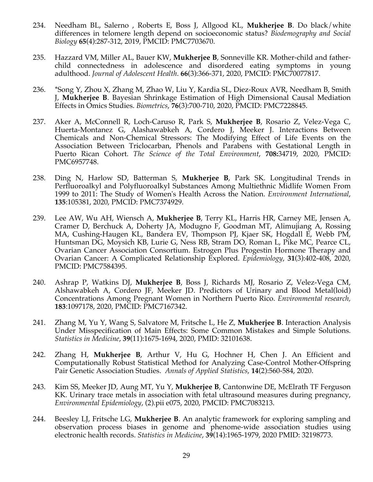- 234. Needham BL, Salerno , Roberts E, Boss J, Allgood KL, **Mukherjee B**. Do black/white differences in telomere length depend on socioeconomic status? *Biodemography and Social Biology* **65**(4):287-312, 2019, PMCID: PMC7703670.
- 235. Hazzard VM, Miller AL, Bauer KW, **Mukherjee B**, Sonneville KR. Mother-child and fatherchild connectedness in adolescence and disordered eating symptoms in young adulthood. *Journal of Adolescent Health*. **66**(3):366-371, 2020, PMCID: PMC70077817.
- 236. \*Song Y, Zhou X, Zhang M, Zhao W, Liu Y, Kardia SL, Diez-Roux AVR, Needham B, Smith J, **Mukherjee B**. Bayesian Shrinkage Estimation of High Dimensional Causal Mediation Effects in Omics Studies. *Biometrics*, **76**(3):700-710, 2020, PMCID: PMC7228845.
- 237. Aker A, McConnell R, Loch-Caruso R, Park S, **Mukherjee B**, Rosario Z, Velez-Vega C, Huerta-Montanez G, Alashawabkeh A, Cordero J, Meeker J. Interactions Between Chemicals and Non-Chemical Stressors: The Modifying Effect of Life Events on the Association Between Triclocarban, Phenols and Parabens with Gestational Length in Puerto Rican Cohort. *The Science of the Total Environment*, **708:**34719, 2020, PMCID: PMC6957748.
- 238. Ding N, Harlow SD, Batterman S, **Mukherjee B**, Park SK. Longitudinal Trends in Perfluoroalkyl and Polyfluoroalkyl Substances Among Multiethnic Midlife Women From 1999 to 2011: The Study of Women's Health Across the Nation. *Environment International*, **135**:105381, 2020, PMCID: PMC7374929.
- 239. Lee AW, Wu AH, Wiensch A, **Mukherjee B**, Terry KL, Harris HR, Carney ME, Jensen A, Cramer D, Berchuck A, Doherty JA, Modugno F, Goodman MT, Alimujiang A, Rossing MA, Cushing-Haugen KL, Bandera EV, Thompson PJ, Kjaer SK, Hogdall E, Webb PM, Huntsman DG, Moysich KB, Lurie G, Ness RB, Stram DO, Roman L, Pike MC, Pearce CL, Ovarian Cancer Association Consortium. Estrogen Plus Progestin Hormone Therapy and Ovarian Cancer: A Complicated Relationship Explored. *Epidemiology*, **31**(3):402-408, 2020, PMCID: PMC7584395.
- 240. Ashrap P, Watkins DJ, **Mukherjee B**, Boss J, Richards MJ, Rosario Z, Velez-Vega CM, Alshawabkeh A, Cordero JF, Meeker JD. Predictors of Urinary and Blood Metal(loid) Concentrations Among Pregnant Women in Northern Puerto Rico. *Environmental research,*  **183**:1097178, 2020, PMCID: PMC7167342.
- 241. Zhang M, Yu Y, Wang S, Salvatore M, Fritsche L, He Z, **Mukherjee B**. Interaction Analysis Under Misspecification of Main Effects: Some Common Mistakes and Simple Solutions. *Statistics in Medicine*, **39**(11):1675-1694, 2020, PMID: 32101638.
- 242. Zhang H, **Mukherjee B**, Arthur V, Hu G, Hochner H, Chen J. An Efficient and Computationally Robust Statistical Method for Analyzing Case-Control Mother-Offspring Pair Genetic Association Studies. *Annals of Applied Statistics*, **14**(2):560-584, 2020.
- 243. Kim SS, Meeker JD, Aung MT, Yu Y, **Mukherjee B**, Cantonwine DE, McElrath TF Ferguson KK. Urinary trace metals in association with fetal ultrasound measures during pregnancy, *Environmental Epidemiology*, (2).pii e075, 2020, PMCID: PMC7083213.
- 244. Beesley LJ, Fritsche LG, **Mukherjee B**. An analytic framework for exploring sampling and observation process biases in genome and phenome-wide association studies using electronic health records. *Statistics in Medicine*, **39**(14):1965-1979, 2020 PMID: 32198773.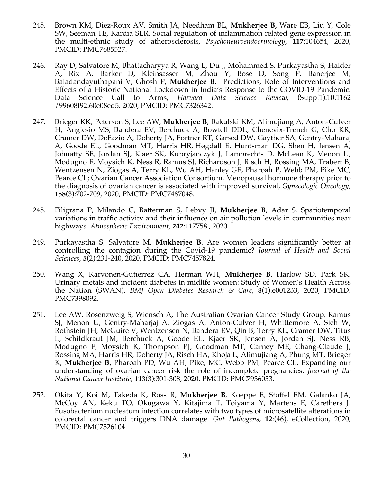- 245. Brown KM, Diez-Roux AV, Smith JA, Needham BL, **Mukherjee B,** Ware EB, Liu Y, Cole SW, Seeman TE, Kardia SLR. Social regulation of inflammation related gene expression in the multi-ethnic study of atherosclerosis, *Psychoneuroendocrinology*, **117**:104654, 2020, PMCID: PMC7685527.
- 246. Ray D, Salvatore M, Bhattacharyya R, Wang L, Du J, Mohammed S, Purkayastha S, Halder A, Rix A, Barker D, Kleinsasser M, Zhou Y, Bose D, Song P, Banerjee M, Baladandayuthapani V, Ghosh P, **Mukherjee B**. Predictions, Role of Interventions and Effects of a Historic National Lockdown in India's Response to the COVID-19 Pandemic: Data Science Call to Arms, *Harvard Data Science Review*, (Suppl1):10.1162 /99608f92.60e08ed5. 2020, PMCID: PMC7326342.
- 247. Brieger KK, Peterson S, Lee AW, **Mukherjee B**, Bakulski KM, Alimujiang A, Anton-Culver H, Anglesio MS, Bandera EV, Berchuck A, Bowtell DDL, Chenevix-Trench G, Cho KR, Cramer DW, DeFazio A, Doherty JA, Fortner RT, Garsed DW, Gayther SA, Gentry-Maharaj A, Goode EL, Goodman MT, Harris HR, Høgdall E, Huntsman DG, Shen H, Jensen A, Johnatty SE, Jordan SJ, Kjaer SK, Kupryjanczyk J, Lambrechts D, McLean K, Menon U, Modugno F, Moysich K, Ness R, Ramus SJ, Richardson J, Risch H, Rossing MA, Trabert B, Wentzensen N, Ziogas A, Terry KL, Wu AH, Hanley GE, Pharoah P, Webb PM, Pike MC, Pearce CL; Ovarian Cancer Association Consortium. Menopausal hormone therapy prior to the diagnosis of ovarian cancer is associated with improved survival, *Gynecologic Oncology*, **158**(3):702-709, 2020, PMCID: PMC7487048.
- 248. Filigrana P, Milando C, Batterman S, Lebvy JI, **Mukherjee B**, Adar S. Spatiotemporal variations in traffic activity and their influence on air pollution levels in communities near highways. *Atmospheric Environment*, **242**:117758., 2020.
- 249. Purkayastha S, Salvatore M, **Mukherjee B**. Are women leaders significantly better at controlling the contagion during the Covid-19 pandemic? *Journal of Health and Social Sciences*, **5**(2):231-240, 2020, PMCID: PMC7457824.
- 250. Wang X, Karvonen-Gutierrez CA, Herman WH, **Mukherjee B**, Harlow SD, Park SK. Urinary metals and incident diabetes in midlife women: Study of Women's Health Across the Nation (SWAN). *BMJ Open Diabetes Research & Care*, **8**(1):e001233, 2020, PMCID: PMC7398092.
- 251. Lee AW, Rosenzweig S, Wiensch A, The Australian Ovarian Cancer Study Group, Ramus SJ, Menon U, Gentry-Maharjaj A, Ziogas A, Anton-Culver H, Whittemore A, Sieh W, Rothstein JH, McGuire V, Wentzensen N, Bandera EV, Qin B, Terry KL, Cramer DW, Titus L, Schildkraut JM, Berchuck A, Goode EL, Kjaer SK, Jensen A, Jordan SJ, Ness RB, Modugno F, Moysich K, Thompson PJ, Goodman MT, Carney ME, Chang-Claude J, Rossing MA, Harris HR, Doherty JA, Risch HA, Khoja L, Alimujiang A, Phung MT, Brieger K, **Mukherjee B,** Pharoah PD, Wu AH, Pike, MC, Webb PM, Pearce CL. Expanding our understanding of ovarian cancer risk the role of incomplete pregnancies. *Journal of the National Cancer Institute,* **113**(3):301-308, 2020. PMCID: PMC7936053.
- 252. Okita Y, Koi M, Takeda K, Ross R, **Mukherjee B**, Koeppe E, Stoffel EM, Galanko JA, McCoy AN, Keku TO, Okugawa Y, Kitajima T, Toiyama Y, Martens E, Carethers J. Fusobacterium nucleatum infection correlates with two types of microsatellite alterations in colorectal cancer and triggers DNA damage. *Gut Pathogens*, **12**:(46), eCollection, 2020, PMCID: PMC7526104.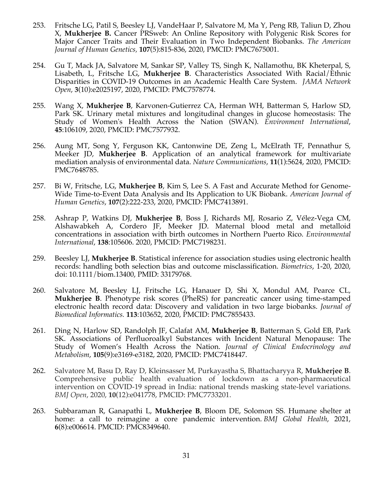- 253. Fritsche LG, Patil S, Beesley LJ, VandeHaar P, Salvatore M, Ma Y, Peng RB, Taliun D, Zhou X, **Mukherjee B.** Cancer PRSweb: An Online Repository with Polygenic Risk Scores for Major Cancer Traits and Their Evaluation in Two Independent Biobanks. *The American Journal of Human Genetics,* **107**(5):815-836, 2020, PMCID: PMC7675001.
- 254. Gu T, Mack JA, Salvatore M, Sankar SP, Valley TS, Singh K, Nallamothu, BK Kheterpal, S, Lisabeth, L, Fritsche LG, **Mukherjee B**. Characteristics Associated With Racial/Ethnic Disparities in COVID-19 Outcomes in an Academic Health Care System. *JAMA Network Open*, **3**(10):e2025197, 2020, PMCID: PMC7578774.
- 255. Wang X, **Mukherjee B**, Karvonen-Gutierrez CA, Herman WH, Batterman S, Harlow SD, Park SK. Urinary metal mixtures and longitudinal changes in glucose homeostasis: The Study of Women's Health Across the Nation (SWAN). *Environment International*, **45**:106109, 2020, PMCID: PMC7577932.
- 256. Aung MT, Song Y, Ferguson KK, Cantonwine DE, Zeng L, McElrath TF, Pennathur S, Meeker JD, **Mukherjee B**. Application of an analytical framework for multivariate mediation analysis of environmental data. *Nature Communications*, **11**(1):5624, 2020, PMCID: PMC7648785.
- 257. Bi W, Fritsche, LG, **Mukherjee B**, Kim S, Lee S. A Fast and Accurate Method for Genome-Wide Time-to-Event Data Analysis and Its Application to UK Biobank. *American Journal of Human Genetics*, **107**(2):222-233, 2020, PMCID: PMC7413891.
- 258. Ashrap P, Watkins DJ, **Mukherjee B**, Boss J, Richards MJ, Rosario Z, Vélez-Vega CM, Alshawabkeh A, Cordero JF, Meeker JD. Maternal blood metal and metalloid concentrations in association with birth outcomes in Northern Puerto Rico. *Environmental International*, **138**:105606. 2020, PMCID: PMC7198231.
- 259. Beesley LJ, **Mukherjee B**. Statistical inference for association studies using electronic health records: handling both selection bias and outcome misclassification. *Biometrics*, 1-20, 2020, doi: 10.1111/biom.13400, PMID: 33179768.
- 260. Salvatore M, Beesley LJ, Fritsche LG, Hanauer D, Shi X, Mondul AM, Pearce CL, **Mukherjee B**. Phenotype risk scores (PheRS) for pancreatic cancer using time-stamped electronic health record data: Discovery and validation in two large biobanks. *Journal of Biomedical Informatics.* **113**:103652, 2020, PMCID: PMC7855433.
- 261. Ding N, Harlow SD, Randolph JF, Calafat AM, **Mukherjee B**, Batterman S, Gold EB, Park SK. Associations of Perfluoroalkyl Substances with Incident Natural Menopause: The Study of Women's Health Across the Nation. *Journal of Clinical Endocrinology and Metabolism*, **105**(9):e3169-e3182, 2020, PMCID: PMC7418447.
- 262. Salvatore M, Basu D, Ray D, Kleinsasser M, Purkayastha S, Bhattacharyya R, **Mukherjee B**. Comprehensive public health evaluation of lockdown as a non-pharmaceutical intervention on COVID-19 spread in India: national trends masking state-level variations. *BMJ Open*, 2020, **10**(12):e041778, PMCID: PMC7733201.
- 263. Subbaraman R, Ganapathi L, **Mukherjee B**, Bloom DE, Solomon SS. Humane shelter at home: a call to reimagine a core pandemic intervention. *BMJ Global Health*, 2021, **6**(8):e006614. PMCID: PMC8349640.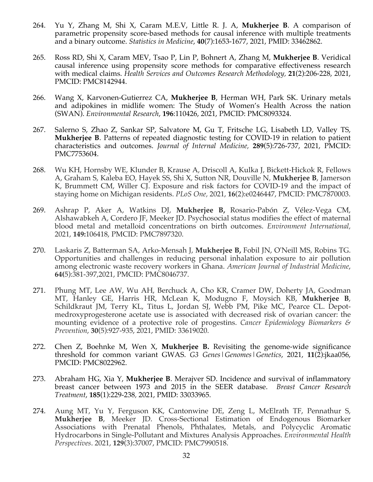- 264. Yu Y, Zhang M, Shi X, Caram M.E.V, Little R. J. A, **Mukherjee B**. A comparison of parametric propensity score-based methods for causal inference with multiple treatments and a binary outcome. *Statistics in Medicine*, **40**(7):1653-1677, 2021, PMID: 33462862.
- 265. Ross RD, Shi X, Caram MEV, Tsao P, Lin P, Bohnert A, Zhang M, **Mukherjee B**. Veridical causal inference using propensity score methods for comparative effectiveness research with medical claims. *Health Services and Outcomes Research Methodology,* **21**(2):206-228, 2021, PMCID: PMC8142944.
- 266. Wang X, Karvonen-Gutierrez CA, **Mukherjee B**, Herman WH, Park SK. Urinary metals and adipokines in midlife women: The Study of Women's Health Across the nation (SWAN). *Environmental Research*, **196**:110426, 2021, PMCID: PMC8093324.
- 267. Salerno S, Zhao Z, Sankar SP, Salvatore M, Gu T, Fritsche LG, Lisabeth LD, Valley TS, **Mukherjee B**. Patterns of repeated diagnostic testing for COVID-19 in relation to patient characteristics and outcomes. *Journal of Internal Medicine,* **289**(5):726-737, 2021, PMCID: PMC7753604.
- 268. Wu KH, Hornsby WE, Klunder B, Krause A, Driscoll A, Kulka J, Bickett-Hickok R, Fellows A, Graham S, Kaleba EO, Hayek SS, Shi X, Sutton NR, Douville N, **Mukherjee B**, Jamerson K, Brummett CM, Willer CJ. Exposure and risk factors for COVID-19 and the impact of staying home on Michigan residents. *PLoS One,* 2021, **16**(2):e0246447, PMCID: PMC7870003.
- 269. Ashrap P, Aker A, Watkins DJ, **Mukherjee B,** Rosario-Pabón Z, Vélez-Vega CM, Alshawabkeh A, Cordero JF, Meeker JD. Psychosocial status modifies the effect of maternal blood metal and metalloid concentrations on birth outcomes. *Environment International,* 2021, **149:**106418, PMCID: PMC7897320.
- 270. Laskaris Z, Batterman SA, Arko-Mensah J, **Mukherjee B,** Fobil JN, O'Neill MS, Robins TG. Opportunities and challenges in reducing personal inhalation exposure to air pollution among electronic waste recovery workers in Ghana. *American Journal of Industrial Medicine*, **64(**5):381-397,2021, PMCID: PMC8046737.
- 271. Phung MT, Lee AW, Wu AH, Berchuck A, Cho KR, Cramer DW, Doherty JA, Goodman MT, Hanley GE, Harris HR, McLean K, Modugno F, Moysich KB, **Mukherjee B**, Schildkraut JM, Terry KL, Titus L, Jordan SJ, Webb PM, Pike MC, Pearce CL. Depotmedroxyprogesterone acetate use is associated with decreased risk of ovarian cancer: the mounting evidence of a protective role of progestins. *Cancer Epidemiology Biomarkers & Prevention*, **30**(5):927-935, 2021, PMID: 33619020.
- 272. Chen Z, Boehnke M, Wen X, **Mukherjee B.** Revisiting the genome-wide significance threshold for common variant GWAS. *G3 Genes|Genomes|Genetics*, 2021, **11**(2):jkaa056, PMCID: PMC8022962.
- 273. Abraham HG, Xia Y, **Mukherjee B**. Merajver SD. Incidence and survival of inflammatory breast cancer between 1973 and 2015 in the SEER database. *Breast Cancer Research Treatment*, **185**(1):229-238*,* 2021, PMID: 33033965.
- 274. Aung MT, Yu Y, Ferguson KK, Cantonwine DE, Zeng L, McElrath TF, Pennathur S, **Mukherjee B**, Meeker JD. Cross-Sectional Estimation of Endogenous Biomarker Associations with Prenatal Phenols, Phthalates, Metals, and Polycyclic Aromatic Hydrocarbons in Single-Pollutant and Mixtures Analysis Approaches. *Environmental Health Perspectives*. 2021, **129**(3):37007, PMCID: PMC7990518.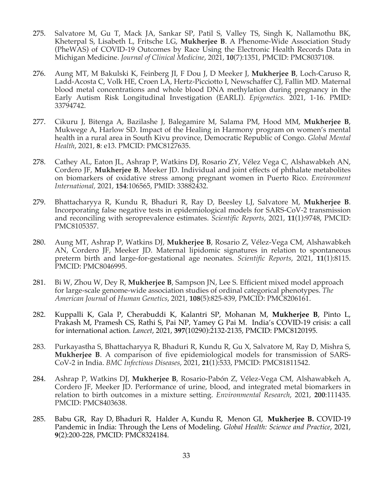- 275. Salvatore M, Gu T, Mack JA, Sankar SP, Patil S, Valley TS, Singh K, Nallamothu BK, Kheterpal S, Lisabeth L, Fritsche LG, **Mukherjee B**. A Phenome-Wide Association Study (PheWAS) of COVID-19 Outcomes by Race Using the Electronic Health Records Data in Michigan Medicine. *Journal of Clinical Medicine*, 2021, **10**(7):1351, PMCID: PMC8037108.
- 276. Aung MT, M Bakulski K, Feinberg JI, F Dou J, D Meeker J, **Mukherjee B**, Loch-Caruso R, Ladd-Acosta C, Volk HE, Croen LA, Hertz-Picciotto I, Newschaffer CJ, Fallin MD. Maternal blood metal concentrations and whole blood DNA methylation during pregnancy in the Early Autism Risk Longitudinal Investigation (EARLI). *Epigenetics.* 2021, 1-16. PMID: 33794742.
- 277. Cikuru J, Bitenga A, Bazilashe J, Balegamire M, Salama PM, Hood MM, **Mukherjee B**, Mukwege A, Harlow SD. Impact of the Healing in Harmony program on women's mental health in a rural area in South Kivu province, Democratic Republic of Congo. *Global Mental Health*, 2021, **8**: e13. PMCID: PMC8127635.
- 278. Cathey AL, Eaton JL, Ashrap P, Watkins DJ, Rosario ZY, Vélez Vega C, Alshawabkeh AN, Cordero JF, **Mukherjee B**, Meeker JD. Individual and joint effects of phthalate metabolites on biomarkers of oxidative stress among pregnant women in Puerto Rico. *Environment International,* 2021, **154**:106565, PMID: 33882432.
- 279. Bhattacharyya R, Kundu R, Bhaduri R, Ray D, Beesley LJ, Salvatore M, **Mukherjee B**. Incorporating false negative tests in epidemiological models for SARS-CoV-2 transmission and reconciling with seroprevalence estimates. *Scientific Reports*, 2021, **11**(1):9748, PMCID: PMC8105357.
- 280. Aung MT, Ashrap P, Watkins DJ, **Mukherjee B**, Rosario Z, Vélez-Vega CM, Alshawabkeh AN, Cordero JF, Meeker JD. Maternal lipidomic signatures in relation to spontaneous preterm birth and large-for-gestational age neonates. *Scientific Reports*, 2021, **11**(1):8115. PMCID: PMC8046995.
- 281. Bi W, Zhou W, Dey R, **Mukherjee B**, Sampson JN, Lee S. Efficient mixed model approach for large-scale genome-wide association studies of ordinal categorical phenotypes. *The American Journal* of *Human Genetics*, 2021, **108**(5):825-839, PMCID: PMC8206161.
- 282. Kuppalli K, Gala P, Cherabuddi K, Kalantri SP, Mohanan M, **Mukherjee B**, Pinto L, Prakash M, Pramesh CS, Rathi S, Pai NP, Yamey G Pai M. India's COVID-19 crisis: a call for international action. *Lancet*, 2021, **397**(10290):2132-2135, PMCID: PMC8120195.
- 283. Purkayastha S, Bhattacharyya R, Bhaduri R, Kundu R, Gu X, Salvatore M, Ray D, Mishra S, **Mukherjee B**. A comparison of five epidemiological models for transmission of SARS-CoV-2 in India. *BMC Infectious Diseases*, 2021, **21**(1):533, PMCID: PMC81811542.
- 284. Ashrap P, Watkins DJ, **Mukherjee B**, Rosario-Pabón Z, Vélez-Vega CM, Alshawabkeh A, Cordero JF, Meeker JD. Performance of urine, blood, and integrated metal biomarkers in relation to birth outcomes in a mixture setting. *Environmental Research*, 2021, **200**:111435. PMCID: PMC8403638.
- 285. Babu GR, Ray D, Bhaduri R, Halder A, Kundu R, Menon GI, **Mukherjee B.** COVID-19 Pandemic in India: Through the Lens of Modeling. *Global Health: Science and Practice*, 2021, **9**(2):200-228, PMCID: PMC8324184.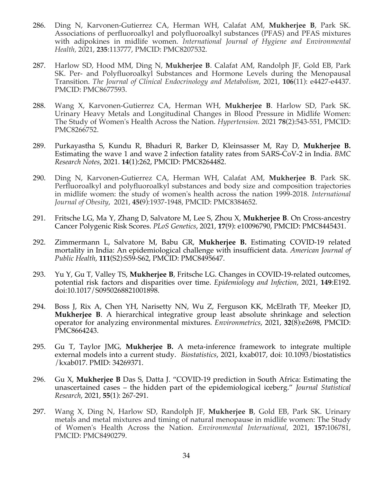- 286. Ding N, Karvonen-Gutierrez CA, Herman WH, Calafat AM, **Mukherjee B**, Park SK. Associations of perfluoroalkyl and polyfluoroalkyl substances (PFAS) and PFAS mixtures with adipokines in midlife women. *International Journal of Hygiene and Environmental Health,* 2021, **235**:113777, PMCID: PMC8207532.
- 287. Harlow SD, Hood MM, Ding N, **Mukherjee B**. Calafat AM, Randolph JF, Gold EB, Park SK. Per- and Polyfluoroalkyl Substances and Hormone Levels during the Menopausal Transition. *The Journal of Clinical Endocrinology and Metabolism*, 2021, **106**(11): e4427-e4437. PMCID: PMC8677593.
- 288. Wang X, Karvonen-Gutierrez CA, Herman WH, **Mukherjee B**. Harlow SD, Park SK. Urinary Heavy Metals and Longitudinal Changes in Blood Pressure in Midlife Women: The Study of Women's Health Across the Nation. *Hypertension.* 2021 **78**(2):543-551, PMCID: PMC8266752.
- 289. Purkayastha S, Kundu R, Bhaduri R, Barker D, Kleinsasser M, Ray D, **Mukherjee B.** Estimating the wave 1 and wave 2 infection fatality rates from SARS-CoV-2 in India. *BMC Research Notes*, 2021. **14**(1):262, PMCID: PMC8264482.
- 290. Ding N, Karvonen-Gutierrez CA, Herman WH, Calafat AM, **Mukherjee B**. Park SK. Perfluoroalkyl and polyfluoroalkyl substances and body size and composition trajectories in midlife women: the study of women's health across the nation 1999-2018. *International Journal of Obesity*, 2021, **45(**9):1937-1948, PMCID: PMC8384652.
- 291. Fritsche LG, Ma Y, Zhang D, Salvatore M, Lee S, Zhou X, **Mukherjee B**. On Cross-ancestry Cancer Polygenic Risk Scores. *PLoS Genetics*, 2021, **17**(9): e10096790, PMCID: PMC8445431.
- 292. Zimmermann L, Salvatore M, Babu GR, **Mukherjee B.** Estimating COVID-19 related mortality in India: An epidemiological challenge with insufficient data. *American Journal of Public Health*, **111**(S2):S59-S62, PMCID: PMC8495647.
- 293. Yu Y, Gu T, Valley TS, **Mukherjee B**, Fritsche LG. Changes in COVID-19-related outcomes, potential risk factors and disparities over time. *Epidemiology and Infection,* 2021, **149**:E192. doi:10.1017/S0950268821001898.
- 294. Boss J, Rix A, Chen YH, Narisetty NN, Wu Z, Ferguson KK, McElrath TF, Meeker JD, **Mukherjee B**. A hierarchical integrative group least absolute shrinkage and selection operator for analyzing environmental mixtures. *Environmetrics*, 2021, **32**(8):e2698, PMCID: PMC8664243.
- 295. Gu T, Taylor JMG, **Mukherjee B.** A meta-inference framework to integrate multiple external models into a current study. *Biostatistics*, 2021, kxab017, doi: 10.1093/biostatistics /kxab017. PMID: 34269371.
- 296. Gu X, **Mukherjee B** Das S, Datta J. "COVID-19 prediction in South Africa: Estimating the unascertained cases – the hidden part of the epidemiological iceberg." *Journal Statistical Research*, 2021, **55**(1): 267-291.
- 297. Wang X, Ding N, Harlow SD, Randolph JF, **Mukherjee B**, Gold EB, Park SK. Urinary metals and metal mixtures and timing of natural menopause in midlife women: The Study of Women's Health Across the Nation. *Environmental International*, 2021, **157:**106781, PMCID: PMC8490279.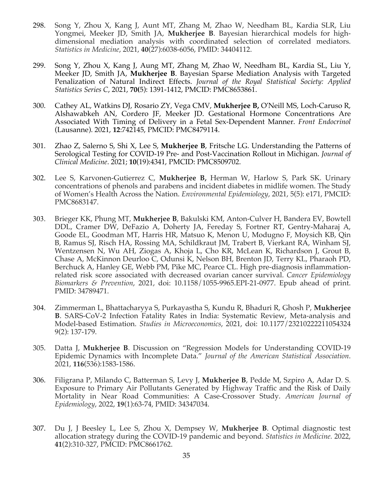- 298. Song Y, Zhou X, Kang J, Aunt MT, Zhang M, Zhao W, Needham BL, Kardia SLR, Liu Yongmei, Meeker JD, Smith JA, **Mukherjee B**. Bayesian hierarchical models for highdimensional mediation analysis with coordinated selection of correlated mediators. *Statistics in Medicine*, 2021, **40**(27):6038-6056, PMID: 34404112.
- 299. Song Y, Zhou X, Kang J, Aung MT, Zhang M, Zhao W, Needham BL, Kardia SL, Liu Y, Meeker JD, Smith JA, **Mukherjee B**. Bayesian Sparse Mediation Analysis with Targeted Penalization of Natural Indirect Effects. *Journal of the Royal Statistical Society: Applied Statistics Series C*, 2021, **70(**5): 1391-1412, PMCID: PMC8653861.
- 300. Cathey AL, Watkins DJ, Rosario ZY, Vega CMV, **Mukherjee B,** O'Neill MS, Loch-Caruso R, Alshawabkeh AN, Cordero JF, Meeker JD. Gestational Hormone Concentrations Are Associated With Timing of Delivery in a Fetal Sex-Dependent Manner. *Front Endocrinol* (Lausanne). 2021, **12**:742145, PMCID: PMC8479114.
- 301. Zhao Z, Salerno S, Shi X, Lee S, **Mukherjee B**, Fritsche LG. Understanding the Patterns of Serological Testing for COVID-19 Pre- and Post-Vaccination Rollout in Michigan. *Journal of Clinical Medicine*. 2021; **10**(19):4341, PMCID: PMC8509702.
- 302. Lee S, Karvonen-Gutierrez C, **Mukherjee B,** Herman W, Harlow S, Park SK. Urinary concentrations of phenols and parabens and incident diabetes in midlife women. The Study of Women's Health Across the Nation. *Environmental Epidemiology*, 2021, 5(5): e171, PMCID: PMC8683147.
- 303. Brieger KK, Phung MT, **Mukherjee B**, Bakulski KM, Anton-Culver H, Bandera EV, Bowtell DDL, Cramer DW, DeFazio A, Doherty JA, Fereday S, Fortner RT, Gentry-Maharaj A, Goode EL, Goodman MT, Harris HR, Matsuo K, Menon U, Modugno F, Moysich KB, Qin B, Ramus SJ, Risch HA, Rossing MA, Schildkraut JM, Trabert B, Vierkant RA, Winham SJ, Wentzensen N, Wu AH, Ziogas A, Khoja L, Cho KR, McLean K, Richardson J, Grout B, Chase A, McKinnon Deurloo C, Odunsi K, Nelson BH, Brenton JD, Terry KL, Pharaoh PD, Berchuck A, Hanley GE, Webb PM, Pike MC, Pearce CL. High pre-diagnosis inflammationrelated risk score associated with decreased ovarian cancer survival. *Cancer Epidemiology Biomarkers & Prevention*, 2021, doi: 10.1158/1055-9965.EPI-21-0977. Epub ahead of print. PMID: 34789471.
- 304. Zimmerman L, Bhattacharyya S, Purkayastha S, Kundu R, Bhaduri R, Ghosh P, **Mukherjee B**. SARS-CoV-2 Infection Fatality Rates in India: Systematic Review, Meta-analysis and Model-based Estimation. *Studies in Microeconomics*, 2021, doi: 10.1177/23210222211054324 9(2): 137-179.
- 305. Datta J, **Mukherjee B**. Discussion on "Regression Models for Understanding COVID-19 Epidemic Dynamics with Incomplete Data." *Journal of the American Statistical Association*. 2021, **116**(536):1583-1586.
- 306. Filigrana P, Milando C, Batterman S, Levy J, **Mukherjee B**, Pedde M, Szpiro A, Adar D. S. Exposure to Primary Air Pollutants Generated by Highway Traffic and the Risk of Daily Mortality in Near Road Communities: A Case-Crossover Study. *American Journal of Epidemiology*, 2022, **19**(1):63-74, PMID: 34347034.
- 307. Du J, J Beesley L, Lee S, Zhou X, Dempsey W, **Mukherjee B**. Optimal diagnostic test allocation strategy during the COVID-19 pandemic and beyond. *Statistics in Medicine.* 2022, **41**(2):310-327, PMCID: PMC8661762.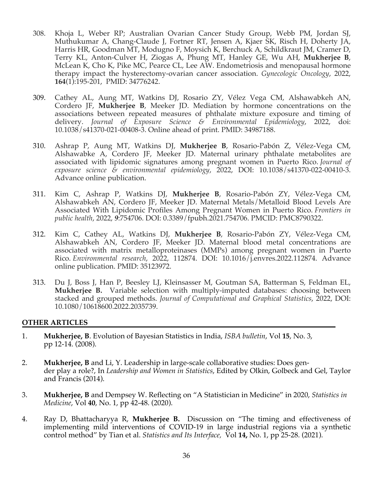- 308. Khoja L, Weber RP; Australian Ovarian Cancer Study Group, Webb PM, Jordan SJ, Muthukumar A, Chang-Claude J, Fortner RT, Jensen A, Kjaer SK, Risch H, Doherty JA, Harris HR, Goodman MT, Modugno F, Moysich K, Berchuck A, Schildkraut JM, Cramer D, Terry KL, Anton-Culver H, Ziogas A, Phung MT, Hanley GE, Wu AH, **Mukherjee B**, McLean K, Cho K, Pike MC, Pearce CL, Lee AW. Endometriosis and menopausal hormone therapy impact the hysterectomy-ovarian cancer association. *Gynecologic Oncology*, 2022, **164**(1):195-201, PMID: 34776242.
- 309. Cathey AL, Aung MT, Watkins DJ, Rosario ZY, Vélez Vega CM, Alshawabkeh AN, Cordero JF, **Mukherjee B**, Meeker JD. Mediation by hormone concentrations on the associations between repeated measures of phthalate mixture exposure and timing of delivery. *Journal of Exposure Science & Environmental Epidemiology*, 2022, doi: 10.1038/s41370-021-00408-3. Online ahead of print. PMID: 34987188.
- 310. Ashrap P, Aung MT, Watkins DJ, **Mukherjee B**, Rosario-Pabón Z, Vélez-Vega CM, Alshawabke A, Cordero JF, Meeker JD. Maternal urinary phthalate metabolites are associated with lipidomic signatures among pregnant women in Puerto Rico. *Journal of exposure science & environmental epidemiology*, 2022, DOI: 10.1038/s41370-022-00410-3. Advance online publication.
- 311. Kim C, Ashrap P, Watkins DJ, **Mukherjee B**, Rosario-Pabón ZY, Vélez-Vega CM, Alshawabkeh AN, Cordero JF, Meeker JD. Maternal Metals/Metalloid Blood Levels Are Associated With Lipidomic Profiles Among Pregnant Women in Puerto Rico. *Frontiers in public health*, 2022, *9*:754706. DOI: 0.3389/fpubh.2021.754706. PMCID: PMC8790322.
- 312. Kim C, Cathey AL, Watkins DJ, **Mukherjee B**, Rosario-Pabón ZY, Vélez-Vega CM, Alshawabkeh AN, Cordero JF, Meeker JD. Maternal blood metal concentrations are associated with matrix metalloproteinases (MMPs) among pregnant women in Puerto Rico. *Environmental research*, 2022, 112874. DOI: 10.1016/j.envres.2022.112874. Advance online publication. PMID: 35123972.
- 313. Du J, Boss J, Han P, Beesley LJ, Kleinsasser M, Goutman SA, Batterman S, Feldman EL, **Mukherjee B.** Variable selection with multiply-imputed databases: choosing between stacked and grouped methods. *Journal of Computational and Graphical Statistics*, 2022, DOI: 10.1080/10618600.2022.2035739.

#### **OTHER ARTICLES**

- 1. **Mukherjee, B**. Evolution of Bayesian Statistics in India, *ISBA bulletin*, Vol **15**, No. 3, pp 12-14. (2008).
- 2. **Mukherjee, B** and Li, Y. Leadership in large-scale collaborative studies: Does gender play a role?, In *Leadership and Women in Statistics*, Edited by Olkin, Golbeck and Gel, Taylor and Francis (2014).
- 3. **Mukherjee, B** and Dempsey W. Reflecting on "A Statistician in Medicine" in 2020, *Statistics in Medicine*, Vol **40**, No. 1, pp 42-48. (2020).
- 4. Ray D, Bhattacharyya R, **Mukherjee B.** Discussion on "The timing and effectiveness of implementing mild interventions of COVID-19 in large industrial regions via a synthetic control method" by Tian et al. *Statistics and Its Interface,* Vol **14,** No. 1, pp 25-28. (2021).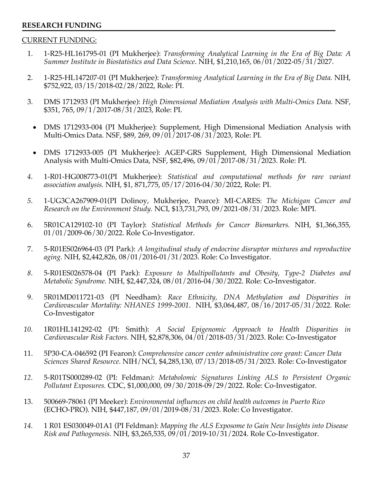#### **RESEARCH FUNDING**

#### CURRENT FUNDING:

- 1. 1-R25-HL161795-01 (PI Mukherjee): *Transforming Analytical Learning in the Era of Big Data: A Summer Institute in Biostatistics and Data Science*. NIH, \$1,210,165, 06/01/2022-05/31/2027.
- 2. 1-R25-HL147207-01 (PI Mukherjee): *Transforming Analytical Learning in the Era of Big Data.* NIH, \$752,922, 03/15/2018-02/28/2022, Role: PI.
- 3. DMS 1712933 (PI Mukherjee): *High Dimensional Mediation Analysis with Multi-Omics Data.* NSF, \$351, 765, 09/1/2017-08/31/2023, Role: PI.
	- DMS 1712933-004 (PI Mukherjee): Supplement, High Dimensional Mediation Analysis with Multi-Omics Data. NSF, \$89, 269, 09/01/2017-08/31/2023, Role: PI.
	- DMS 1712933-005 (PI Mukherjee): AGEP-GRS Supplement, High Dimensional Mediation Analysis with Multi-Omics Data, NSF, \$82,496, 09/01/2017-08/31/2023. Role: PI.
- *4.* 1-R01-HG008773-01(PI Mukherjee): *Statistical and computational methods for rare variant association analysis.* NIH, \$1, 871,775, 05/17/2016-04/30/2022, Role: PI.
- *5.* 1-UG3CA267909-01(PI Dolinoy, Mukherjee, Pearce): MI-CARES: *The Michigan Cancer and Research on the Environment Study.* NCI, \$13,731,793, 09/2021-08/31/2023. Role: MPI.
- 6. 5R01CA129102-10 (PI Taylor): *Statistical Methods for Cancer Biomarkers.* NIH, \$1,366,355, 01/01/2009-06/30/2022. Role Co-Investigator.
- 7. 5-R01ES026964-03 (PI Park): *A longitudinal study of endocrine disruptor mixtures and reproductive aging*. NIH, \$2,442,826, 08/01/2016-01/31/2023. Role: Co Investigator.
- *8.* 5-R01ES026578-04 (PI Park): *Exposure to Multipollutants and Obesity, Type-2 Diabetes and Metabolic Syndrome.* NIH, \$2,447,324, 08/01/2016-04/30/2022. Role: Co-Investigator.
- 9. 5R01MD011721-03 (PI Needham): *Race Ethnicity, DNA Methylation and Disparities in Cardiovascular Mortality: NHANES 1999-2001*. NIH, \$3,064,487, 08/16/2017-05/31/2022. Role: Co-Investigator
- *10.* 1R01HL141292-02 (PI: Smith): *A Social Epigenomic Approach to Health Disparities in Cardiovascular Risk Factors.* NIH, \$2,878,306, 04/01/2018-03/31/2023. Role: Co-Investigator
- 11. 5P30-CA-046592 (PI Fearon): *Comprehensive cancer center administrative core grant: Cancer Data Sciences Shared Resource.* NIH/NCI, \$4,285,130, 07/13/2018-05/31/2023. Role: Co-Investigator
- *12.* 5-R01TS000289-02 (PI: Feldman*): Metabolomic Signatures Linking ALS to Persistent Organic Pollutant Exposures.* CDC, \$1,000,000, 09/30/2018-09/29/2022. Role: Co-Investigator.
- 13. 500669-78061 (PI Meeker): *Environmental influences on child health outcomes in Puerto Rico* (ECHO-PRO). NIH, \$447,187, 09/01/2019-08/31/2023. Role: Co Investigator.
- *14.* 1 R01 ES030049-01A1 (PI Feldman): *Mapping the ALS Exposome to Gain New Insights into Disease Risk and Pathogenesis.* NIH, \$3,265,535, 09/01/2019-10/31/2024. Role Co-Investigator.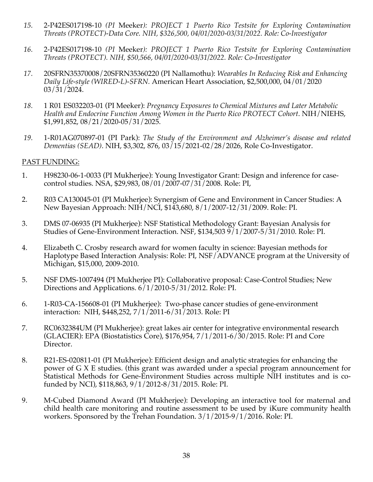- *15.* 2-P42ES017198-10 *(PI* Meeker*): PROJECT 1 Puerto Rico Testsite for Exploring Contamination Threats (PROTECT)-Data Core. NIH, \$326,500, 04/01/2020-03/31/2022. Role: Co-Investigator*
- *16.* 2-P42ES017198-10 *(PI* Meeker*): PROJECT 1 Puerto Rico Testsite for Exploring Contamination Threats (PROTECT). NIH, \$50,566, 04/01/2020-03/31/2022. Role: Co-Investigator*
- *17.* 20SFRN35370008/20SFRN35360220 (PI Nallamothu): *Wearables In Reducing Risk and Enhancing Daily Life-style (WIRED-L)-SFRN.* American Heart Association, \$2,500,000, 04/01/2020 03/31/2024.
- *18.* 1 R01 ES032203-01 (PI Meeker): *Pregnancy Exposures to Chemical Mixtures and Later Metabolic Health and Endocrine Function Among Women in the Puerto Rico PROTECT Cohort*. NIH/NIEHS, \$1,991,852, 08/21/2020-05/31/2025.
- *19.* 1-R01AG070897-01 (PI Park): *The Study of the Environment and Alzheimer's disease and related Dementias (SEAD)*. NIH, \$3,302, 876, 03/15/2021-02/28/2026, Role Co-Investigator.

#### PAST FUNDING:

- 1. H98230-06-1-0033 (PI Mukherjee): Young Investigator Grant: Design and inference for casecontrol studies. NSA, \$29,983, 08/01/2007-07/31/2008. Role: PI,
- 2. R03 CA130045-01 (PI Mukherjee): Synergism of Gene and Environment in Cancer Studies: A New Bayesian Approach: NIH/NCI, \$143,680, 8/1/2007-12/31/2009. Role: PI.
- 3. DMS 07-06935 (PI Mukherjee): NSF Statistical Methodology Grant: Bayesian Analysis for Studies of Gene-Environment Interaction. NSF, \$134,503 9/1/2007-5/31/2010. Role: PI.
- 4. Elizabeth C. Crosby research award for women faculty in science: Bayesian methods for Haplotype Based Interaction Analysis: Role: PI, NSF/ADVANCE program at the University of Michigan, \$15,000, 2009-2010.
- 5. NSF DMS-1007494 (PI Mukherjee PI): Collaborative proposal: Case-Control Studies; New Directions and Applications. 6/1/2010-5/31/2012. Role: PI.
- 6. 1-R03-CA-156608-01 (PI Mukherjee): Two-phase cancer studies of gene-environment interaction: NIH, \$448,252, 7/1/2011-6/31/2013. Role: PI
- 7. RC0632384UM (PI Mukherjee): great lakes air center for integrative environmental research (GLACIER): EPA (Biostatistics Core), \$176,954, 7/1/2011-6/30/2015. Role: PI and Core Director.
- 8. R21-ES-020811-01 (PI Mukherjee): Efficient design and analytic strategies for enhancing the power of G X E studies. (this grant was awarded under a special program announcement for Statistical Methods for Gene-Environment Studies across multiple NIH institutes and is cofunded by NCI), \$118,863, 9/1/2012-8/31/2015. Role: PI.
- 9. M-Cubed Diamond Award (PI Mukherjee): Developing an interactive tool for maternal and child health care monitoring and routine assessment to be used by iKure community health workers. Sponsored by the Trehan Foundation. 3/1/2015-9/1/2016. Role: PI.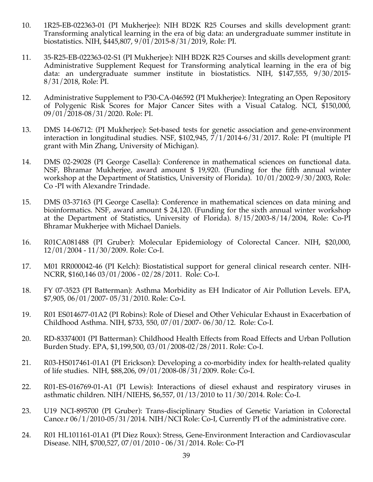- 10. 1R25-EB-022363-01 (PI Mukherjee): NIH BD2K R25 Courses and skills development grant: Transforming analytical learning in the era of big data: an undergraduate summer institute in biostatistics. NIH, \$445,807, 9/01/2015-8/31/2019, Role: PI.
- 11. 35-R25-EB-022363-02-S1 (PI Mukherjee): NIH BD2K R25 Courses and skills development grant: Administrative Supplement Request for Transforming analytical learning in the era of big data: an undergraduate summer institute in biostatistics. NIH, \$147,555, 9/30/2015- 8/31/2018, Role: PI.
- 12. Administrative Supplement to P30-CA-046592 (PI Mukherjee): Integrating an Open Repository of Polygenic Risk Scores for Major Cancer Sites with a Visual Catalog. NCI, \$150,000, 09/01/2018-08/31/2020. Role: PI.
- 13. DMS 14-06712: (PI Mukherjee): Set-based tests for genetic association and gene-environment interaction in longitudinal studies. NSF, \$102,945, 7/1/2014-6/31/2017. Role: PI (multiple PI grant with Min Zhang, University of Michigan).
- 14. DMS 02-29028 (PI George Casella): Conference in mathematical sciences on functional data. NSF, Bhramar Mukherjee, award amount \$ 19,920. (Funding for the fifth annual winter workshop at the Department of Statistics, University of Florida). 10/01/2002-9/30/2003, Role: Co -PI with Alexandre Trindade.
- 15. DMS 03-37163 (PI George Casella): Conference in mathematical sciences on data mining and bioinformatics. NSF, award amount \$ 24,120. (Funding for the sixth annual winter workshop at the Department of Statistics, University of Florida). 8/15/2003-8/14/2004, Role: Co-PI Bhramar Mukherjee with Michael Daniels.
- 16. R01CA081488 (PI Gruber): Molecular Epidemiology of Colorectal Cancer. NIH, \$20,000, 12/01/2004 - 11/30/2009. Role: Co-I.
- 17. M01 RR000042-46 (PI Kelch): Biostatistical support for general clinical research center. NIH-NCRR, \$160,146 03/01/2006 - 02/28/2011. Role: Co-I.
- 18. FY 07-3523 (PI Batterman): Asthma Morbidity as EH Indicator of Air Pollution Levels. EPA, \$7,905, 06/01/2007- 05/31/2010. Role: Co-I.
- 19. R01 ES014677-01A2 (PI Robins): Role of Diesel and Other Vehicular Exhaust in Exacerbation of Childhood Asthma. NIH, \$733, 550, 07/01/2007- 06/30/12. Role: Co-I.
- 20. RD-83374001 (PI Batterman): Childhood Health Effects from Road Effects and Urban Pollution Burden Study. EPA, \$1,199,500, 03/01/2008-02/28/2011. Role: Co-I.
- 21. R03-HS017461-01A1 (PI Erickson): Developing a co-morbidity index for health-related quality of life studies. NIH, \$88,206, 09/01/2008-08/31/2009. Role: Co-I.
- 22. R01-ES-016769-01-A1 (PI Lewis): Interactions of diesel exhaust and respiratory viruses in asthmatic children. NIH/NIEHS, \$6,557, 01/13/2010 to 11/30/2014. Role: Co-I.
- 23. U19 NCI-895700 (PI Gruber): Trans-disciplinary Studies of Genetic Variation in Colorectal Cance.r  $06/1/2010$ -05/31/2014. NIH/NCI Role: Co-I, Currently PI of the administrative core.
- 24. R01 HL101161-01A1 (PI Diez Roux): Stress, Gene-Environment Interaction and Cardiovascular Disease. NIH, \$700,527, 07/01/2010 - 06/31/2014. Role: Co-PI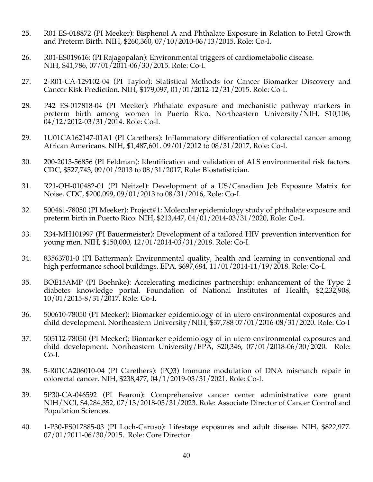- 25. R01 ES-018872 (PI Meeker): Bisphenol A and Phthalate Exposure in Relation to Fetal Growth and Preterm Birth. NIH, \$260,360, 07/10/2010-06/13/2015. Role: Co-I.
- 26. R01-ES019616: (PI Rajagopalan): Environmental triggers of cardiometabolic disease. NIH, \$41,786, 07/01/2011-06/30/2015. Role: Co-I.
- 27. 2-R01-CA-129102-04 (PI Taylor): Statistical Methods for Cancer Biomarker Discovery and Cancer Risk Prediction. NIH, \$179,097, 01/01/2012-12/31/2015. Role: Co-I.
- 28. P42 ES-017818-04 (PI Meeker): Phthalate exposure and mechanistic pathway markers in preterm birth among women in Puerto Rico. Northeastern University/NIH, \$10,106, 04/12/2012-03/31/2014. Role: Co-I.
- 29. 1U01CA162147-01A1 (PI Carethers): Inflammatory differentiation of colorectal cancer among African Americans. NIH, \$1,487,601. 09/01/2012 to 08/31/2017, Role: Co-I.
- 30. 200-2013-56856 (PI Feldman): Identification and validation of ALS environmental risk factors. CDC, \$527,743, 09/01/2013 to 08/31/2017, Role: Biostatistician.
- 31. R21-OH-010482-01 (PI Neitzel): Development of a US/Canadian Job Exposure Matrix for Noise. CDC, \$200,099, 09/01/2013 to 08/31/2016, Role: Co-I.
- 32. 500461-78050 (PI Meeker): Project#1: Molecular epidemiology study of phthalate exposure and preterm birth in Puerto Rico. NIH, \$213,447, 04/01/2014-03/31/2020, Role: Co-I.
- 33. R34-MH101997 (PI Bauermeister): Development of a tailored HIV prevention intervention for young men. NIH, \$150,000, 12/01/2014-03/31/2018. Role: Co-I.
- 34. 83563701-0 (PI Batterman): Environmental quality, health and learning in conventional and high performance school buildings. EPA, \$697,684, 11/01/2014-11/19/2018. Role: Co-I.
- 35. BOE15AMP (PI Boehnke): Accelerating medicines partnership: enhancement of the Type 2 diabetes knowledge portal. Foundation of National Institutes of Health, \$2,232,908, 10/01/2015-8/31/2017. Role: Co-I.
- 36. 500610-78050 (PI Meeker): Biomarker epidemiology of in utero environmental exposures and child development. Northeastern University/NIH, \$37,788 07/01/2016-08/31/2020. Role: Co-I
- 37. 505112-78050 (PI Meeker): Biomarker epidemiology of in utero environmental exposures and child development. Northeastern University/EPA, \$20,346, 07/01/2018-06/30/2020. Role: Co-I.
- 38. 5-R01CA206010-04 (PI Carethers): (PQ3) Immune modulation of DNA mismatch repair in colorectal cancer. NIH, \$238,477, 04/1/2019-03/31/2021. Role: Co-I.
- 39. 5P30-CA-046592 (PI Fearon): Comprehensive cancer center administrative core grant NIH/NCI, \$4,284,352, 07/13/2018-05/31/2023. Role: Associate Director of Cancer Control and Population Sciences.
- 40. 1-P30-ES017885-03 (PI Loch-Caruso): Lifestage exposures and adult disease. NIH, \$822,977. 07/01/2011-06/30/2015. Role: Core Director.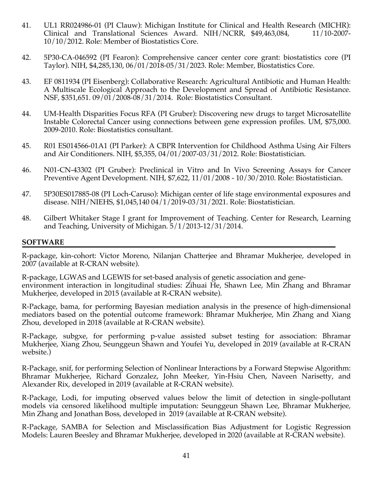- 41. UL1 RR024986-01 (PI Clauw): Michigan Institute for Clinical and Health Research (MICHR): Clinical and Translational Sciences Award. NIH/NCRR, \$49,463,084, 11/10-2007- 10/10/2012. Role: Member of Biostatistics Core.
- 42. 5P30-CA-046592 (PI Fearon): Comprehensive cancer center core grant: biostatistics core (PI Taylor). NIH, \$4,285,130, 06/01/2018-05/31/2023. Role: Member, Biostatistics Core.
- 43. EF 0811934 (PI Eisenberg): Collaborative Research: Agricultural Antibiotic and Human Health: A Multiscale Ecological Approach to the Development and Spread of Antibiotic Resistance. NSF, \$351,651. 09/01/2008-08/31/2014. Role: Biostatistics Consultant.
- 44. UM-Health Disparities Focus RFA (PI Gruber): Discovering new drugs to target Microsatellite Instable Colorectal Cancer using connections between gene expression profiles. UM, \$75,000. 2009-2010. Role: Biostatistics consultant.
- 45. R01 ES014566-01A1 (PI Parker): A CBPR Intervention for Childhood Asthma Using Air Filters and Air Conditioners. NIH, \$5,355, 04/01/2007-03/31/2012. Role: Biostatistician.
- 46. N01-CN-43302 (PI Gruber): Preclinical in Vitro and In Vivo Screening Assays for Cancer Preventive Agent Development. NIH, \$7,622, 11/01/2008 - 10/30/2010. Role: Biostatistician.
- 47. 5P30ES017885-08 (PI Loch-Caruso): Michigan center of life stage environmental exposures and disease. NIH/NIEHS, \$1,045,140 04/1/2019-03/31/2021. Role: Biostatistician.
- 48. Gilbert Whitaker Stage I grant for Improvement of Teaching. Center for Research, Learning and Teaching, University of Michigan. 5/1/2013-12/31/2014.

#### **SOFTWARE**

R-package, kin-cohort: Victor Moreno, Nilanjan Chatterjee and Bhramar Mukherjee, developed in 2007 (available at R-CRAN website).

R-package, LGWAS and LGEWIS for set-based analysis of genetic association and geneenvironment interaction in longitudinal studies: Zihuai He, Shawn Lee, Min Zhang and Bhramar Mukherjee, developed in 2015 (available at R-CRAN website).

R-Package, bama, for performing Bayesian mediation analysis in the presence of high-dimensional mediators based on the potential outcome framework: Bhramar Mukherjee, Min Zhang and Xiang Zhou, developed in 2018 (available at R-CRAN website).

R-Package, subgxe, for performing p-value assisted subset testing for association: Bhramar Mukherjee, Xiang Zhou, Seunggeun Shawn and Youfei Yu, developed in 2019 (available at R-CRAN website.)

R-Package, snif, for performing Selection of Nonlinear Interactions by a Forward Stepwise Algorithm: Bhramar Mukherjee, Richard Gonzalez, John Meeker, Yin-Hsiu Chen, Naveen Narisetty, and Alexander Rix, developed in 2019 (available at R-CRAN website).

R-Package, Lodi, for imputing observed values below the limit of detection in single-pollutant models via censored likelihood multiple imputation: Seunggeun Shawn Lee, Bhramar Mukherjee, Min Zhang and Jonathan Boss, developed in 2019 (available at R-CRAN website).

R-Package, SAMBA for Selection and Misclassification Bias Adjustment for Logistic Regression Models: Lauren Beesley and Bhramar Mukherjee, developed in 2020 (available at R-CRAN website).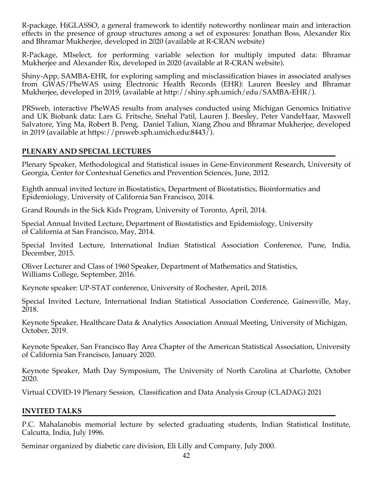R-package, HiGLASSO, a general framework to identify noteworthy nonlinear main and interaction effects in the presence of group structures among a set of exposures: Jonathan Boss, Alexander Rix and Bhramar Mukherjee, developed in 2020 (available at R-CRAN website)

R-Package, MIselect, for performing variable selection for multiply imputed data: Bhramar Mukherjee and Alexander Rix, developed in 2020 (available at R-CRAN website).

Shiny-App, SAMBA-EHR, for exploring sampling and misclassification biases in associated analyses from GWAS/PheWAS using Electronic Health Records (EHR): Lauren Beesley and Bhramar Mukherjee, developed in 2019, (available at http://shiny.sph.umich/edu/SAMBA-EHR/).

PRSweb, interactive PheWAS results from analyses conducted using Michigan Genomics Initiative and UK Biobank data: Lars G. Fritsche, Snehal Patil, Lauren J. Beesley, Peter VandeHaar, Maxwell Salvatore, Ying Ma, Robert B. Peng, Daniel Taliun, Xiang Zhou and Bhramar Mukherjee, developed in 2019 (available at https://prsweb.sph.umich.edu:8443/).

## **PLENARY AND SPECIAL LECTURES**

Plenary Speaker, Methodological and Statistical issues in Gene-Environment Research, University of Georgia, Center for Contextual Genetics and Prevention Sciences, June, 2012.

Eighth annual invited lecture in Biostatistics, Department of Biostatistics, Bioinformatics and Epidemiology, University of California San Francisco, 2014.

Grand Rounds in the Sick Kids Program, University of Toronto, April, 2014.

Special Annual Invited Lecture, Department of Biostatistics and Epidemiology, University of California at San Francisco, May, 2014.

Special Invited Lecture, International Indian Statistical Association Conference, Pune, India, December, 2015.

Oliver Lecturer and Class of 1960 Speaker, Department of Mathematics and Statistics, Williams College, September, 2016.

Keynote speaker: UP-STAT conference, University of Rochester, April, 2018.

Special Invited Lecture, International Indian Statistical Association Conference, Gainesville, May, 2018.

Keynote Speaker, Healthcare Data & Analytics Association Annual Meeting, University of Michigan, October, 2019.

Keynote Speaker, San Francisco Bay Area Chapter of the American Statistical Association, University of California San Francisco, January 2020.

Keynote Speaker, Math Day Symposium, The University of North Carolina at Charlotte, October 2020.

Virtual COVID-19 Plenary Session, Classification and Data Analysis Group (CLADAG) 2021

# **INVITED TALKS**

P.C. Mahalanobis memorial lecture by selected graduating students, Indian Statistical Institute, Calcutta, India, July 1996.

Seminar organized by diabetic care division, Eli Lilly and Company, July 2000.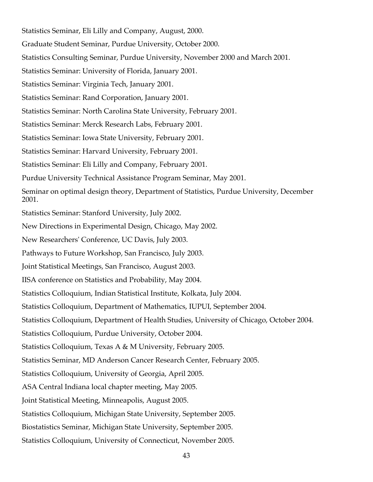Statistics Seminar, Eli Lilly and Company, August, 2000. Graduate Student Seminar, Purdue University, October 2000. Statistics Consulting Seminar, Purdue University, November 2000 and March 2001. Statistics Seminar: University of Florida, January 2001. Statistics Seminar: Virginia Tech, January 2001. Statistics Seminar: Rand Corporation, January 2001. Statistics Seminar: North Carolina State University, February 2001. Statistics Seminar: Merck Research Labs, February 2001. Statistics Seminar: Iowa State University, February 2001. Statistics Seminar: Harvard University, February 2001. Statistics Seminar: Eli Lilly and Company, February 2001. Purdue University Technical Assistance Program Seminar, May 2001. Seminar on optimal design theory, Department of Statistics, Purdue University, December 2001. Statistics Seminar: Stanford University, July 2002. New Directions in Experimental Design, Chicago, May 2002. New Researchers' Conference, UC Davis, July 2003. Pathways to Future Workshop, San Francisco, July 2003. Joint Statistical Meetings, San Francisco, August 2003. IISA conference on Statistics and Probability, May 2004. Statistics Colloquium, Indian Statistical Institute, Kolkata, July 2004. Statistics Colloquium, Department of Mathematics, IUPUI, September 2004. Statistics Colloquium, Department of Health Studies, University of Chicago, October 2004. Statistics Colloquium, Purdue University, October 2004. Statistics Colloquium, Texas A & M University, February 2005. Statistics Seminar, MD Anderson Cancer Research Center, February 2005. Statistics Colloquium, University of Georgia, April 2005. ASA Central Indiana local chapter meeting, May 2005. Joint Statistical Meeting, Minneapolis, August 2005. Statistics Colloquium, Michigan State University, September 2005. Biostatistics Seminar, Michigan State University, September 2005. Statistics Colloquium, University of Connecticut, November 2005.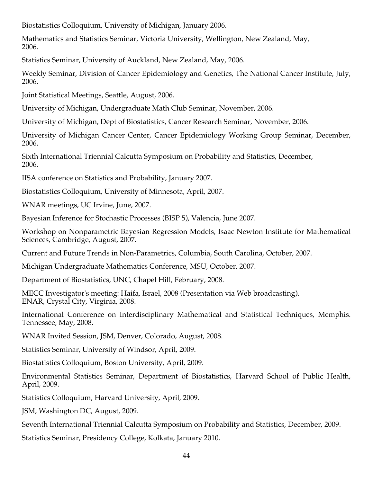Biostatistics Colloquium, University of Michigan, January 2006.

Mathematics and Statistics Seminar, Victoria University, Wellington, New Zealand, May, 2006.

Statistics Seminar, University of Auckland, New Zealand, May, 2006.

Weekly Seminar, Division of Cancer Epidemiology and Genetics, The National Cancer Institute, July, 2006.

Joint Statistical Meetings, Seattle, August, 2006.

University of Michigan, Undergraduate Math Club Seminar, November, 2006.

University of Michigan, Dept of Biostatistics, Cancer Research Seminar, November, 2006.

University of Michigan Cancer Center, Cancer Epidemiology Working Group Seminar, December, 2006.

Sixth International Triennial Calcutta Symposium on Probability and Statistics, December, 2006.

IISA conference on Statistics and Probability, January 2007.

Biostatistics Colloquium, University of Minnesota, April, 2007.

WNAR meetings, UC Irvine, June, 2007.

Bayesian Inference for Stochastic Processes (BISP 5), Valencia, June 2007.

Workshop on Nonparametric Bayesian Regression Models, Isaac Newton Institute for Mathematical Sciences, Cambridge, August, 2007.

Current and Future Trends in Non-Parametrics, Columbia, South Carolina, October, 2007.

Michigan Undergraduate Mathematics Conference, MSU, October, 2007.

Department of Biostatistics, UNC, Chapel Hill, February, 2008.

MECC Investigator's meeting: Haifa, Israel, 2008 (Presentation via Web broadcasting). ENAR, Crystal City, Virginia, 2008.

International Conference on Interdisciplinary Mathematical and Statistical Techniques, Memphis. Tennessee, May, 2008.

WNAR Invited Session, JSM, Denver, Colorado, August, 2008.

Statistics Seminar, University of Windsor, April, 2009.

Biostatistics Colloquium, Boston University, April, 2009.

Environmental Statistics Seminar, Department of Biostatistics, Harvard School of Public Health, April, 2009.

Statistics Colloquium, Harvard University, April, 2009.

JSM, Washington DC, August, 2009.

Seventh International Triennial Calcutta Symposium on Probability and Statistics, December, 2009.

Statistics Seminar, Presidency College, Kolkata, January 2010.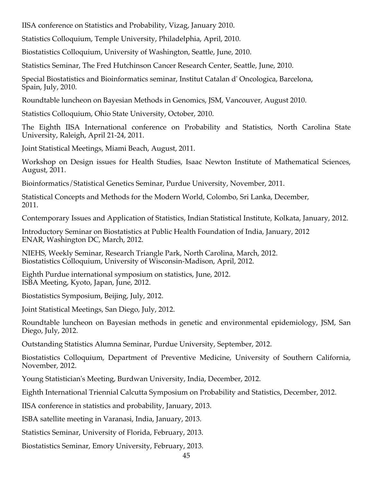IISA conference on Statistics and Probability, Vizag, January 2010.

Statistics Colloquium, Temple University, Philadelphia, April, 2010.

Biostatistics Colloquium, University of Washington, Seattle, June, 2010.

Statistics Seminar, The Fred Hutchinson Cancer Research Center, Seattle, June, 2010.

Special Biostatistics and Bioinformatics seminar, Institut Catalan d' Oncologica, Barcelona, Spain, July, 2010.

Roundtable luncheon on Bayesian Methods in Genomics, JSM, Vancouver, August 2010.

Statistics Colloquium, Ohio State University, October, 2010.

The Eighth IISA International conference on Probability and Statistics, North Carolina State University, Raleigh, April 21-24, 2011.

Joint Statistical Meetings, Miami Beach, August, 2011.

Workshop on Design issues for Health Studies, Isaac Newton Institute of Mathematical Sciences, August, 2011.

Bioinformatics/Statistical Genetics Seminar, Purdue University, November, 2011.

Statistical Concepts and Methods for the Modern World, Colombo, Sri Lanka, December, 2011.

Contemporary Issues and Application of Statistics, Indian Statistical Institute, Kolkata, January, 2012.

Introductory Seminar on Biostatistics at Public Health Foundation of India, January, 2012 ENAR, Washington DC, March, 2012.

NIEHS, Weekly Seminar, Research Triangle Park, North Carolina, March, 2012. Biostatistics Colloquium, University of Wisconsin-Madison, April, 2012.

Eighth Purdue international symposium on statistics, June, 2012. ISBA Meeting, Kyoto, Japan, June, 2012.

Biostatistics Symposium, Beijing, July, 2012.

Joint Statistical Meetings, San Diego, July, 2012.

Roundtable luncheon on Bayesian methods in genetic and environmental epidemiology, JSM, San Diego, July, 2012.

Outstanding Statistics Alumna Seminar, Purdue University, September, 2012.

Biostatistics Colloquium, Department of Preventive Medicine, University of Southern California, November, 2012.

Young Statistician's Meeting, Burdwan University, India, December, 2012.

Eighth International Triennial Calcutta Symposium on Probability and Statistics, December, 2012.

IISA conference in statistics and probability, January, 2013.

ISBA satellite meeting in Varanasi, India, January, 2013.

Statistics Seminar, University of Florida, February, 2013.

Biostatistics Seminar, Emory University, February, 2013.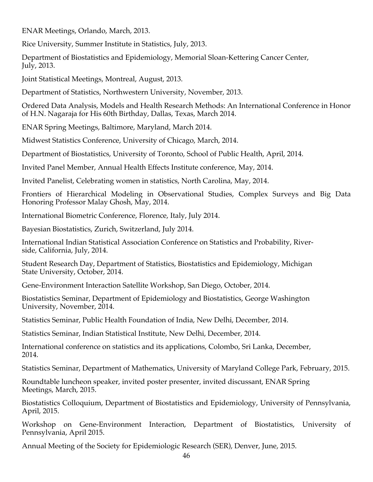ENAR Meetings, Orlando, March, 2013.

Rice University, Summer Institute in Statistics, July, 2013.

Department of Biostatistics and Epidemiology, Memorial Sloan-Kettering Cancer Center, July, 2013.

Joint Statistical Meetings, Montreal, August, 2013.

Department of Statistics, Northwestern University, November, 2013.

Ordered Data Analysis, Models and Health Research Methods: An International Conference in Honor of H.N. Nagaraja for His 60th Birthday, Dallas, Texas, March 2014.

ENAR Spring Meetings, Baltimore, Maryland, March 2014.

Midwest Statistics Conference, University of Chicago, March, 2014.

Department of Biostatistics, University of Toronto, School of Public Health, April, 2014.

Invited Panel Member, Annual Health Effects Institute conference, May, 2014.

Invited Panelist, Celebrating women in statistics, North Carolina, May, 2014.

Frontiers of Hierarchical Modeling in Observational Studies, Complex Surveys and Big Data Honoring Professor Malay Ghosh, May, 2014.

International Biometric Conference, Florence, Italy, July 2014.

Bayesian Biostatistics, Zurich, Switzerland, July 2014.

International Indian Statistical Association Conference on Statistics and Probability, Riverside, California, July, 2014.

Student Research Day, Department of Statistics, Biostatistics and Epidemiology, Michigan State University, October, 2014.

Gene-Environment Interaction Satellite Workshop, San Diego, October, 2014.

Biostatistics Seminar, Department of Epidemiology and Biostatistics, George Washington University, November, 2014.

Statistics Seminar, Public Health Foundation of India, New Delhi, December, 2014.

Statistics Seminar, Indian Statistical Institute, New Delhi, December, 2014.

International conference on statistics and its applications, Colombo, Sri Lanka, December, 2014.

Statistics Seminar, Department of Mathematics, University of Maryland College Park, February, 2015.

Roundtable luncheon speaker, invited poster presenter, invited discussant, ENAR Spring Meetings, March, 2015.

Biostatistics Colloquium, Department of Biostatistics and Epidemiology, University of Pennsylvania, April, 2015.

Workshop on Gene-Environment Interaction, Department of Biostatistics, University of Pennsylvania, April 2015.

Annual Meeting of the Society for Epidemiologic Research (SER), Denver, June, 2015.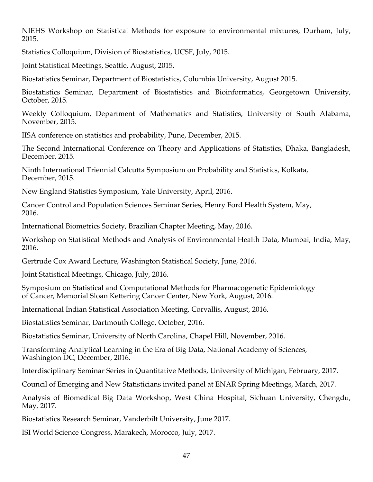NIEHS Workshop on Statistical Methods for exposure to environmental mixtures, Durham, July, 2015.

Statistics Colloquium, Division of Biostatistics, UCSF, July, 2015.

Joint Statistical Meetings, Seattle, August, 2015.

Biostatistics Seminar, Department of Biostatistics, Columbia University, August 2015.

Biostatistics Seminar, Department of Biostatistics and Bioinformatics, Georgetown University, October, 2015.

Weekly Colloquium, Department of Mathematics and Statistics, University of South Alabama, November, 2015.

IISA conference on statistics and probability, Pune, December, 2015.

The Second International Conference on Theory and Applications of Statistics, Dhaka, Bangladesh, December, 2015.

Ninth International Triennial Calcutta Symposium on Probability and Statistics, Kolkata, December, 2015.

New England Statistics Symposium, Yale University, April, 2016.

Cancer Control and Population Sciences Seminar Series, Henry Ford Health System, May, 2016.

International Biometrics Society, Brazilian Chapter Meeting, May, 2016.

Workshop on Statistical Methods and Analysis of Environmental Health Data, Mumbai, India, May, 2016.

Gertrude Cox Award Lecture, Washington Statistical Society, June, 2016.

Joint Statistical Meetings, Chicago, July, 2016.

Symposium on Statistical and Computational Methods for Pharmacogenetic Epidemiology of Cancer, Memorial Sloan Kettering Cancer Center, New York, August, 2016.

International Indian Statistical Association Meeting, Corvallis, August, 2016.

Biostatistics Seminar, Dartmouth College, October, 2016.

Biostatistics Seminar, University of North Carolina, Chapel Hill, November, 2016.

Transforming Analytical Learning in the Era of Big Data, National Academy of Sciences, Washington DC, December, 2016.

Interdisciplinary Seminar Series in Quantitative Methods, University of Michigan, February, 2017.

Council of Emerging and New Statisticians invited panel at ENAR Spring Meetings, March, 2017.

Analysis of Biomedical Big Data Workshop, West China Hospital, Sichuan University, Chengdu, May, 2017.

Biostatistics Research Seminar, Vanderbilt University, June 2017.

ISI World Science Congress, Marakech, Morocco, July, 2017.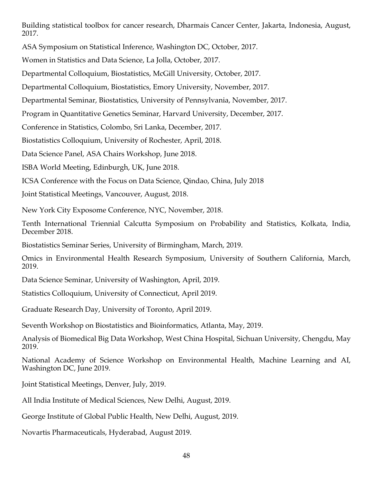Building statistical toolbox for cancer research, Dharmais Cancer Center, Jakarta, Indonesia, August, 2017.

ASA Symposium on Statistical Inference, Washington DC, October, 2017.

Women in Statistics and Data Science, La Jolla, October, 2017.

Departmental Colloquium, Biostatistics, McGill University, October, 2017.

Departmental Colloquium, Biostatistics, Emory University, November, 2017.

Departmental Seminar, Biostatistics, University of Pennsylvania, November, 2017.

Program in Quantitative Genetics Seminar, Harvard University, December, 2017.

Conference in Statistics, Colombo, Sri Lanka, December, 2017.

Biostatistics Colloquium, University of Rochester, April, 2018.

Data Science Panel, ASA Chairs Workshop, June 2018.

ISBA World Meeting, Edinburgh, UK, June 2018.

ICSA Conference with the Focus on Data Science, Qindao, China, July 2018

Joint Statistical Meetings, Vancouver, August, 2018.

New York City Exposome Conference, NYC, November, 2018.

Tenth International Triennial Calcutta Symposium on Probability and Statistics, Kolkata, India, December 2018.

Biostatistics Seminar Series, University of Birmingham, March, 2019.

Omics in Environmental Health Research Symposium, University of Southern California, March, 2019.

Data Science Seminar, University of Washington, April, 2019.

Statistics Colloquium, University of Connecticut, April 2019.

Graduate Research Day, University of Toronto, April 2019.

Seventh Workshop on Biostatistics and Bioinformatics, Atlanta, May, 2019.

Analysis of Biomedical Big Data Workshop, West China Hospital, Sichuan University, Chengdu, May 2019.

National Academy of Science Workshop on Environmental Health, Machine Learning and AI, Washington DC, June 2019.

Joint Statistical Meetings, Denver, July, 2019.

All India Institute of Medical Sciences, New Delhi, August, 2019.

George Institute of Global Public Health, New Delhi, August, 2019.

Novartis Pharmaceuticals, Hyderabad, August 2019.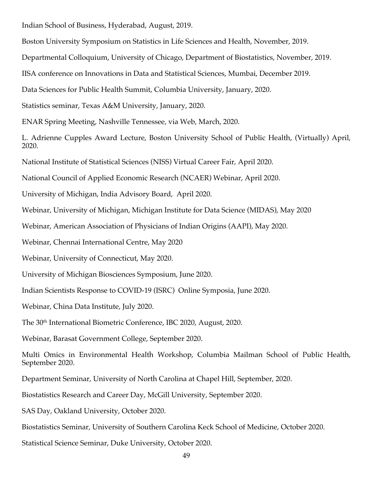Indian School of Business, Hyderabad, August, 2019.

Boston University Symposium on Statistics in Life Sciences and Health, November, 2019.

Departmental Colloquium, University of Chicago, Department of Biostatistics, November, 2019.

IISA conference on Innovations in Data and Statistical Sciences, Mumbai, December 2019.

Data Sciences for Public Health Summit, Columbia University, January, 2020.

Statistics seminar, Texas A&M University, January, 2020.

ENAR Spring Meeting, Nashville Tennessee, via Web, March, 2020.

L. Adrienne Cupples Award Lecture, Boston University School of Public Health, (Virtually) April, 2020.

National Institute of Statistical Sciences (NISS) Virtual Career Fair, April 2020.

National Council of Applied Economic Research (NCAER) Webinar, April 2020.

University of Michigan, India Advisory Board, April 2020.

Webinar, University of Michigan, Michigan Institute for Data Science (MIDAS), May 2020

Webinar, American Association of Physicians of Indian Origins (AAPI), May 2020.

Webinar, Chennai International Centre, May 2020

Webinar, University of Connecticut, May 2020.

University of Michigan Biosciences Symposium, June 2020.

Indian Scientists Response to COVID-19 (ISRC) Online Symposia, June 2020.

Webinar, China Data Institute, July 2020.

The 30th International Biometric Conference, IBC 2020, August, 2020.

Webinar, Barasat Government College, September 2020.

Multi Omics in Environmental Health Workshop, Columbia Mailman School of Public Health, September 2020.

Department Seminar, University of North Carolina at Chapel Hill, September, 2020.

Biostatistics Research and Career Day, McGill University, September 2020.

SAS Day, Oakland University, October 2020.

Biostatistics Seminar, University of Southern Carolina Keck School of Medicine, October 2020.

Statistical Science Seminar, Duke University, October 2020.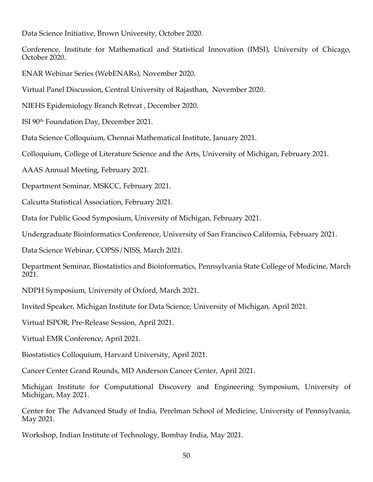Data Science Initiative, Brown University, October 2020.

Conference, Institute for Mathematical and Statistical Innovation (IMSI), University of Chicago, October 2020.

ENAR Webinar Series (WebENARs), November 2020.

Virtual Panel Discussion, Central University of Rajasthan, November 2020.

NIEHS Epidemiology Branch Retreat , December 2020.

ISI 90th Foundation Day, December 2021.

Data Science Colloquium, Chennai Mathematical Institute, January 2021.

Colloquium, College of Literature Science and the Arts, University of Michigan, February 2021.

AAAS Annual Meeting, February 2021.

Department Seminar, MSKCC, February 2021.

Calcutta Statistical Association, February 2021.

Data for Public Good Symposium, University of Michigan, February 2021.

Undergraduate Bioinformatics Conference, University of San Francisco California, February 2021.

Data Science Webinar, COPSS/NISS, March 2021.

Department Seminar, Biostatistics and Bioinformatics, Pennsylvania State College of Medicine, March 2021.

NDPH Symposium, University of Oxford, March 2021.

Invited Speaker, Michigan Institute for Data Science, University of Michigan, April 2021.

Virtual ISPOR, Pre-Release Session, April 2021.

Virtual EMR Conference, April 2021.

Biostatistics Colloquium, Harvard University, April 2021.

Cancer Center Grand Rounds, MD Anderson Cancer Center, April 2021.

Michigan Institute for Computational Discovery and Engineering Symposium, University of Michigan, May 2021.

Center for The Advanced Study of India, Perelman School of Medicine, University of Pennsylvania, May 2021.

Workshop, Indian Institute of Technology, Bombay India, May 2021.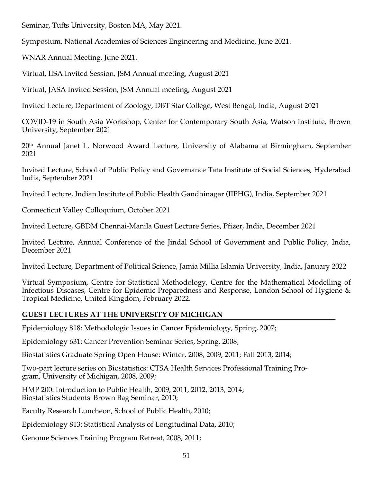Seminar, Tufts University, Boston MA, May 2021.

Symposium, National Academies of Sciences Engineering and Medicine, June 2021.

WNAR Annual Meeting, June 2021.

Virtual, IISA Invited Session, JSM Annual meeting, August 2021

Virtual, JASA Invited Session, JSM Annual meeting, August 2021

Invited Lecture, Department of Zoology, DBT Star College, West Bengal, India, August 2021

COVID-19 in South Asia Workshop, Center for Contemporary South Asia, Watson Institute, Brown University, September 2021

20th Annual Janet L. Norwood Award Lecture, University of Alabama at Birmingham, September 2021

Invited Lecture, School of Public Policy and Governance Tata Institute of Social Sciences, Hyderabad India, September 2021

Invited Lecture, Indian Institute of Public Health Gandhinagar (IIPHG), India, September 2021

Connecticut Valley Colloquium, October 2021

Invited Lecture, GBDM Chennai-Manila Guest Lecture Series, Pfizer, India, December 2021

Invited Lecture, Annual Conference of the Jindal School of Government and Public Policy, India, December 2021

Invited Lecture, Department of Political Science, Jamia Millia Islamia University, India, January 2022

Virtual Symposium, Centre for Statistical Methodology, Centre for the Mathematical Modelling of Infectious Diseases, Centre for Epidemic Preparedness and Response, London School of Hygiene & Tropical Medicine, United Kingdom, February 2022.

# **GUEST LECTURES AT THE UNIVERSITY OF MICHIGAN**

Epidemiology 818: Methodologic Issues in Cancer Epidemiology, Spring, 2007;

Epidemiology 631: Cancer Prevention Seminar Series, Spring, 2008;

Biostatistics Graduate Spring Open House: Winter, 2008, 2009, 2011; Fall 2013, 2014;

Two-part lecture series on Biostatistics: CTSA Health Services Professional Training Program, University of Michigan, 2008, 2009;

HMP 200: Introduction to Public Health, 2009, 2011, 2012, 2013, 2014; Biostatistics Students' Brown Bag Seminar, 2010;

Faculty Research Luncheon, School of Public Health, 2010;

Epidemiology 813: Statistical Analysis of Longitudinal Data, 2010;

Genome Sciences Training Program Retreat, 2008, 2011;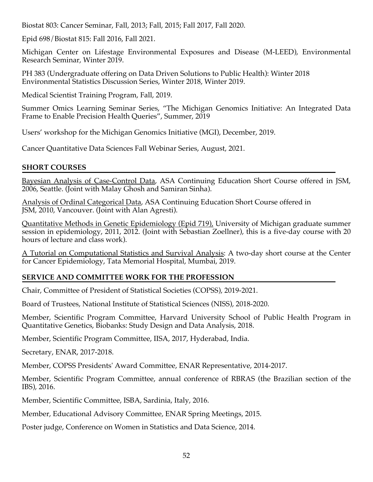Biostat 803: Cancer Seminar, Fall, 2013; Fall, 2015; Fall 2017, Fall 2020.

Epid 698/Biostat 815: Fall 2016, Fall 2021.

Michigan Center on Lifestage Environmental Exposures and Disease (M-LEED), Environmental Research Seminar, Winter 2019.

PH 383 (Undergraduate offering on Data Driven Solutions to Public Health): Winter 2018 Environmental Statistics Discussion Series, Winter 2018, Winter 2019.

Medical Scientist Training Program, Fall, 2019.

Summer Omics Learning Seminar Series, "The Michigan Genomics Initiative: An Integrated Data Frame to Enable Precision Health Queries", Summer, 2019

Users' workshop for the Michigan Genomics Initiative (MGI), December, 2019.

Cancer Quantitative Data Sciences Fall Webinar Series, August, 2021.

#### **SHORT COURSES**

Bayesian Analysis of Case-Control Data, ASA Continuing Education Short Course offered in JSM, 2006, Seattle. (Joint with Malay Ghosh and Samiran Sinha).

Analysis of Ordinal Categorical Data, ASA Continuing Education Short Course offered in JSM, 2010, Vancouver. (Joint with Alan Agresti).

Quantitative Methods in Genetic Epidemiology (Epid 719), University of Michigan graduate summer session in epidemiology, 2011, 2012. (Joint with Sebastian Zoellner), this is a five-day course with 20 hours of lecture and class work).

A Tutorial on Computational Statistics and Survival Analysis: A two-day short course at the Center for Cancer Epidemiology, Tata Memorial Hospital, Mumbai, 2019.

### **SERVICE AND COMMITTEE WORK FOR THE PROFESSION**

Chair, Committee of President of Statistical Societies (COPSS), 2019-2021.

Board of Trustees, National Institute of Statistical Sciences (NISS), 2018-2020.

Member, Scientific Program Committee, Harvard University School of Public Health Program in Quantitative Genetics, Biobanks: Study Design and Data Analysis, 2018.

Member, Scientific Program Committee, IISA, 2017, Hyderabad, India.

Secretary, ENAR, 2017-2018.

Member, COPSS Presidents' Award Committee, ENAR Representative, 2014-2017.

Member, Scientific Program Committee, annual conference of RBRAS (the Brazilian section of the IBS), 2016.

Member, Scientific Committee, ISBA, Sardinia, Italy, 2016.

Member, Educational Advisory Committee, ENAR Spring Meetings, 2015.

Poster judge, Conference on Women in Statistics and Data Science, 2014.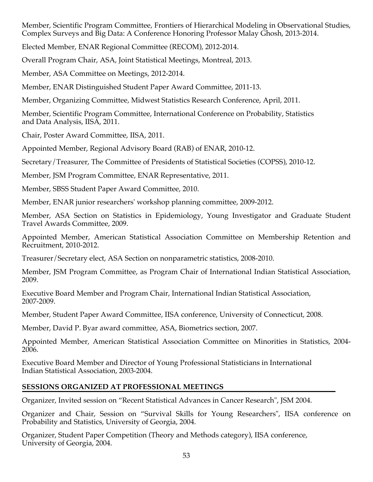Member, Scientific Program Committee, Frontiers of Hierarchical Modeling in Observational Studies, Complex Surveys and Big Data: A Conference Honoring Professor Malay Ghosh, 2013-2014.

Elected Member, ENAR Regional Committee (RECOM), 2012-2014.

Overall Program Chair, ASA, Joint Statistical Meetings, Montreal, 2013.

Member, ASA Committee on Meetings, 2012-2014.

Member, ENAR Distinguished Student Paper Award Committee, 2011-13.

Member, Organizing Committee, Midwest Statistics Research Conference, April, 2011.

Member, Scientific Program Committee, International Conference on Probability, Statistics and Data Analysis, IISA, 2011.

Chair, Poster Award Committee, IISA, 2011.

Appointed Member, Regional Advisory Board (RAB) of ENAR, 2010-12.

Secretary/Treasurer, The Committee of Presidents of Statistical Societies (COPSS), 2010-12.

Member, JSM Program Committee, ENAR Representative, 2011.

Member, SBSS Student Paper Award Committee, 2010.

Member, ENAR junior researchers' workshop planning committee, 2009-2012.

Member, ASA Section on Statistics in Epidemiology, Young Investigator and Graduate Student Travel Awards Committee, 2009.

Appointed Member, American Statistical Association Committee on Membership Retention and Recruitment, 2010-2012.

Treasurer/Secretary elect, ASA Section on nonparametric statistics, 2008-2010.

Member, JSM Program Committee, as Program Chair of International Indian Statistical Association, 2009.

Executive Board Member and Program Chair, International Indian Statistical Association, 2007-2009.

Member, Student Paper Award Committee, IISA conference, University of Connecticut, 2008.

Member, David P. Byar award committee, ASA, Biometrics section, 2007.

Appointed Member, American Statistical Association Committee on Minorities in Statistics, 2004- 2006.

Executive Board Member and Director of Young Professional Statisticians in International Indian Statistical Association, 2003-2004.

# **SESSIONS ORGANIZED AT PROFESSIONAL MEETINGS**

Organizer, Invited session on "Recent Statistical Advances in Cancer Research", JSM 2004.

Organizer and Chair, Session on "Survival Skills for Young Researchers", IISA conference on Probability and Statistics, University of Georgia, 2004.

Organizer, Student Paper Competition (Theory and Methods category), IISA conference, University of Georgia, 2004.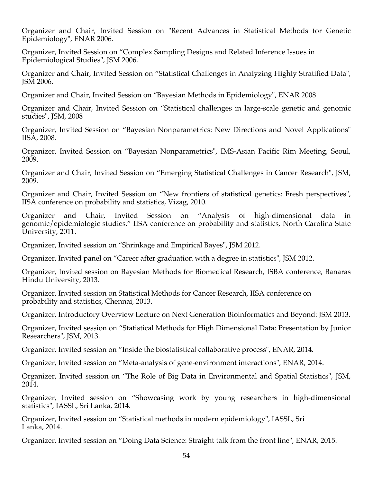Organizer and Chair, Invited Session on "Recent Advances in Statistical Methods for Genetic Epidemiology", ENAR 2006.

Organizer, Invited Session on "Complex Sampling Designs and Related Inference Issues in Epidemiological Studies", JSM 2006.

Organizer and Chair, Invited Session on "Statistical Challenges in Analyzing Highly Stratified Data", JSM 2006.

Organizer and Chair, Invited Session on "Bayesian Methods in Epidemiology", ENAR 2008

Organizer and Chair, Invited Session on "Statistical challenges in large-scale genetic and genomic studies", JSM, 2008

Organizer, Invited Session on "Bayesian Nonparametrics: New Directions and Novel Applications" IISA, 2008.

Organizer, Invited Session on "Bayesian Nonparametrics", IMS-Asian Pacific Rim Meeting, Seoul, 2009.

Organizer and Chair, Invited Session on "Emerging Statistical Challenges in Cancer Research", JSM, 2009.

Organizer and Chair, Invited Session on "New frontiers of statistical genetics: Fresh perspectives", IISA conference on probability and statistics, Vizag, 2010.

Organizer and Chair, Invited Session on "Analysis of high-dimensional data in genomic/epidemiologic studies." IISA conference on probability and statistics, North Carolina State University, 2011.

Organizer, Invited session on "Shrinkage and Empirical Bayes", JSM 2012.

Organizer, Invited panel on "Career after graduation with a degree in statistics", JSM 2012.

Organizer, Invited session on Bayesian Methods for Biomedical Research, ISBA conference, Banaras Hindu University, 2013.

Organizer, Invited session on Statistical Methods for Cancer Research, IISA conference on probability and statistics, Chennai, 2013.

Organizer, Introductory Overview Lecture on Next Generation Bioinformatics and Beyond: JSM 2013.

Organizer, Invited session on "Statistical Methods for High Dimensional Data: Presentation by Junior Researchers", JSM, 2013.

Organizer, Invited session on "Inside the biostatistical collaborative process", ENAR, 2014.

Organizer, Invited session on "Meta-analysis of gene-environment interactions", ENAR, 2014.

Organizer, Invited session on "The Role of Big Data in Environmental and Spatial Statistics", JSM, 2014.

Organizer, Invited session on "Showcasing work by young researchers in high-dimensional statistics", IASSL, Sri Lanka, 2014.

Organizer, Invited session on "Statistical methods in modern epidemiology", IASSL, Sri Lanka, 2014.

Organizer, Invited session on "Doing Data Science: Straight talk from the front line", ENAR, 2015.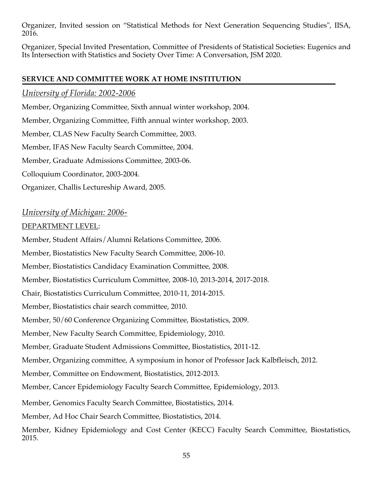Organizer, Invited session on "Statistical Methods for Next Generation Sequencing Studies", IISA, 2016.

Organizer, Special Invited Presentation, Committee of Presidents of Statistical Societies: Eugenics and Its Intersection with Statistics and Society Over Time: A Conversation, JSM 2020.

## **SERVICE AND COMMITTEE WORK AT HOME INSTITUTION**

*University of Florida: 2002-2006*

Member, Organizing Committee, Sixth annual winter workshop, 2004.

Member, Organizing Committee, Fifth annual winter workshop, 2003.

Member, CLAS New Faculty Search Committee, 2003.

Member, IFAS New Faculty Search Committee, 2004.

Member, Graduate Admissions Committee, 2003-06.

Colloquium Coordinator, 2003-2004.

Organizer, Challis Lectureship Award, 2005.

# *University of Michigan: 2006-*

## DEPARTMENT LEVEL:

Member, Student Affairs/Alumni Relations Committee, 2006.

Member, Biostatistics New Faculty Search Committee, 2006-10.

Member, Biostatistics Candidacy Examination Committee, 2008.

Member, Biostatistics Curriculum Committee, 2008-10, 2013-2014, 2017-2018.

Chair, Biostatistics Curriculum Committee, 2010-11, 2014-2015.

Member, Biostatistics chair search committee, 2010.

Member, 50/60 Conference Organizing Committee, Biostatistics, 2009.

Member, New Faculty Search Committee, Epidemiology, 2010.

Member, Graduate Student Admissions Committee, Biostatistics, 2011-12.

Member, Organizing committee, A symposium in honor of Professor Jack Kalbfleisch, 2012.

Member, Committee on Endowment, Biostatistics, 2012-2013.

Member, Cancer Epidemiology Faculty Search Committee, Epidemiology, 2013.

Member, Genomics Faculty Search Committee, Biostatistics, 2014.

Member, Ad Hoc Chair Search Committee, Biostatistics, 2014.

Member, Kidney Epidemiology and Cost Center (KECC) Faculty Search Committee, Biostatistics, 2015.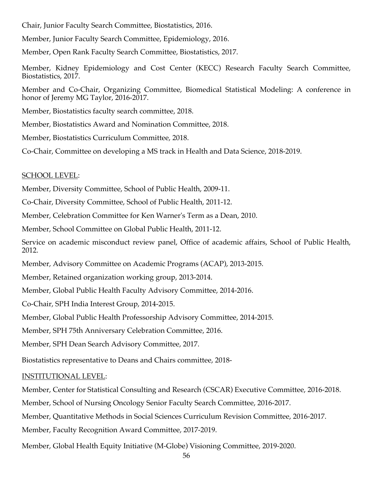Chair, Junior Faculty Search Committee, Biostatistics, 2016.

Member, Junior Faculty Search Committee, Epidemiology, 2016.

Member, Open Rank Faculty Search Committee, Biostatistics, 2017.

Member, Kidney Epidemiology and Cost Center (KECC) Research Faculty Search Committee, Biostatistics, 2017.

Member and Co-Chair, Organizing Committee, Biomedical Statistical Modeling: A conference in honor of Jeremy MG Taylor, 2016-2017.

Member, Biostatistics faculty search committee, 2018.

Member, Biostatistics Award and Nomination Committee, 2018.

Member, Biostatistics Curriculum Committee, 2018.

Co-Chair, Committee on developing a MS track in Health and Data Science, 2018-2019.

#### SCHOOL LEVEL:

Member, Diversity Committee, School of Public Health, 2009-11.

Co-Chair, Diversity Committee, School of Public Health, 2011-12.

Member, Celebration Committee for Ken Warner's Term as a Dean, 2010.

Member, School Committee on Global Public Health, 2011-12.

Service on academic misconduct review panel, Office of academic affairs, School of Public Health, 2012.

Member, Advisory Committee on Academic Programs (ACAP), 2013-2015.

Member, Retained organization working group, 2013-2014.

Member, Global Public Health Faculty Advisory Committee, 2014-2016.

Co-Chair, SPH India Interest Group, 2014-2015.

Member, Global Public Health Professorship Advisory Committee, 2014-2015.

Member, SPH 75th Anniversary Celebration Committee, 2016.

Member, SPH Dean Search Advisory Committee, 2017.

Biostatistics representative to Deans and Chairs committee, 2018-

#### INSTITUTIONAL LEVEL:

Member, Center for Statistical Consulting and Research (CSCAR) Executive Committee, 2016-2018.

Member, School of Nursing Oncology Senior Faculty Search Committee, 2016-2017.

Member, Quantitative Methods in Social Sciences Curriculum Revision Committee, 2016-2017.

Member, Faculty Recognition Award Committee, 2017-2019.

Member, Global Health Equity Initiative (M-Globe) Visioning Committee, 2019-2020.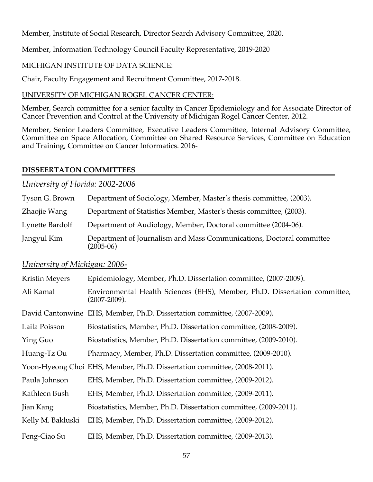Member, Institute of Social Research, Director Search Advisory Committee, 2020.

Member, Information Technology Council Faculty Representative, 2019-2020

## MICHIGAN INSTITUTE OF DATA SCIENCE:

Chair, Faculty Engagement and Recruitment Committee, 2017-2018.

## UNIVERSITY OF MICHIGAN ROGEL CANCER CENTER:

Member, Search committee for a senior faculty in Cancer Epidemiology and for Associate Director of Cancer Prevention and Control at the University of Michigan Rogel Cancer Center, 2012.

Member, Senior Leaders Committee, Executive Leaders Committee, Internal Advisory Committee, Committee on Space Allocation, Committee on Shared Resource Services, Committee on Education and Training, Committee on Cancer Informatics. 2016-

### **DISSEERTATON COMMITTEES**

### *University of Florida: 2002-2006*

| Tyson G. Brown  | Department of Sociology, Member, Master's thesis committee, (2003).                 |
|-----------------|-------------------------------------------------------------------------------------|
| Zhaojie Wang    | Department of Statistics Member, Master's thesis committee, (2003).                 |
| Lynette Bardolf | Department of Audiology, Member, Doctoral committee (2004-06).                      |
| Jangyul Kim     | Department of Journalism and Mass Communications, Doctoral committee<br>$(2005-06)$ |

# *University of Michigan: 2006-*

| <b>Kristin Meyers</b> | Epidemiology, Member, Ph.D. Dissertation committee, (2007-2009).                           |
|-----------------------|--------------------------------------------------------------------------------------------|
| Ali Kamal             | Environmental Health Sciences (EHS), Member, Ph.D. Dissertation committee,<br>(2007-2009). |
|                       | David Cantonwine EHS, Member, Ph.D. Dissertation committee, (2007-2009).                   |
| Laila Poisson         | Biostatistics, Member, Ph.D. Dissertation committee, (2008-2009).                          |
| Ying Guo              | Biostatistics, Member, Ph.D. Dissertation committee, (2009-2010).                          |
| Huang-Tz Ou           | Pharmacy, Member, Ph.D. Dissertation committee, (2009-2010).                               |
|                       | Yoon-Hyeong Choi EHS, Member, Ph.D. Dissertation committee, (2008-2011).                   |
| Paula Johnson         | EHS, Member, Ph.D. Dissertation committee, (2009-2012).                                    |
| Kathleen Bush         | EHS, Member, Ph.D. Dissertation committee, (2009-2011).                                    |
| Jian Kang             | Biostatistics, Member, Ph.D. Dissertation committee, (2009-2011).                          |
| Kelly M. Bakluski     | EHS, Member, Ph.D. Dissertation committee, (2009-2012).                                    |
| Feng-Ciao Su          | EHS, Member, Ph.D. Dissertation committee, (2009-2013).                                    |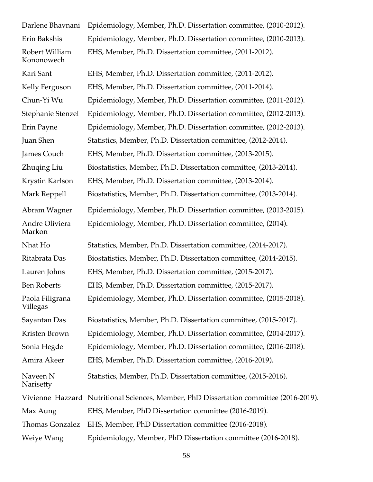| Darlene Bhavnani                 | Epidemiology, Member, Ph.D. Dissertation committee, (2010-2012).                       |
|----------------------------------|----------------------------------------------------------------------------------------|
| Erin Bakshis                     | Epidemiology, Member, Ph.D. Dissertation committee, (2010-2013).                       |
| Robert William<br>Kononowech     | EHS, Member, Ph.D. Dissertation committee, (2011-2012).                                |
| Kari Sant                        | EHS, Member, Ph.D. Dissertation committee, (2011-2012).                                |
| Kelly Ferguson                   | EHS, Member, Ph.D. Dissertation committee, (2011-2014).                                |
| Chun-Yi Wu                       | Epidemiology, Member, Ph.D. Dissertation committee, (2011-2012).                       |
| Stephanie Stenzel                | Epidemiology, Member, Ph.D. Dissertation committee, (2012-2013).                       |
| Erin Payne                       | Epidemiology, Member, Ph.D. Dissertation committee, (2012-2013).                       |
| Juan Shen                        | Statistics, Member, Ph.D. Dissertation committee, (2012-2014).                         |
| James Couch                      | EHS, Member, Ph.D. Dissertation committee, (2013-2015).                                |
| Zhuqing Liu                      | Biostatistics, Member, Ph.D. Dissertation committee, (2013-2014).                      |
| Krystin Karlson                  | EHS, Member, Ph.D. Dissertation committee, (2013-2014).                                |
| Mark Reppell                     | Biostatistics, Member, Ph.D. Dissertation committee, (2013-2014).                      |
| Abram Wagner                     | Epidemiology, Member, Ph.D. Dissertation committee, (2013-2015).                       |
| Andre Oliviera<br>Markon         | Epidemiology, Member, Ph.D. Dissertation committee, (2014).                            |
| Nhat Ho                          | Statistics, Member, Ph.D. Dissertation committee, (2014-2017).                         |
| Ritabrata Das                    | Biostatistics, Member, Ph.D. Dissertation committee, (2014-2015).                      |
| Lauren Johns                     | EHS, Member, Ph.D. Dissertation committee, (2015-2017).                                |
| <b>Ben Roberts</b>               | EHS, Member, Ph.D. Dissertation committee, (2015-2017).                                |
| Paola Filigrana<br>Villegas      | Epidemiology, Member, Ph.D. Dissertation committee, (2015-2018).                       |
| Sayantan Das                     | Biostatistics, Member, Ph.D. Dissertation committee, (2015-2017).                      |
| Kristen Brown                    | Epidemiology, Member, Ph.D. Dissertation committee, (2014-2017).                       |
| Sonia Hegde                      | Epidemiology, Member, Ph.D. Dissertation committee, (2016-2018).                       |
| Amira Akeer                      | EHS, Member, Ph.D. Dissertation committee, (2016-2019).                                |
| Naveen <sub>N</sub><br>Narisetty | Statistics, Member, Ph.D. Dissertation committee, (2015-2016).                         |
|                                  | Vivienne Hazzard Nutritional Sciences, Member, PhD Dissertation committee (2016-2019). |
| Max Aung                         | EHS, Member, PhD Dissertation committee (2016-2019).                                   |
| Thomas Gonzalez                  | EHS, Member, PhD Dissertation committee (2016-2018).                                   |
| Weiye Wang                       | Epidemiology, Member, PhD Dissertation committee (2016-2018).                          |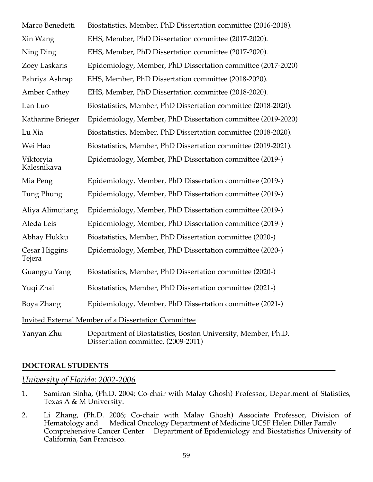| Marco Benedetti          | Biostatistics, Member, PhD Dissertation committee (2016-2018).                                       |
|--------------------------|------------------------------------------------------------------------------------------------------|
| Xin Wang                 | EHS, Member, PhD Dissertation committee (2017-2020).                                                 |
| Ning Ding                | EHS, Member, PhD Dissertation committee (2017-2020).                                                 |
| Zoey Laskaris            | Epidemiology, Member, PhD Dissertation committee (2017-2020)                                         |
| Pahriya Ashrap           | EHS, Member, PhD Dissertation committee (2018-2020).                                                 |
| <b>Amber Cathey</b>      | EHS, Member, PhD Dissertation committee (2018-2020).                                                 |
| Lan Luo                  | Biostatistics, Member, PhD Dissertation committee (2018-2020).                                       |
| Katharine Brieger        | Epidemiology, Member, PhD Dissertation committee (2019-2020)                                         |
| Lu Xia                   | Biostatistics, Member, PhD Dissertation committee (2018-2020).                                       |
| Wei Hao                  | Biostatistics, Member, PhD Dissertation committee (2019-2021).                                       |
| Viktoryia<br>Kalesnikava | Epidemiology, Member, PhD Dissertation committee (2019-)                                             |
| Mia Peng                 | Epidemiology, Member, PhD Dissertation committee (2019-)                                             |
| Tung Phung               | Epidemiology, Member, PhD Dissertation committee (2019-)                                             |
| Aliya Alimujiang         | Epidemiology, Member, PhD Dissertation committee (2019-)                                             |
| Aleda Leis               | Epidemiology, Member, PhD Dissertation committee (2019-)                                             |
| Abhay Hukku              | Biostatistics, Member, PhD Dissertation committee (2020-)                                            |
| Cesar Higgins<br>Tejera  | Epidemiology, Member, PhD Dissertation committee (2020-)                                             |
| Guangyu Yang             | Biostatistics, Member, PhD Dissertation committee (2020-)                                            |
| Yuqi Zhai                | Biostatistics, Member, PhD Dissertation committee (2021-)                                            |
| Boya Zhang               | Epidemiology, Member, PhD Dissertation committee (2021-)                                             |
|                          | <b>Invited External Member of a Dissertation Committee</b>                                           |
| Yanyan Zhu               | Department of Biostatistics, Boston University, Member, Ph.D.<br>Dissertation committee, (2009-2011) |

### **DOCTORAL STUDENTS**

#### *University of Florida: 2002-2006*

- 1. Samiran Sinha, (Ph.D. 2004; Co-chair with Malay Ghosh) Professor, Department of Statistics, Texas A & M University.
- 2. Li Zhang, (Ph.D. 2006; Co-chair with Malay Ghosh) Associate Professor, Division of Hematology and Medical Oncology Department of Medicine UCSF Helen Diller Family Comprehensive Cancer Center Department of Epidemiology and Biostatistics University of California, San Francisco.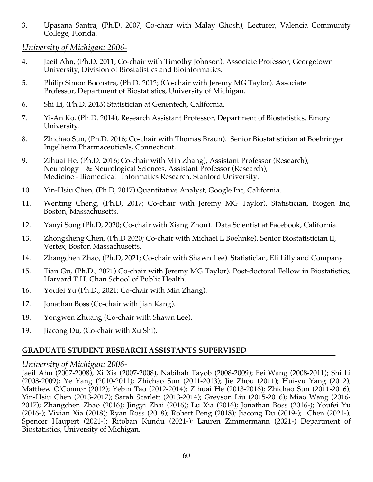3. Upasana Santra, (Ph.D. 2007; Co-chair with Malay Ghosh), Lecturer, Valencia Community College, Florida.

## *University of Michigan: 2006-*

- 4. Jaeil Ahn, (Ph.D. 2011; Co-chair with Timothy Johnson), Associate Professor, Georgetown University, Division of Biostatistics and Bioinformatics.
- 5. Philip Simon Boonstra, (Ph.D. 2012; (Co-chair with Jeremy MG Taylor). Associate Professor, Department of Biostatistics, University of Michigan.
- 6. Shi Li, (Ph.D. 2013) Statistician at Genentech, California.
- 7. Yi-An Ko, (Ph.D. 2014), Research Assistant Professor, Department of Biostatistics, Emory University.
- 8. Zhichao Sun, (Ph.D. 2016; Co-chair with Thomas Braun). Senior Biostatistician at Boehringer Ingelheim Pharmaceuticals, Connecticut.
- 9. Zihuai He, (Ph.D. 2016; Co-chair with Min Zhang), Assistant Professor (Research), Neurology & Neurological Sciences, Assistant Professor (Research), Medicine - Biomedical Informatics Research, Stanford University.
- 10. Yin-Hsiu Chen, (Ph.D, 2017) Quantitative Analyst, Google Inc, California.
- 11. Wenting Cheng, (Ph.D, 2017; Co-chair with Jeremy MG Taylor). Statistician, Biogen Inc, Boston, Massachusetts.
- 12. Yanyi Song (Ph.D, 2020; Co-chair with Xiang Zhou). Data Scientist at Facebook, California.
- 13. Zhongsheng Chen, (Ph.D 2020; Co-chair with Michael L Boehnke). Senior Biostatistician II, Vertex, Boston Massachusetts.
- 14. Zhangchen Zhao, (Ph.D, 2021; Co-chair with Shawn Lee). Statistician, Eli Lilly and Company.
- 15. Tian Gu, (Ph.D., 2021) Co-chair with Jeremy MG Taylor). Post-doctoral Fellow in Biostatistics, Harvard T.H. Chan School of Public Health.
- 16. Youfei Yu (Ph.D., 2021; Co-chair with Min Zhang).
- 17. Jonathan Boss (Co-chair with Jian Kang).
- 18. Yongwen Zhuang (Co-chair with Shawn Lee).
- 19. Jiacong Du, (Co-chair with Xu Shi).

# **GRADUATE STUDENT RESEARCH ASSISTANTS SUPERVISED**

# *University of Michigan: 2006-*

Jaeil Ahn (2007-2008), Xi Xia (2007-2008), Nabihah Tayob (2008-2009); Fei Wang (2008-2011); Shi Li (2008-2009); Ye Yang (2010-2011); Zhichao Sun (2011-2013); Jie Zhou (2011); Hui-yu Yang (2012); Matthew O'Connor (2012); Yebin Tao (2012-2014); Zihuai He (2013-2016); Zhichao Sun (2011-2016); Yin-Hsiu Chen (2013-2017); Sarah Scarlett (2013-2014); Greyson Liu (2015-2016); Miao Wang (2016- 2017); Zhangchen Zhao (2016); Jingyi Zhai (2016); Lu Xia (2016); Jonathan Boss (2016-); Youfei Yu (2016-); Vivian Xia (2018); Ryan Ross (2018); Robert Peng (2018); Jiacong Du (2019-); Chen (2021-); Spencer Haupert (2021-); Ritoban Kundu (2021-); Lauren Zimmermann (2021-) Department of Biostatistics, University of Michigan.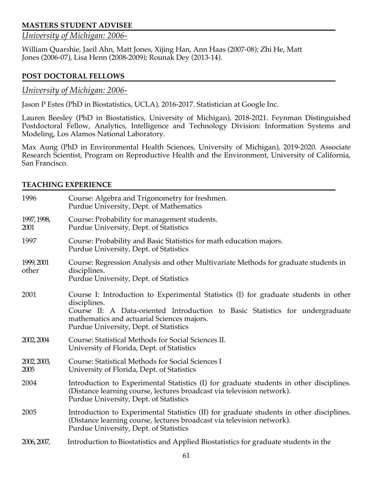### **MASTERS STUDENT ADVISEE**

# *University of Michigan: 2006-*

William Quarshie, Jaeil Ahn, Matt Jones, Xijing Han, Ann Haas (2007-08); Zhi He, Matt Jones (2006-07), Lisa Henn (2008-2009); Rounak Dey (2013-14).

#### **POST DOCTORAL FELLOWS**

#### *University of Michigan: 2006-*

Jason P Estes (PhD in Biostatistics, UCLA), 2016-2017. Statistician at Google Inc.

Lauren Beesley (PhD in Biostatistics, University of Michigan), 2018-2021. Feynman Distinguished Postdoctoral Fellow, Analytics, Intelligence and Technology Division: Information Systems and Modeling, Los Alamos National Laboratory.

Max Aung (PhD in Environmental Health Sciences, University of Michigan), 2019-2020. Associate Research Scientist, Program on Reproductive Health and the Environment, University of California, San Francisco.

#### **TEACHING EXPERIENCE**

| 1996                | Course: Algebra and Trigonometry for freshmen.<br>Purdue University, Dept. of Mathematics                                                                                                                                                                                     |
|---------------------|-------------------------------------------------------------------------------------------------------------------------------------------------------------------------------------------------------------------------------------------------------------------------------|
| 1997, 1998,<br>2001 | Course: Probability for management students.<br>Purdue University, Dept. of Statistics                                                                                                                                                                                        |
| 1997                | Course: Probability and Basic Statistics for math education majors.<br>Purdue University, Dept. of Statistics                                                                                                                                                                 |
| 1999, 2001<br>other | Course: Regression Analysis and other Multivariate Methods for graduate students in<br>disciplines.<br>Purdue University, Dept. of Statistics                                                                                                                                 |
| 2001                | Course I: Introduction to Experimental Statistics (I) for graduate students in other<br>disciplines.<br>Course II: A Data-oriented Introduction to Basic Statistics for undergraduate<br>mathematics and actuarial Sciences majors.<br>Purdue University, Dept. of Statistics |
| 2002, 2004          | Course: Statistical Methods for Social Sciences II.<br>University of Florida, Dept. of Statistics                                                                                                                                                                             |
| 2002, 2003,<br>2005 | Course: Statistical Methods for Social Sciences I<br>University of Florida, Dept. of Statistics                                                                                                                                                                               |
| 2004                | Introduction to Experimental Statistics (I) for graduate students in other disciplines.<br>(Distance learning course, lectures broadcast via television network).<br>Purdue University, Dept. of Statistics                                                                   |
| 2005                | Introduction to Experimental Statistics (II) for graduate students in other disciplines.<br>(Distance learning course, lectures broadcast via television network).<br>Purdue University, Dept. of Statistics                                                                  |
| 2006, 2007,         | Introduction to Biostatistics and Applied Biostatistics for graduate students in the                                                                                                                                                                                          |